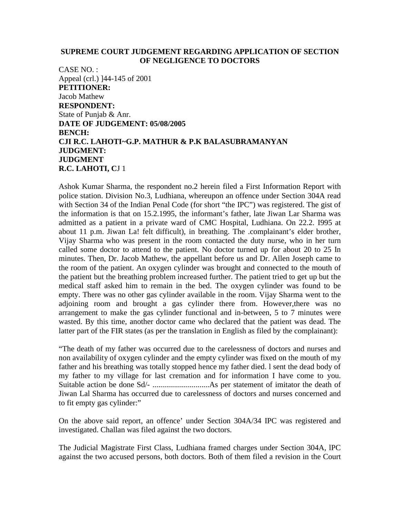#### **SUPREME COURT JUDGEMENT REGARDING APPLICATION OF SECTION OF NEGLIGENCE TO DOCTORS**

CASE NO. : Appeal (crl.) ]44-145 of 2001 **PETITIONER:** Jacob Mathew **RESPONDENT:** State of Punjab & Anr. **DATE OF JUDGEMENT: 05/08/2005 BENCH: CJI R.C. LAHOTI~G.P. MATHUR & P.K BALASUBRAMANYAN JUDGMENT: JUDGMENT R.C. LAHOTI, C**J 1

Ashok Kumar Sharma, the respondent no.2 herein filed a First Information Report with police station. Division No.3, Ludhiana, whereupon an offence under Section 304A read with Section 34 of the Indian Penal Code (for short "the IPC") was registered. The gist of the information is that on 15.2.1995, the informant's father, late Jiwan Lar Sharma was admitted as a patient in a private ward of CMC Hospital, Ludhiana. On 22.2. I995 at about 11 p.m. Jiwan La! felt difficult), in breathing. The .complainant's elder brother, Vijay Sharma who was present in the room contacted the duty nurse, who in her turn called some doctor to attend to the patient. No doctor turned up for about 20 to 25 In minutes. Then, Dr. Jacob Mathew, the appellant before us and Dr. Allen Joseph came to the room of the patient. An oxygen cylinder was brought and connected to the mouth of the patient but the breathing problem increased further. The patient tried to get up but the medical staff asked him to remain in the bed. The oxygen cylinder was found to be empty. There was no other gas cylinder available in the room. Vijay Sharma went to the adjoining room and brought a gas cylinder there from. However,there was no arrangement to make the gas cylinder functional and in-between, 5 to 7 minutes were wasted. By this time, another doctor came who declared that the patient was dead. The latter part of the FIR states (as per the translation in English as filed by the complainant):

"The death of my father was occurred due to the carelessness of doctors and nurses and non availability of oxygen cylinder and the empty cylinder was fixed on the mouth of my father and his breathing was totally stopped hence my father died. l sent the dead body of my father to my village for last cremation and for information I have come to you. Suitable action be done Sd/- .............................As per statement of imitator the death of Jiwan Lal Sharma has occurred due to carelessness of doctors and nurses concerned and to fit empty gas cylinder:"

On the above said report, an offence' under Section 304A/34 IPC was registered and investigated. Challan was filed against the two doctors.

The Judicial Magistrate First Class, Ludhiana framed charges under Section 304A, lPC against the two accused persons, both doctors. Both of them filed a revision in the Court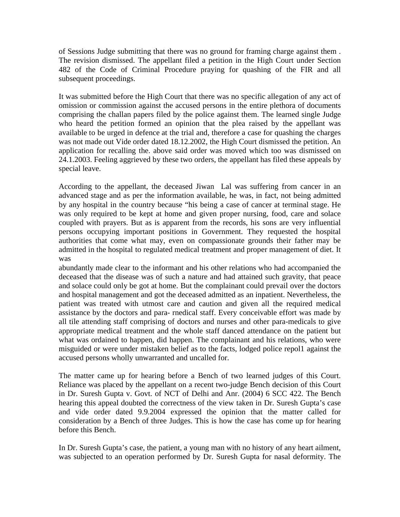of Sessions Judge submitting that there was no ground for framing charge against them . The revision dismissed. The appellant filed a petition in the High Court under Section 482 of the Code of Criminal Procedure praying for quashing of the FIR and all subsequent proceedings.

It was submitted before the High Court that there was no specific allegation of any act of omission or commission against the accused persons in the entire plethora of documents comprising the challan papers filed by the police against them. The learned single Judge who heard the petition formed an opinion that the plea raised by the appellant was available to be urged in defence at the trial and, therefore a case for quashing the charges was not made out Vide order dated 18.12.2002, the High Court dismissed the petition. An application for recalling the. above said order was moved which too was dismissed on 24.1.2003. Feeling aggrieved by these two orders, the appellant has filed these appeals by special leave.

According to the appellant, the deceased Jiwan Lal was suffering from cancer in an advanced stage and as per the information available, he was, in fact, not being admitted by any hospital in the country because "his being a case of cancer at terminal stage. He was only required to be kept at home and given proper nursing, food, care and solace coupled with prayers. But as is apparent from the records, his sons are very influential persons occupying important positions in Government. They requested the hospital authorities that come what may, even on compassionate grounds their father may be admitted in the hospital to regulated medical treatment and proper management of diet. It was

abundantly made clear to the informant and his other relations who had accompanied the deceased that the disease was of such a nature and had attained such gravity, that peace and solace could only be got at home. But the complainant could prevail over the doctors and hospital management and got the deceased admitted as an inpatient. Nevertheless, the patient was treated with utmost care and caution and given all the required medical assistance by the doctors and para- rnedical staff. Every conceivable effort was made by all tile attending staff comprising of doctors and nurses and other para-medicals to give appropriate medical treatment and the whole staff danced attendance on the patient but what was ordained to happen, did happen. The complainant and his relations, who were misguided or were under mistaken belief as to the facts, lodged police repol1 against the accused persons wholly unwarranted and uncalled for.

The matter came up for hearing before a Bench of two learned judges of this Court. Reliance was placed by the appellant on a recent two-judge Bench decision of this Court in Dr. Suresh Gupta v. Govt. of NCT of Delhi and Anr. (2004) 6 SCC 422. The Bench hearing this appeal doubted the correctness of the view taken in Dr. Suresh Gupta's case and vide order dated 9.9.2004 expressed the opinion that the matter called for consideration by a Bench of three Judges. This is how the case has come up for hearing before this Bench.

In Dr. Suresh Gupta's case, the patient, a young man with no history of any heart ailment, was subjected to an operation performed by Dr. Suresh Gupta for nasal deformity. The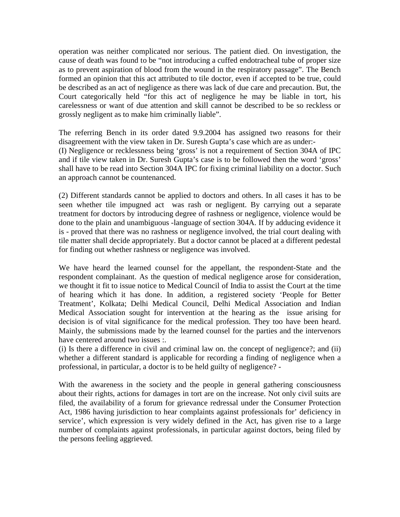operation was neither complicated nor serious. The patient died. On investigation, the cause of death was found to be "not introducing a cuffed endotracheal tube of proper size as to prevent aspiration of blood from the wound in the respiratory passage". The Bench formed an opinion that this act attributed to tile doctor, even if accepted to be true, could be described as an act of negligence as there was lack of due care and precaution. But, the Court categorically held "for this act of negligence he may be liable in tort, his carelessness or want of due attention and skill cannot be described to be so reckless or grossly negligent as to make him criminally liable".

The referring Bench in its order dated 9.9.2004 has assigned two reasons for their disagreement with the view taken in Dr. Suresh Gupta's case which are as under:- (I) Negligence or recklessness being 'gross' is not a requirement of Section 304A of IPC and if tile view taken in Dr. Suresh Gupta's case is to be followed then the word 'gross' shall have to be read into Section 304A IPC for fixing criminal liability on a doctor. Such an approach cannot be countenanced.

(2) Different standards cannot be applied to doctors and others. In all cases it has to be seen whether tile impugned act was rash or negligent. By carrying out a separate treatment for doctors by introducing degree of rashness or negligence, violence would be done to the plain and unambiguous -language of section 304A. If by adducing evidence it is - proved that there was no rashness or negligence involved, the trial court dealing with tile matter shall decide appropriately. But a doctor cannot be placed at a different pedestal for finding out whether rashness or negligence was involved.

We have heard the learned counsel for the appellant, the respondent-State and the respondent complainant. As the question of medical negligence arose for consideration, we thought it fit to issue notice to Medical Council of India to assist the Court at the time of hearing which it has done. In addition, a registered society 'People for Better Treatment', Kolkata; Delhi Medical Council, Delhi Medical Association and Indian Medical Association sought for intervention at the hearing as the issue arising for decision is of vital significance for the medical profession. They too have been heard. Mainly, the submissions made by the learned counsel for the parties and the intervenors have centered around two issues :.

(i) Is there a difference in civil and criminal law on. the concept of negligence?; and (ii) whether a different standard is applicable for recording a finding of negligence when a professional, in particular, a doctor is to be held guilty of negligence? -

With the awareness in the society and the people in general gathering consciousness about their rights, actions for damages in tort are on the increase. Not only civil suits are filed, the availability of a forum for grievance redressal under the Consumer Protection Act, 1986 having jurisdiction to hear complaints against professionals for' deficiency in service', which expression is very widely defined in the Act, has given rise to a large number of complaints against professionals, in particular against doctors, being filed by the persons feeling aggrieved.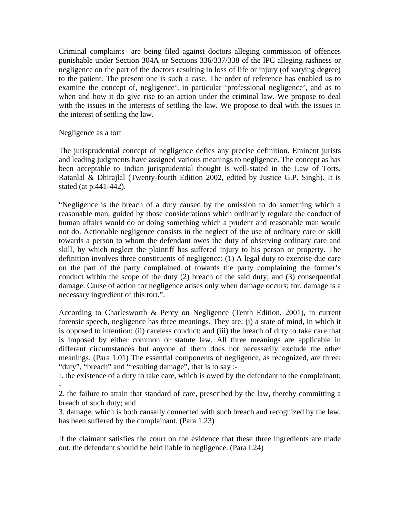Criminal complaints are being filed against doctors alleging commission of offences punishable under Section 304A or Sections 336/337/338 of the lPC alleging rashness or negligence on the part of the doctors resulting in loss of life or injury (of varying degree) to the patient. The present one is such a case. The order of reference has enabled us to examine the concept of, negligence', in particular 'professional negligence', and as to when and how it do give rise to an action under the criminal law. We propose to deal with the issues in the interests of settling the law. We propose to deal with the issues in the interest of settling the law.

#### Negligence as a tort

The jurisprudential concept of negligence defies any precise definition. Eminent jurists and leading judgments have assigned various meanings to negligence. The concept as has been acceptable to Indian jurisprudential thought is well-stated in the Law of Torts, Ratanlal & Dhirajlal (Twenty-fourth Edition 2002, edited by Justice G.P. Singh). It is stated (at p.441-442).

"Negligence is the breach of a duty caused by the omission to do something which a reasonable man, guided by those considerations which ordinarily regulate the conduct of human affairs would do or doing something which a prudent and reasonable man would not do. Actionable negligence consists in the neglect of the use of ordinary care or skill towards a person to whom the defendant owes the duty of observing ordinary care and skill, by which neglect the plaintiff has suffered injury to his person or property. The definition involves three constituents of negligence: (1) A legal duty to exercise due care on the part of the party complained of towards the party complaining the former's conduct within the scope of the duty (2) breach of the said duty; and (3) consequential damage. Cause of action for negligence arises only when damage occurs; for, damage is a necessary ingredient of this tort.".

According to Charlesworth & Percy on Negligence (Tenth Edition, 2001), in current forensic speech, negligence has three meanings. They are: (i) a state of mind, in which it is opposed to intention; (ii) careless conduct; and (iii) the breach of duty to take care that is imposed by either common or statute law. All three meanings are applicable in different circumstances but anyone of them does not necessarily exclude the other meanings. (Para 1.01) The essential components of negligence, as recognized, are three: "duty", "breach" and "resulting damage", that is to say :-

I. the existence of a duty to take care, which is owed by the defendant to the complainant; -

2. the failure to attain that standard of care, prescribed by the law, thereby committing a breach of such duty; and

3. damage, which is both causally connected with such breach and recognized by the law, has been suffered by the complainant. (Para 1.23)

If the claimant satisfies the court on the evidence that these three ingredients are made out, the defendant should be held liable in negligence. (Para I.24)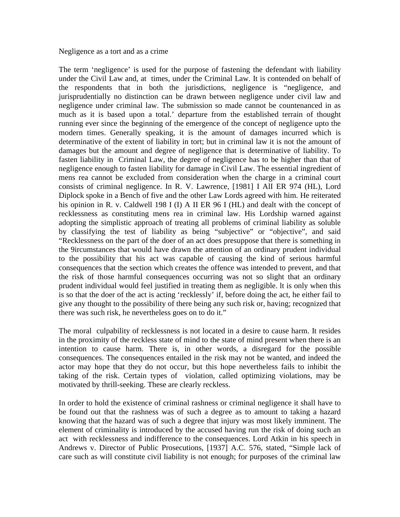#### Negligence as a tort and as a crime

The term 'negligence' is used for the purpose of fastening the defendant with liability under the Civil Law and, at times, under the Criminal Law. It is contended on behalf of the respondents that in both the jurisdictions, negligence is "negligence, and jurisprudentially no distinction can be drawn between negligence under civil law and negligence under criminal law. The submission so made cannot be countenanced in as much as it is based upon a total.' departure from the established terrain of thought running ever since the beginning of the emergence of the concept of negligence upto the modern times. Generally speaking, it is the amount of damages incurred which is determinative of the extent of liability in tort; but in criminal law it is not the amount of damages but the amount and degree of negligence that is determinative of liability. To fasten liability in Criminal Law, the degree of negligence has to be higher than that of negligence enough to fasten liability for damage in Civil Law. The essential ingredient of mens rea cannot be excluded from consideration when the charge in a criminal court consists of criminal negligence. In R. V. Lawrence, [1981] I AlI ER 974 (HL), Lord Diplock spoke in a Bench of five and the other Law Lords agreed with him. He reiterated his opinion in R. v. Caldwell 198 I (I) A II ER 96 I (HL) and dealt with the concept of recklessness as constituting mens rea in criminal law. His Lordship warned against adopting the simplistic approach of treating all problems of criminal liability as soluble by classifying the test of liability as being "subjective" or "objective", and said "Recklessness on the part of the doer of an act does presuppose that there is something in the 9ircumstances that would have drawn the attention of an ordinary prudent individual to the possibility that his act was capable of causing the kind of serious harmful consequences that the section which creates the offence was intended to prevent, and that the risk of those harmful consequences occurring was not so slight that an ordinary prudent individual would feel justified in treating them as negligible. lt is only when this is so that the doer of the act is acting 'recklessly' if, before doing the act, he either fail to give any thought to the possibility of there being any such risk or, having; recognized that there was such risk, he nevertheless goes on to do it."

The moral culpability of recklessness is not located in a desire to cause harm. It resides in the proximity of the reckless state of mind to the state of mind present when there is an intention to cause harm. There is, in other words, a disregard for the possible consequences. The consequences entailed in the risk may not be wanted, and indeed the actor may hope that they do not occur, but this hope nevertheless fails to inhibit the taking of the risk. Certain types of violation, called optimizing violations, may be motivated by thrill-seeking. These are clearly reckless.

In order to hold the existence of criminal rashness or criminal negligence it shall have to be found out that the rashness was of such a degree as to amount to taking a hazard knowing that the hazard was of such a degree that injury was most likely imminent. The element of criminality is introduced by the accused having run the risk of doing such an act with recklessness and indifference to the consequences. Lord Atkin in his speech in Andrews v. Director of Public Prosecutions, [1937] A.C. 576, stated, "Simple lack of care such as will constitute civil liability is not enough; for purposes of the criminal law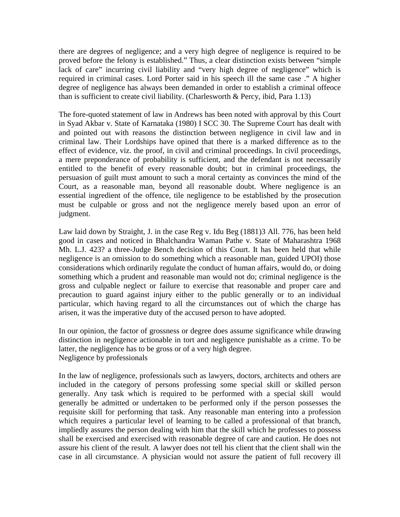there are degrees of negligence; and a very high degree of negligence is required to be proved before the felony is established." Thus, a clear distinction exists between "simple lack of care" incurring civil liability and "very high degree of negligence" which is required in criminal cases. Lord Porter said in his speech ill the same case ." A higher degree of negligence has always been demanded in order to establish a criminal offeoce than is sufficient to create civil liability. (Charlesworth & Percy, ibid, Para 1.13)

The fore-quoted statement of law in Andrews has been noted with approval by this Court in Syad Akbar v. State of Karnataka (1980) I SCC 30. The Supreme Court has dealt with and pointed out with reasons the distinction between negligence in civil law and in criminal law. Their Lordships have opined that there is a marked difference as to the effect of evidence, viz. the proof, in civil and criminal proceedings. In civil proceedings, a mere preponderance of probability is sufficient, and the defendant is not necessarily entitled to the benefit of every reasonable doubt; but in criminal proceedings, the persuasion of guilt must amount to such a moral certainty as convinces the mind of the Court, as a reasonable man, beyond all reasonable doubt. Where negligence is an essential ingredient of the offence, tile negligence to be established by the prosecution must be culpable or gross and not the negligence merely based upon an error of judgment.

Law laid down by Straight, J. in the case Reg v. Idu Beg (1881)3 All. 776, has been held good in cases and noticed in Bhalchandra Waman Pathe v. State of Maharashtra 1968 Mh. L.J. 423? a three-Judge Bench decision of this Court. It has been held that while negligence is an omission to do something which a reasonable man, guided UPOI) those considerations which ordinarily regulate the conduct of human affairs, would do, or doing something which a prudent and reasonable man would not do; criminal negligence is the gross and culpable neglect or failure to exercise that reasonable and proper care and precaution to guard against injury either to the public generally or to an individual particular, which having regard to all the circumstances out of which the charge has arisen, it was the imperative duty of the accused person to have adopted.

In our opinion, the factor of grossness or degree does assume significance while drawing distinction in negligence actionable in tort and negligence punishable as a crime. To be latter, the negligence has to be gross or of a very high degree. Negligence by professionals

In the law of negligence, professionals such as lawyers, doctors, architects and others are included in the category of persons professing some special skill or skilled person generally. Any task which is required to be performed with a special skill would generally be admitted or undertaken to be performed only if the person possesses the requisite skill for performing that task. Any reasonable man entering into a profession which requires a particular level of learning to be called a professional of that branch, impliedly assures the person dealing with him that the skill which he professes to possess shall be exercised and exercised with reasonable degree of care and caution. He does not assure his client of the result. A lawyer does not tell his client that the client shall win the case in all circumstance. A physician would not assure the patient of full recovery ill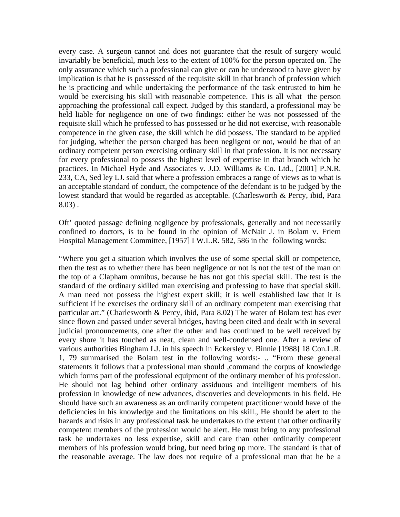every case. A surgeon cannot and does not guarantee that the result of surgery would invariably be beneficial, much less to the extent of 100% for the person operated on. The only assurance which such a professional can give or can be understood to have given by implication is that he is possessed of the requisite skill in that branch of profession which he is practicing and while undertaking the performance of the task entrusted to him he would be exercising his skill with reasonable competence. This is all what the person approaching the professional call expect. Judged by this standard, a professional may be held liable for negligence on one of two findings: either he was not possessed of the requisite skill which he professed to has possessed or he did not exercise, with reasonable competence in the given case, the skill which he did possess. The standard to be applied for judging, whether the person charged has been negligent or not, would be that of an ordinary competent person exercising ordinary skill in that profession. It is not necessary for every professional to possess the highest level of expertise in that branch which he practices. In Michael Hyde and Associates v. J.D. Williams & Co. Ltd., [2001] P.N.R. 233, CA, Sed ley LJ. said that where a profession embraces a range of views as to what is an acceptable standard of conduct, the competence of the defendant is to be judged by the lowest standard that would be regarded as acceptable. (Charlesworth & Percy, ibid, Para 8.03) .

Oft' quoted passage defining negligence by professionals, generally and not necessarily confined to doctors, is to be found in the opinion of McNair J. in Bolam v. Friem Hospital Management Committee, [1957] I W.L.R. 582, 586 in the following words:

"Where you get a situation which involves the use of some special skill or competence, then the test as to whether there has been negligence or not is not the test of the man on the top of a Clapham omnibus, because he has not got this special skill. The test is the standard of the ordinary skilled man exercising and professing to have that special skill. A man need not possess the highest expert skill; it is well established law that it is sufficient if he exercises the ordinary skill of an ordinary competent man exercising that particular art." (Charlesworth & Percy, ibid, Para 8.02) The water of Bolam test has ever since flown and passed under several bridges, having been cited and dealt with in several judicial pronouncements, one after the other and has continued to be well received by every shore it has touched as neat, clean and well-condensed one. After a review of various authorities Bingham LJ. in his speech in Eckersley v. Binnie [1988] 18 Con.L.R. 1, 79 summarised the Bolam test in the following words:- .. "From these general statements it follows that a professional man should ,command the corpus of knowledge which forms part of the professional equipment of the ordinary member of his profession. He should not lag behind other ordinary assiduous and intelligent members of his profession in knowledge of new advances, discoveries and developments in his field. He should have such an awareness as an ordinarily competent practitioner would have of the deficiencies in his knowledge and the limitations on his skill., He should be alert to the hazards and risks in any professional task he undertakes to the extent that other ordinarily competent members of the profession would be alert. He must bring to any professional task he undertakes no less expertise, skill and care than other ordinarily competent members of his profession would bring, but need bring np more. The standard is that of the reasonable average. The law does not require of a professional man that he be a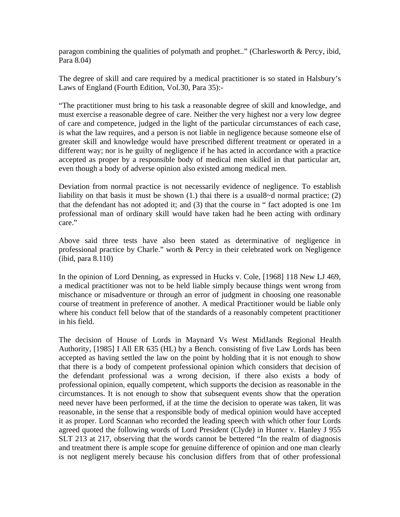paragon combining the qualities of polymath and prophet.." (Charlesworth & Percy, ibid, Para 8.04)

The degree of skill and care required by a medical practitioner is so stated in Halsbury's Laws of England (Fourth Edition, Vol.30, Para 35):-

"The practitioner must bring to his task a reasonable degree of skill and knowledge, and must exercise a reasonable degree of care. Neither the very highest nor a very low degree of care and competence, judged in the light of the particular circumstances of each case, is what the law requires, and a person is not liable in negligence because someone else of greater skill and knowledge would have prescribed different treatment or operated in a different way; nor is he guilty of negligence if he has acted in accordance with a practice accepted as proper by a responsible body of medical men skilled in that particular art, even though a body of adverse opinion also existed among medical men.

Deviation from normal practice is not necessarily evidence of negligence. To establish liability on that basis it must be shown (1.) thai there is a usual 8~d normal practice; (2) that the defendant has not adopted it; and (3) that the course in " fact adopted is one 1m professional man of ordinary skill would have taken had he been acting with ordinary care."

Above said three tests have also been stated as determinative of negligence in professional practice by Charle." worth & Percy in their celebrated work on Negligence (ibid, para 8.110)

In the opinion of Lord Denning, as expressed in Hucks v. Cole, [1968] 118 New LJ 469, a medical practitioner was not to be held liable simply because things went wrong from mischance or misadventure or through an error of judgment in choosing one reasonable course of treatment in preference of another. A medical Practitioner would be liable only where his conduct fell below that of the standards of a reasonably competent practitioner in his field.

The decision of House of Lords in Maynard Vs West MidJands Regional Health Authority, [1985] I All ER 635 (HL) by a Bench. consisting of five Law Lords has been accepted as having settled the law on the point by holding that it is not enough to show that there is a body of competent professional opinion which considers that decision of the defendant professional was a wrong decision, if there also exists a body of professional opinion, equally competent, which supports the decision as reasonable in the circumstances. It is not enough to show that subsequent events show that the operation need never have been performed, if at the time the decision to operate was taken, lit was reasonable, in the sense that a responsible body of medical opinion would have accepted it as proper. Lord Scannan who recorded the leading speech with which other four Lords agreed quoted the following words of Lord President (Clyde) in Hunter v. Hanley J 955 SLT 213 at 217, observing that the words cannot be bettered "In the realm of diagnosis and treatment there is ample scope for genuine difference of opinion and one man clearly is not negligent merely because his conclusion differs from that of other professional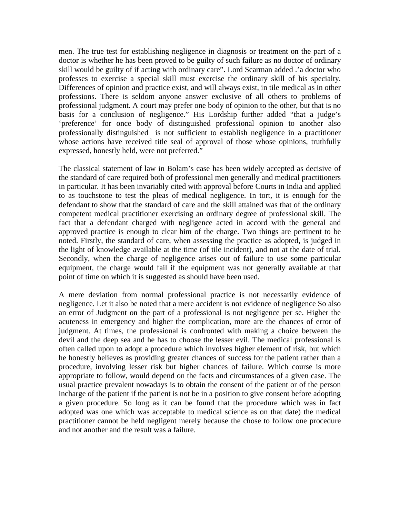men. The true test for establishing negligence in diagnosis or treatment on the part of a doctor is whether he has been proved to be guilty of such failure as no doctor of ordinary skill would be guilty of if acting with ordinary care". Lord Scarman added .'a doctor who professes to exercise a special skill must exercise the ordinary skill of his specialty. Differences of opinion and practice exist, and will always exist, in tile medical as in other professions. There is seldom anyone answer exclusive of all others to problems of professional judgment. A court may prefer one body of opinion to the other, but that is no basis for a conclusion of negligence." His Lordship further added "that a judge's 'preference' for once body of distinguished professional opinion to another also professionally distinguished is not sufficient to establish negligence in a practitioner whose actions have received title seal of approval of those whose opinions, truthfully expressed, honestly held, were not preferred."

The classical statement of law in Bolam's case has been widely accepted as decisive of the standard of care required both of professional men generally and medical practitioners in particular. It has been invariably cited with approval before Courts in India and applied to as touchstone to test the pleas of medical negligence. In tort, it is enough for the defendant to show that the standard of care and the skill attained was that of the ordinary competent medical practitioner exercising an ordinary degree of professional skill. The fact that a defendant charged with negligence acted in accord with the general and approved practice is enough to clear him of the charge. Two things are pertinent to be noted. Firstly, the standard of care, when assessing the practice as adopted, is judged in the light of knowledge available at the time (of tile incident), and not at the date of trial. Secondly, when the charge of negligence arises out of failure to use some particular equipment, the charge would fail if the equipment was not generally available at that point of time on which it is suggested as should have been used.

A mere deviation from normal professional practice is not necessarily evidence of negligence. Let it also be noted that a mere accident is not evidence of negligence So also an error of Judgment on the part of a professional is not negligence per se. Higher the acuteness in emergency and higher the complication, more are the chances of error of judgment. At times, the professional is confronted with making a choice between the devil and the deep sea and he has to choose the lesser evil. The medical professional is often called upon to adopt a procedure which involves higher element of risk, but which he honestly believes as providing greater chances of success for the patient rather than a procedure, involving lesser risk but higher chances of failure. Which course is more appropriate to follow, would depend on the facts and circumstances of a given case. The usual practice prevalent nowadays is to obtain the consent of the patient or of the person incharge of the patient if the patient is not be in a position to give consent before adopting a given procedure. So long as it can be found that the procedure which was in fact adopted was one which was acceptable to medical science as on that date) the medical practitioner cannot be held negligent merely because the chose to follow one procedure and not another and the result was a failure.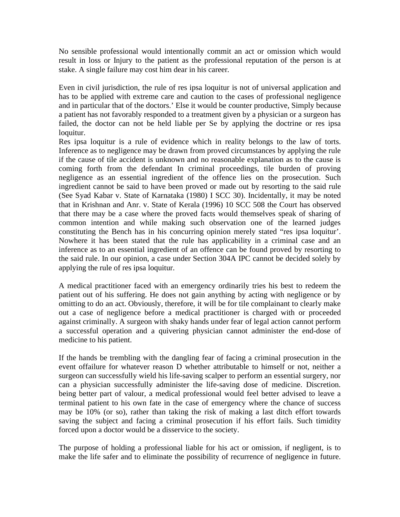No sensible professional would intentionally commit an act or omission which would result in loss or Injury to the patient as the professional reputation of the person is at stake. A single failure may cost him dear in his career.

Even in civil jurisdiction, the rule of res ipsa loquitur is not of universal application and has to be applied with extreme care and caution to the cases of professional negligence and in particular that of the doctors.' Else it would be counter productive, Simply because a patient has not favorably responded to a treatment given by a physician or a surgeon has failed, the doctor can not be held liable per Se by applying the doctrine or res ipsa loquitur.

Res ipsa loquitur is a rule of evidence which in reality belongs to the law of torts. Inference as to negligence may be drawn from proved circumstances by applying the rule if the cause of tile accident is unknown and no reasonable explanation as to the cause is coming forth from the defendant In criminal proceedings, tile burden of proving negligence as an essential ingredient of the offence lies on the prosecution. Such ingredient cannot be said to have been proved or made out by resorting to the said rule (See Syad Kabar v. State of Karnataka (1980) I SCC 30). Incidentally, it may be noted that in Krishnan and Anr. v. State of Kerala (1996) 10 SCC 508 the Court has observed that there may be a case where the proved facts would themselves speak of sharing of common intention and while making such observation one of the learned judges constituting the Bench has in his concurring opinion merely stated "res ipsa loquitur'. Nowhere it has been stated that the rule has applicability in a criminal case and an inference as to an essential ingredient of an offence can be found proved by resorting to the said rule. In our opinion, a case under Section 304A IPC cannot be decided solely by applying the rule of res ipsa loquitur.

A medical practitioner faced with an emergency ordinarily tries his best to redeem the patient out of his suffering. He does not gain anything by acting with negligence or by omitting to do an act. Obviously, therefore, it will be for tile complainant to clearly make out a case of negligence before a medical practitioner is charged with or proceeded against criminally. A surgeon with shaky hands under fear of legal action cannot perform a successful operation and a quivering physician cannot administer the end-dose of medicine to his patient.

If the hands be trembling with the dangling fear of facing a criminal prosecution in the event offailure for whatever reason D whether attributable to himself or not, neither a surgeon can successfully wield his life-saving scalper to perform an essential surgery, nor can a physician successfully administer the life-saving dose of medicine. Discretion. being better part of valour, a medical professional would feel better advised to leave a terminal patient to his own fate in the case of emergency where the chance of success may be 10% (or so), rather than taking the risk of making a last ditch effort towards saving the subject and facing a criminal prosecution if his effort fails. Such timidity forced upon a doctor would be a disservice to the society.

The purpose of holding a professional liable for his act or omission, if negligent, is to make the life safer and to eliminate the possibility of recurrence of negligence in future.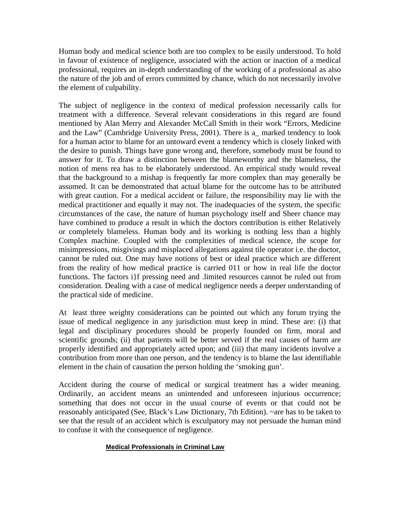Human body and medical science both are too complex to be easily understood. To hold in favour of existence of negligence, associated with the action or inaction of a medical professional, requires an in-depth understanding of the working of a professional as also the nature of the job and of errors committed by chance, which do not necessarily involve the element of culpability.

The subject of negligence in the context of medical profession necessarily calls for treatment with a difference. Several relevant considerations in this regard are found mentioned by Alan Merry and Alexander McCall Smith in their work "Errors, Medicine and the Law" (Cambridge University Press, 2001). There is a\_ marked tendency to look for a human actor to blame for an untoward event a tendency which is closely linked with the desire to punish. Things have gone wrong and, therefore, somebody must be found to answer for it. To draw a distinction between the blameworthy and the blameless, the notion of mens rea has to be elaborately understood. An empirical study would reveal that the background to a mishap is frequently far more complex than may generally be assumed. It can be demonstrated that actual blame for the outcome has to be attributed with great caution. For a medical accident or failure, the responsibility may lie with the medical practitioner and equally it may not. The inadequacies of the system, the specific circumstances of the case, the nature of human psychology itself and Sheer chance may have combined to produce a result in which the doctors contribution is either Relatively or completely blameless. Human body and its working is nothing less than a highly Complex machine. Coupled with the complexities of medical science, the scope for misimpressions, misgivings and misplaced allegations against tile operator i.e. the doctor, cannot be ruled out. One may have notions of best or ideal practice which are different from the reality of how medical practice is carried 011 or how in real life the doctor functions. The factors i}f pressing need and .limited resources cannot be ruled out from consideration. Dealing with a case of medical negligence needs a deeper understanding of the practical side of medicine.

At least three weighty considerations can be pointed out which any forum trying the issue of medical negligence in any jurisdiction must keep in mind. These are: (i) that legal and disciplinary procedures should be properly founded on firm, moral and scientific grounds; (ii) that patients will be better served if the real causes of harm are properly identified and appropriately acted upon; and (iii) that many incidents involve a contribution from more than one person, and the tendency is to blame the last identifiable element in the chain of causation the person holding the 'smoking gun'.

Accident during the course of medical or surgical treatment has a wider meaning. Ordinarily, an accident means an unintended and unforeseen injurious occurrence; something that does not occur in the usual course of events or that could not be reasonably anticipated (See, Black's Law Dictionary, 7th Edition). ~are has to be taken to see that the result of an accident which is exculpatory may not persuade the human mind to confuse it with the consequence of negligence.

#### **Medical Professionals in Criminal Law**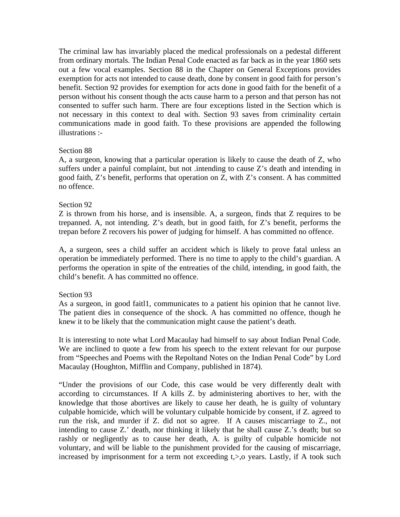The criminal law has invariably placed the medical professionals on a pedestal different from ordinary mortals. The Indian Penal Code enacted as far back as in the year 1860 sets out a few vocal examples. Section 88 in the Chapter on General Exceptions provides exemption for acts not intended to cause death, done by consent in good faith for person's benefit. Section 92 provides for exemption for acts done in good faith for the benefit of a person without his consent though the acts cause harm to a person and that person has not consented to suffer such harm. There are four exceptions listed in the Section which is not necessary in this context to deal with. Section 93 saves from criminality certain communications made in good faith. To these provisions are appended the following illustrations :-

## Section 88

A, a surgeon, knowing that a particular operation is likely to cause the death of Z, who suffers under a painful complaint, but not .intending to cause Z's death and intending in good faith, Z's benefit, performs that operation on Z, with Z's consent. A has committed no offence.

## Section 92

Z is thrown from his horse, and is insensible. A, a surgeon, finds that Z requires to be trepanned. A, not intending. Z's death, but in good faith, for Z's benefit, performs the trepan before Z recovers his power of judging for himself. A has committed no offence.

A, a surgeon, sees a child suffer an accident which is likely to prove fatal unless an operation be immediately performed. There is no time to apply to the child's guardian. A performs the operation in spite of the entreaties of the child, intending, in good faith, the child's benefit. A has committed no offence.

#### Section 93

As a surgeon, in good faitl1, communicates to a patient his opinion that he cannot live. The patient dies in consequence of the shock. A has committed no offence, though he knew it to be likely that the communication might cause the patient's death.

It is interesting to note what Lord Macaulay had himself to say about Indian Penal Code. We are inclined to quote a few from his speech to the extent relevant for our purpose from "Speeches and Poems with the Repoltand Notes on the Indian Penal Code" by Lord Macaulay (Houghton, Mifflin and Company, published in 1874).

"Under the provisions of our Code, this case would be very differently dealt with according to circumstances. If A kills Z. by administering abortives to her, with the knowledge that those abortives are likely to cause her death, he is guilty of voluntary culpable homicide, which will be voluntary culpable homicide by consent, if Z. agreed to run the risk, and murder if Z. did not so agree. If A causes miscarriage to Z., not intending to cause Z.' death, nor thinking it likely that he shall cause Z.'s death; but so rashly or negligently as to cause her death, A. is guilty of culpable homicide not voluntary, and will be liable to the punishment provided for the causing of miscarriage, increased by imprisonment for a term not exceeding t, >, o years. Lastly, if A took such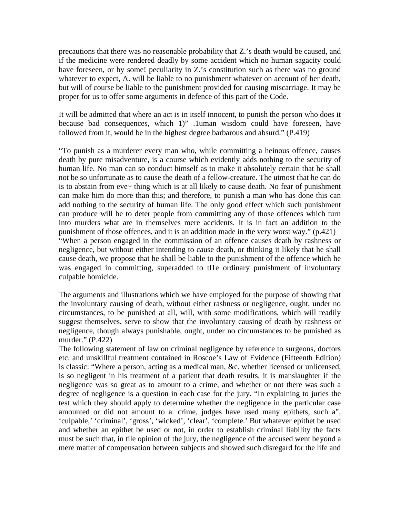precautions that there was no reasonable probability that Z.'s death would be caused, and if the medicine were rendered deadly by some accident which no human sagacity could have foreseen, or by some! peculiarity in Z.'s constitution such as there was no ground whatever to expect, A. will be liable to no punishment whatever on account of her death, but will of course be liable to the punishment provided for causing miscarriage. It may be proper for us to offer some arguments in defence of this part of the Code.

It will be admitted that where an act is in itself innocent, to punish the person who does it because bad consequences, which 1)" .1uman wisdom could have foreseen, have followed from it, would be in the highest degree barbarous and absurd." (P.419)

"To punish as a murderer every man who, while committing a heinous offence, causes death by pure misadventure, is a course which evidently adds nothing to the security of human life. No man can so conduct himself as to make it absolutely certain that he shall not be so unfortunate as to cause the death of a fellow-creature. The utmost that he can do is to abstain from eve~ thing which is at all likely to cause death. No fear of punishment can make him do more than this; and therefore, to punish a man who has done this can add nothing to the security of human life. The only good effect which such punishment can produce will be to deter people from committing any of those offences which turn into murders what are in themselves mere accidents. It is in fact an addition to the punishment of those offences, and it is an addition made in the very worst way." (p.421) "When a person engaged in the commission of an offence causes death by rashness or negligence, but without either intending to cause death, or thinking it likely that he shall cause death, we propose that he shall be liable to the punishment of the offence which he was engaged in committing, superadded to tl1e ordinary punishment of involuntary culpable homicide.

The arguments and illustrations which we have employed for the purpose of showing that the involuntary causing of death, without either rashness or negligence, ought, under no circumstances, to be punished at all, will, with some modifications, which will readily suggest themselves, serve to show that the involuntary causing of death by rashness or negligence, though always punishable, ought, under no circumstances to be punished as murder." (P.422)

The following statement of law on criminal negligence by reference to surgeons, doctors etc. and unskillful treatment contained in Roscoe's Law of Evidence (Fifteenth Edition) is classic: "Where a person, acting as a medical man, &c. whether licensed or unlicensed, is so negligent in his treatment of a patient that death results, it is manslaughter if the negligence was so great as to amount to a crime, and whether or not there was such a degree of negligence is a question in each case for the jury. "In explaining to juries the test which they should apply to determine whether the negligence in the particular case amounted or did not amount to a. crime, judges have used many epithets, such a", 'culpable,' 'criminal', 'gross', 'wicked', 'clear', 'complete.' But whatever epithet be used and whether an epithet be used or not, in order to establish criminal liability the facts must be such that, in tile opinion of the jury, the negligence of the accused went beyond a mere matter of compensation between subjects and showed such disregard for the life and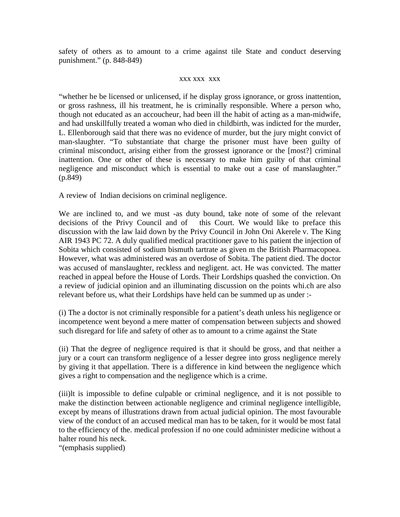safety of others as to amount to a crime against tile State and conduct deserving punishment." (p. 848-849)

#### xxx xxx xxx

"whether he be licensed or unlicensed, if he display gross ignorance, or gross inattention, or gross rashness, ill his treatment, he is criminally responsible. Where a person who, though not educated as an accoucheur, had been ill the habit of acting as a man-midwife, and had unskillfully treated a woman who died in childbirth, was indicted for the murder, L. Ellenborough said that there was no evidence of murder, but the jury might convict of man-slaughter. "To substantiate that charge the prisoner must have been guilty of criminal misconduct, arising either from the grossest ignorance or the [most?] criminal inattention. One or other of these is necessary to make him guilty of that criminal negligence and misconduct which is essential to make out a case of manslaughter." (p.849)

A review of Indian decisions on criminal negligence.

We are inclined to, and we must -as duty bound, take note of some of the relevant decisions of the Privy Council and of this Court. We would like to preface this discussion with the law laid down by the Privy Council in John Oni Akerele v. The King AIR 1943 PC 72. A duly qualified medical practitioner gave to his patient the injection of Sobita which consisted of sodium bismuth tartrate as given m the British Pharmacopoea. However, what was administered was an overdose of Sobita. The patient died. The doctor was accused of manslaughter, reckless and negligent. act. He was convicted. The matter reached in appeal before the House of Lords. Their Lordships quashed the conviction. On a review of judicial opinion and an illuminating discussion on the points whi.ch are also relevant before us, what their Lordships have held can be summed up as under :-

(i) The a doctor is not criminally responsible for a patient's death unless his negligence or incompetence went beyond a mere matter of compensation between subjects and showed such disregard for life and safety of other as to amount to a crime against the State

(ii) That the degree of negligence required is that it should be gross, and that neither a jury or a court can transform negligence of a lesser degree into gross negligence merely by giving it that appellation. There is a difference in kind between the negligence which gives a right to compensation and the negligence which is a crime.

(iii)lt is impossible to define culpable or criminal negligence, and it is not possible to make the distinction between actionable negligence and criminal negligence intelligible, except by means of illustrations drawn from actual judicial opinion. The most favourable view of the conduct of an accused medical man has to be taken, for it would be most fatal to the efficiency of the. medical profession if no one could administer medicine without a halter round his neck.

"(emphasis supplied)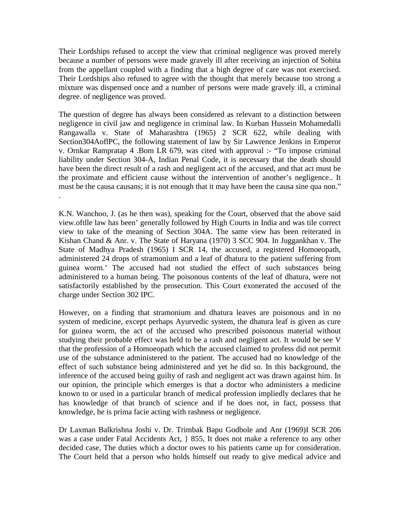Their Lordships refused to accept the view that criminal negligence was proved merely because a number of persons were made gravely ill after receiving an injection of Sobita from the appellant coupled with a finding that a high degree of care was not exercised. Their Lordships also refused to agree with the thought that merely because too strong a mixture was dispensed once and a number of persons were made gravely ill, a criminal degree. of negligence was proved.

The question of degree has always been considered as relevant to a distinction between negligence in civil jaw and negligence in criminal law. In Kurban Hussein Mohamedalli Rangawalla v. State of Maharashtra (1965) 2 SCR 622, while dealing with Section304AoflPC, the following statement of law by Sir Lawrence Jenkins in Emperor v. Ornkar Rampratap 4 .Bom LR 679, was cited with approval :- "To impose criminal liability under Section 304-A, Indian Penal Code, it is necessary that the death should have been the direct result of a rash and negligent act of the accused, and that act must be the proximate and efficient cause without the intervention of another's negligence.. It must be the causa causans; it is not enough that it may have been the causa sine qua non." .

K.N. Wanchoo, J. (as he then was), speaking for the Court, observed that the above said view.oftlle law has been' generally followed by High Courts in India and was tile correct view to take of the meaning of Section 304A. The same view has been reiterated in Kishan Chand & Anr. v. The State of Haryana (1970) 3 SCC 904. In Juggankhan v. The State of Madhya Pradesh (1965) I SCR 14, the accused, a registered Homoeopath, administered 24 drops of stramonium and a leaf of dhatura to the patient suffering from guinea worm.' The accused had not studied the effect of such substances being administered to a human being. The poisonous contents of the leaf of dhatura, were not satisfactorily established by the prosecution. This Court exonerated the accused of the charge under Section 302 IPC.

However, on a finding that stramonium and dhatura leaves are poisonous and in no system of medicine, except perhaps Ayurvedic system, the dhatura leaf is given as cure for guinea worm, the act of the accused who prescribed poisonous material without studying their probable effect was held to be a rash and negligent act. It would be see V that the profession of a Homoeopath which the accused claimed to profess did not permit use of the substance administered to the patient. The accused had no knowledge of the effect of such substance being administered and yet he did so. In this background, the inference of the accused being guilty of rash and negligent act was drawn against him. In our opinion, the principle which emerges is that a doctor who administers a medicine known to or used in a particular branch of medical profession impliedly declares that he has knowledge of that branch of science and if he does not, in fact, possess that knowledge, he is prima facie acting with rashness or negligence.

Dr Laxman Balkrishna Joshi v. Dr. Trimbak Bapu Godbole and Anr (1969)I SCR 206 was a case under Fatal Accidents Act, } 855, It does not make a reference to any other decided case, The duties which a doctor owes to his patients came up for consideration. The Court held that a person who holds himself out ready to give medical advice and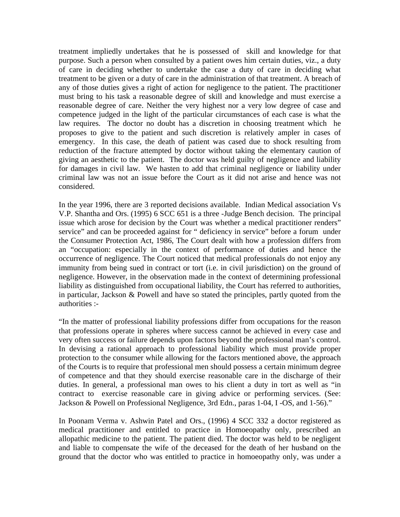treatment impliedly undertakes that he is possessed of skill and knowledge for that purpose. Such a person when consulted by a patient owes him certain duties, viz., a duty of care in deciding whether to undertake the case a duty of care in deciding what treatment to be given or a duty of care in the administration of that treatment. A breach of any of those duties gives a right of action for negligence to the patient. The practitioner must bring to his task a reasonable degree of skill and knowledge and must exercise a reasonable degree of care. Neither the very highest nor a very low degree of case and competence judged in the light of the particular circumstances of each case is what the law requires. The doctor no doubt has a discretion in choosing treatment which he proposes to give to the patient and such discretion is relatively ampler in cases of emergency. In this case, the death of patient was cased due to shock resulting from reduction of the fracture attempted by doctor without taking the elementary caution of giving an aesthetic to the patient. The doctor was held guilty of negligence and liability for damages in civil law. We hasten to add that criminal negligence or liability under criminal law was not an issue before the Court as it did not arise and hence was not considered.

In the year 1996, there are 3 reported decisions available. Indian Medical association Vs V.P. Shantha and Ors. (1995) 6 SCC 651 is a three -Judge Bench decision. The principal issue which arose for decision by the Court was whether a medical practitioner renders" service" and can be proceeded against for " deficiency in service" before a forum under the Consumer Protection Act, 1986, The Court dealt with how a profession differs from an "occupation: especially in the context of performance of duties and hence the occurrence of negligence. The Court noticed that medical professionals do not enjoy any immunity from being sued in contract or tort (i.e. in civil jurisdiction) on the ground of negligence. However, in the observation made in the context of determining professional liability as distinguished from occupational liability, the Court has referred to authorities, in particular, Jackson & Powell and have so stated the principles, partly quoted from the authorities :-

"In the matter of professional liability professions differ from occupations for the reason that professions operate in spheres where success cannot be achieved in every case and very often success or failure depends upon factors beyond the professional man's control. In devising a rational approach to professional liability which must provide proper protection to the consumer while allowing for the factors mentioned above, the approach of the Courts is to require that professional men should possess a certain minimum degree of competence and that they should exercise reasonable care in the discharge of their duties. In general, a professional man owes to his client a duty in tort as well as "in contract to exercise reasonable care in giving advice or performing services. (See: Jackson & Powell on Professional Negligence, 3rd Edn., paras 1-04, I -OS, and 1-56)."

In Poonam Verma v. Ashwin Patel and Ors., (1996) 4 SCC 332 a doctor registered as medical practitioner and entitled to practice in Homoeopathy only, prescribed an allopathic medicine to the patient. The patient died. The doctor was held to be negligent and liable to compensate the wife of the deceased for the death of her husband on the ground that the doctor who was entitled to practice in homoeopathy only, was under a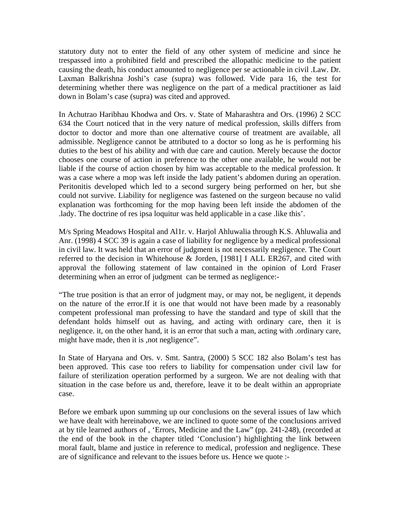statutory duty not to enter the field of any other system of medicine and since he trespassed into a prohibited field and prescribed the allopathic medicine to the patient causing the death, his conduct amounted to negligence per se actionable in civil .Law. Dr. Laxman Balkrishna Joshi's case (supra) was followed. Vide para 16, the test for determining whether there was negligence on the part of a medical practitioner as laid down in Bolam's case (supra) was cited and approved.

In Achutrao Haribhau Khodwa and Ors. v. State of Maharashtra and Ors. (1996) 2 SCC 634 the Court noticed that in the very nature of medical profession, skills differs from doctor to doctor and more than one alternative course of treatment are available, all admissible. Negligence cannot be attributed to a doctor so long as he is performing his duties to the best of his ability and with due care and caution. Merely because the doctor chooses one course of action in preference to the other one available, he would not be liable if the course of action chosen by him was acceptable to the medical profession. It was a case where a mop was left inside the lady patient's abdomen during an operation. Peritonitis developed which led to a second surgery being performed on her, but she could not survive. Liability for negligence was fastened on the surgeon because no valid explanation was forthcoming for the mop having been left inside the abdomen of the .lady. The doctrine of res ipsa loquitur was held applicable in a case .like this'.

M/s Spring Meadows Hospital and Al1r. v. Harjol Ahluwalia through K.S. Ahluwalia and Anr. (1998) 4 SCC 39 is again a case of liability for negligence by a medical professional in civil law. It was held that an error of judgment is not necessarily negligence. The Court referred to the decision in Whitehouse & Jorden, [1981] I ALL ER267, and cited with approval the following statement of law contained in the opinion of Lord Fraser determining when an error of judgment can be termed as negligence:-

"The true position is that an error of judgment may, or may not, be negligent, it depends on the nature of the error.If it is one that would not have been made by a reasonably competent professional man professing to have the standard and type of skill that the defendant holds himself out as having, and acting with ordinary care, then it is negligence. it, on the other hand, it is an error that such a man, acting with .ordinary care, might have made, then it is , not negligence".

In State of Haryana and Ors. v. Smt. Santra, (2000) 5 SCC 182 also Bolam's test has been approved. This case too refers to liability for compensation under civil law for failure of sterilization operation performed by a surgeon. We are not dealing with that situation in the case before us and, therefore, leave it to be dealt within an appropriate case.

Before we embark upon summing up our conclusions on the several issues of law which we have dealt with hereinabove, we are inclined to quote some of the conclusions arrived at by tile learned authors of , 'Errors, Medicine and the Law" (pp. 241-248), (recorded at the end of the book in the chapter titled 'Conclusion') highlighting the link between moral fault, blame and justice in reference to medical, profession and negligence. These are of significance and relevant to the issues before us. Hence we quote :-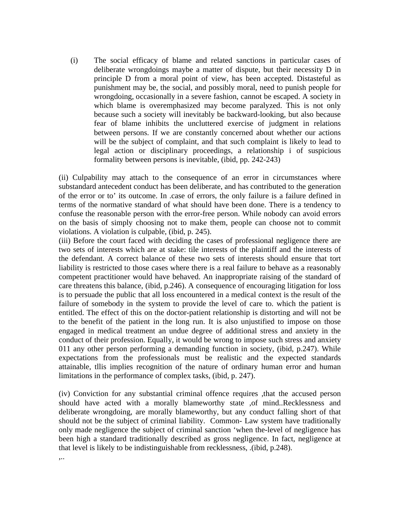(i) The social efficacy of blame and related sanctions in particular cases of deliberate wrongdoings maybe a matter of dispute, but their necessity D in principle D from a moral point of view, has been accepted. Distasteful as punishment may be, the social, and possibly moral, need to punish people for wrongdoing, occasionally in a severe fashion, cannot be escaped. A society in which blame is overemphasized may become paralyzed. This is not only because such a society will inevitably be backward-looking, but also because fear of blame inhibits the uncluttered exercise of judgment in relations between persons. If we are constantly concerned about whether our actions will be the subject of complaint, and that such complaint is likely to lead to legal action or disciplinary proceedings, a relationship i of suspicious formality between persons is inevitable, (ibid, pp. 242-243)

(ii) Culpability may attach to the consequence of an error in circumstances where substandard antecedent conduct has been deliberate, and has contributed to the generation of the error or to' its outcome. In .case of errors, the only failure is a failure defined in terms of the normative standard of what should have been done. There is a tendency to confuse the reasonable person with the error-free person. While nobody can avoid errors on the basis of simply choosing not to make them, people can choose not to commit violations. A violation is culpable, (ibid, p. 245).

(iii) Before the court faced with deciding the cases of professional negligence there are two sets of interests which are at stake: tile interests of the plaintiff and the interests of the defendant. A correct balance of these two sets of interests should ensure that tort liability is restricted to those cases where there is a real failure to behave as a reasonably competent practitioner would have behaved. An inappropriate raising of the standard of care threatens this balance, (ibid, p.246). A consequence of encouraging litigation for loss is to persuade the public that all loss encountered in a medical context is the result of the failure of somebody in the system to provide the level of care to. which the patient is entitled. The effect of this on the doctor-patient relationship is distorting and will not be to the benefit of the patient in the long run. It is also unjustified to impose on those engaged in medical treatment an undue degree of additional stress and anxiety in the conduct of their profession. Equally, it would be wrong to impose such stress and anxiety 011 any other person performing a demanding function in society, (ibid, p.247). While expectations from the professionals must be realistic and the expected standards attainable, tllis implies recognition of the nature of ordinary human error and human limitations in the performance of complex tasks, (ibid, p. 247).

(iv) Conviction for any substantial criminal offence requires ,that the accused person should have acted with a morally blameworthy state ,of mind..Recklessness and deliberate wrongdoing, are morally blameworthy, but any conduct falling short of that should not be the subject of criminal liability. Common- Law system have traditionally only made negligence the subject of criminal sanction 'when the-level of negligence has been high a standard traditionally described as gross negligence. In fact, negligence at that level is likely to be indistinguishable from recklessness, .(ibid, p.248).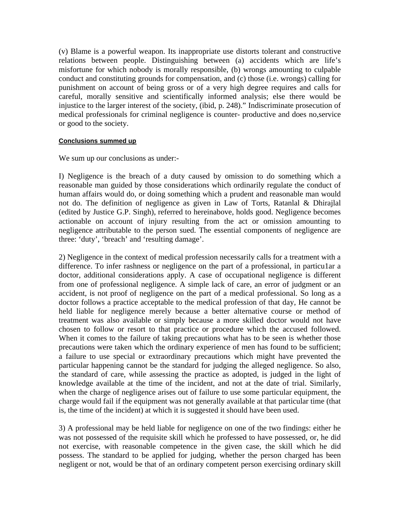(v) Blame is a powerful weapon. Its inappropriate use distorts tolerant and constructive relations between people. Distinguishing between (a) accidents which are life's misfortune for which nobody is morally responsible, (b) wrongs amounting to culpable conduct and constituting grounds for compensation, and (c) those (i.e. wrongs) calling for punishment on account of being gross or of a very high degree requires and calls for careful, morally sensitive and scientifically informed analysis; else there would be injustice to the larger interest of the society, (ibid, p. 248)." Indiscriminate prosecution of medical professionals for criminal negligence is counter- productive and does no,service or good to the society.

#### **Conclusions summed up**

We sum up our conclusions as under:-

I) Negligence is the breach of a duty caused by omission to do something which a reasonable man guided by those considerations which ordinarily regulate the conduct of human affairs would do, or doing something which a prudent and reasonable man would not do. The definition of negligence as given in Law of Torts, Ratanlal & Dhirajlal (edited by Justice G.P. Singh), referred to hereinabove, holds good. Negligence becomes actionable on account of injury resulting from the act or omission amounting to negligence attributable to the person sued. The essential components of negligence are three: 'duty', 'breach' and 'resulting damage'.

2) Negligence in the context of medical profession necessarily calls for a treatment with a difference. To infer rashness or negligence on the part of a professional, in particular a doctor, additional considerations apply. A case of occupational negligence is different from one of professional negligence. A simple lack of care, an error of judgment or an accident, is not proof of negligence on the part of a medical professional. So long as a doctor follows a practice acceptable to the medical profession of that day, He cannot be held liable for negligence merely because a better alternative course or method of treatment was also available or simply because a more skilled doctor would not have chosen to follow or resort to that practice or procedure which the accused followed. When it comes to the failure of taking precautions what has to be seen is whether those precautions were taken which the ordinary experience of men has found to be sufficient; a failure to use special or extraordinary precautions which might have prevented the particular happening cannot be the standard for judging the alleged negligence. So also, the standard of care, while assessing the practice as adopted, is judged in the light of knowledge available at the time of the incident, and not at the date of trial. Similarly, when the charge of negligence arises out of failure to use some particular equipment, the charge would fail if the equipment was not generally available at that particular time (that is, the time of the incident) at which it is suggested it should have been used.

3) A professional may be held liable for negligence on one of the two findings: either he was not possessed of the requisite skill which he professed to have possessed, or, he did not exercise, with reasonable competence in the given case, the skill which he did possess. The standard to be applied for judging, whether the person charged has been negligent or not, would be that of an ordinary competent person exercising ordinary skill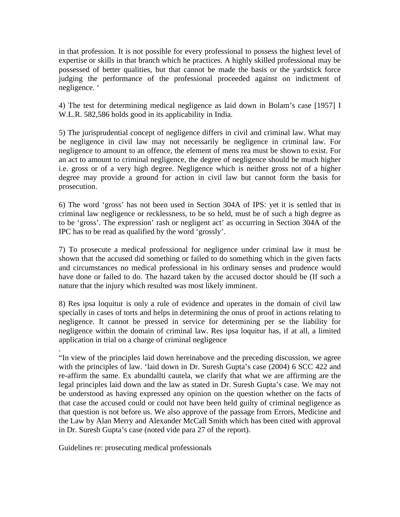in that profession. It is not possible for every professional to possess the highest level of expertise or skills in that branch which he practices. A highly skilled professional may be possessed of better qualities, but that cannot be made the basis or the yardstick force judging the performance of the professional proceeded against on indictment of negligence. '

4) The test for determining medical negligence as laid down in Bolam's case [1957] I W.L.R. 582,586 holds good in its applicability in India.

5) The jurisprudential concept of negligence differs in civil and criminal law. What may be negligence in civil law may not necessarily be negligence in criminal law. For negligence to amount to an offence, the element of mens rea must be shown to exist. For an act to amount to criminal negligence, the degree of negligence should be much higher i.e. gross or of a very high degree. Negligence which is neither gross not of a higher degree may provide a ground for action in civil law but cannot form the basis for prosecution.

6) The word 'gross' has not been used in Section 304A of IPS: yet it is settled that in criminal law negligence or recklessness, to be so held, must be of such a high degree as to be 'gross'. The expression' rash or negligent act' as occurring in Section 304A of the IPC has to be read as qualified by the word 'grossly'.

7) To prosecute a medical professional for negligence under criminal law it must be shown that the accused did something or failed to do something which in the given facts and circumstances no medical professional in his ordinary senses and prudence would have done or failed to do. The hazard taken by the accused doctor should be (If such a nature that the injury which resulted was most likely imminent.

8) Res ipsa loquitur is only a rule of evidence and operates in the domain of civil law specially in cases of torts and helps in determining the onus of proof in actions relating to negligence. It cannot be pressed in service for determining per se the liability for negligence within the domain of criminal law. Res ipsa loquitur has, if at all, a limited application in trial on a charge of criminal negligence

"In view of the principles laid down hereinabove and the preceding discussion, we agree with the principles of law. 'laid down in Dr. Suresh Gupta's case (2004) 6 SCC 422 and re-affirm the same. Ex abundallti cautela, we clarify that what we are affirming are the legal principles laid down and the law as stated in Dr. Suresh Gupta's case. We may not be understood as having expressed any opinion on the question whether on the facts of that case the accused could or could not have been held guilty of criminal negligence as that question is not before us. We also approve of the passage from Errors, Medicine and the Law by Alan Merry and Alexander McCall Smith which has been cited with approval in Dr. Suresh Gupta's case (noted vide para 27 of the report).

Guidelines re: prosecuting medical professionals

.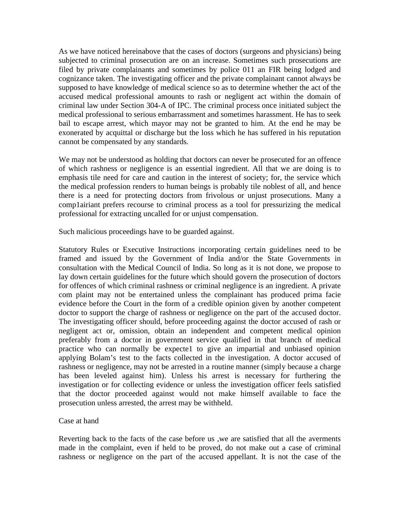As we have noticed hereinabove that the cases of doctors (surgeons and physicians) being subjected to criminal prosecution are on an increase. Sometimes such prosecutions are filed by private complainants and sometimes by police 011 an FIR being lodged and cognizance taken. The investigating officer and the private complainant cannot always be supposed to have knowledge of medical science so as to determine whether the act of the accused medical professional amounts to rash or negligent act within the domain of criminal law under Section 304-A of IPC. The criminal process once initiated subject the medical professional to serious embarrassment and sometimes harassment. He has to seek bail to escape arrest, which mayor may not be granted to him. At the end he may be exonerated by acquittal or discharge but the loss which he has suffered in his reputation cannot be compensated by any standards.

We may not be understood as holding that doctors can never be prosecuted for an offence of which rashness or negligence is an essential ingredient. All that we are doing is to emphasis tile need for care and caution in the interest of society; for, the service which the medical profession renders to human beings is probably tile noblest of all, and hence there is a need for protecting doctors from frivolous or unjust prosecutions. Many a comp1airiant prefers recourse to criminal process as a tool for pressurizing the medical professional for extracting uncalled for or unjust compensation.

Such malicious proceedings have to be guarded against.

Statutory Rules or Executive Instructions incorporating certain guidelines need to be framed and issued by the Government of India and/or the State Governments in consultation with the Medical Council of India. So long as it is not done, we propose to lay down certain guidelines for the future which should govern the prosecution of doctors for offences of which criminal rashness or criminal negligence is an ingredient. A private com plaint may not be entertained unless the complainant has produced prima facie evidence before the Court in the form of a credible opinion given by another competent doctor to support the charge of rashness or negligence on the part of the accused doctor. The investigating officer should, before proceeding against the doctor accused of rash or negligent act or, omission, obtain an independent and competent medical opinion preferably from a doctor in government service qualified in that branch of medical practice who can normally be expecte1 to give an impartial and unbiased opinion applying Bolam's test to the facts collected in the investigation. A doctor accused of rashness or negligence, may not be arrested in a routine manner (simply because a charge has been leveled against him). Unless his arrest is necessary for furthering the investigation or for collecting evidence or unless the investigation officer feels satisfied that the doctor proceeded against would not make himself available to face the prosecution unless arrested, the arrest may be withheld.

#### Case at hand

Reverting back to the facts of the case before us ,we are satisfied that all the averments made in the complaint, even if held to be proved, do not make out a case of criminal rashness or negligence on the part of the accused appellant. It is not the case of the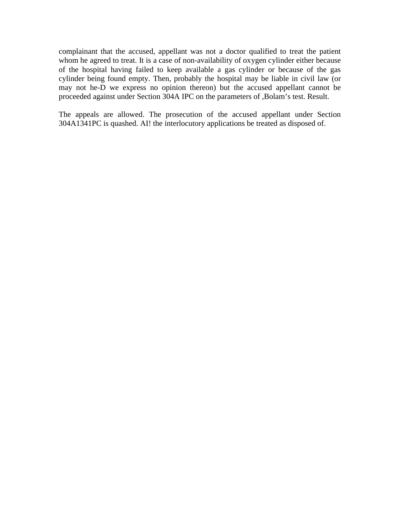complainant that the accused, appellant was not a doctor qualified to treat the patient whom he agreed to treat. It is a case of non-availability of oxygen cylinder either because of the hospital having failed to keep available a gas cylinder or because of the gas cylinder being found empty. Then, probably the hospital may be liable in civil law (or may not he-D we express no opinion thereon) but the accused appellant cannot be proceeded against under Section 304A IPC on the parameters of ,Bolam's test. Result.

The appeals are allowed. The prosecution of the accused appellant under Section 304A1341PC is quashed. AI! the interlocutory applications be treated as disposed of.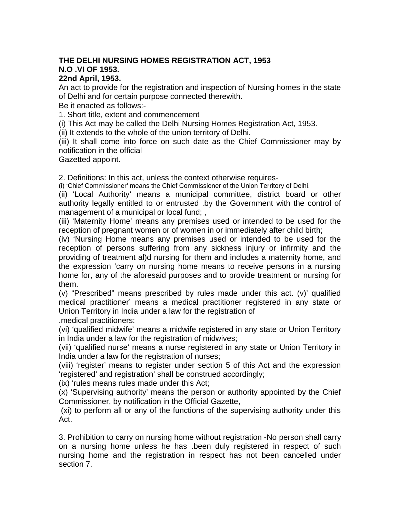# **THE DELHI NURSING HOMES REGISTRATION ACT, 1953 N.O .VI OF 1953.**

**22nd April, 1953.**

An act to provide for the registration and inspection of Nursing homes in the state of Delhi and for certain purpose connected therewith.

Be it enacted as follows:-

1. Short title, extent and commencement

(i) This Act may be called the Delhi Nursing Homes Registration Act, 1953.

(ii) It extends to the whole of the union territory of Delhi.

(iii) It shall come into force on such date as the Chief Commissioner may by notification in the official

Gazetted appoint.

2. Definitions: In this act, unless the context otherwise requires-

(i) 'Chief Commissioner' means the Chief Commissioner of the Union Territory of Delhi.

(ii) 'Local Authority' means a municipal committee, district board or other authority legally entitled to or entrusted .by the Government with the control of management of a municipal or local fund; ,

(iii) 'Maternity Home' means any premises used or intended to be used for the reception of pregnant women or of women in or immediately after child birth;

(iv) 'Nursing Home means any premises used or intended to be used for the reception of persons suffering from any sickness injury or infirmity and the providing of treatment al)d nursing for them and includes a maternity home, and the expression 'carry on nursing home means to receive persons in a nursing home for, any of the aforesaid purposes and to provide treatment or nursing for them.

(v) "Prescribed" means prescribed by rules made under this act. (v)' qualified medical practitioner' means a medical practitioner registered in any state or Union Territory in India under a law for the registration of

.medical practitioners:

(vi) 'qualified midwife' means a midwife registered in any state or Union Territory in India under a law for the registration of midwives;

(vii) 'qualified nurse' means a nurse registered in any state or Union Territory in India under a law for the registration of nurses;

(viii) 'register' means to register under section 5 of this Act and the expression 'registered' and registration' shall be construed accordingly;

(ix) 'rules means rules made under this Act;

(x) 'Supervising authority' means the person or authority appointed by the Chief Commissioner, by notification in the Official Gazette,

 (xi) to perform all or any of the functions of the supervising authority under this Act.

3. Prohibition to carry on nursing home without registration -No person shall carry on a nursing home unless he has .been duly registered in respect of such nursing home and the registration in respect has not been cancelled under section 7.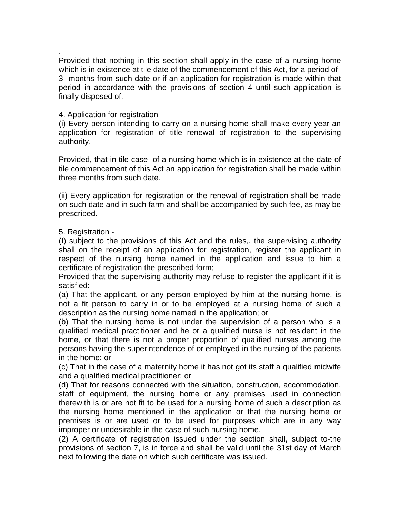. Provided that nothing in this section shall apply in the case of a nursing home which is in existence at tile date of the commencement of this Act, for a period of 3 months from such date or if an application for registration is made within that period in accordance with the provisions of section 4 until such application is finally disposed of.

## 4. Application for registration -

(i) Every person intending to carry on a nursing home shall make every year an application for registration of title renewal of registration to the supervising authority.

Provided, that in tile case of a nursing home which is in existence at the date of tile commencement of this Act an application for registration shall be made within three months from such date.

(ii) Every application for registration or the renewal of registration shall be made on such date and in such farm and shall be accompanied by such fee, as may be prescribed.

## 5. Registration -

(I) subject to the provisions of this Act and the rules,. the supervising authority shall on the receipt of an application for registration, register the applicant in respect of the nursing home named in the application and issue to him a certificate of registration the prescribed form;

Provided that the supervising authority may refuse to register the applicant if it is satisfied:-

(a) That the applicant, or any person employed by him at the nursing home, is not a fit person to carry in or to be employed at a nursing home of such a description as the nursing home named in the application; or

(b) That the nursing home is not under the supervision of a person who is a qualified medical practitioner and he or a qualified nurse is not resident in the home, or that there is not a proper proportion of qualified nurses among the persons having the superintendence of or employed in the nursing of the patients in the home; or

(c) That in the case of a maternity home it has not got its staff a qualified midwife and a qualified medical practitioner; or

(d) That for reasons connected with the situation, construction, accommodation, staff of equipment, the nursing home or any premises used in connection therewith is or are not fit to be used for a nursing home of such a description as the nursing home mentioned in the application or that the nursing home or premises is or are used or to be used for purposes which are in any way improper or undesirable in the case of such nursing home. -

(2) A certificate of registration issued under the section shall, subject to-the provisions of section 7, is in force and shall be valid until the 31st day of March next following the date on which such certificate was issued.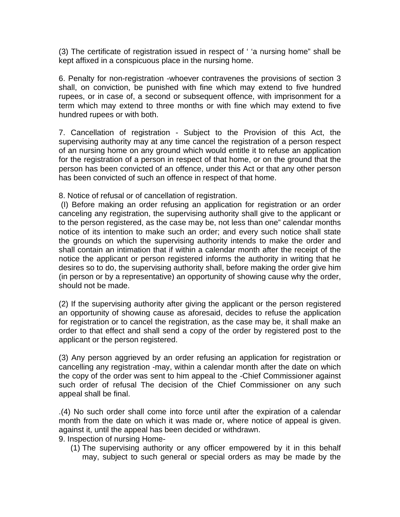(3) The certificate of registration issued in respect of ' 'a nursing home" shall be kept affixed in a conspicuous place in the nursing home.

6. Penalty for non-registration -whoever contravenes the provisions of section 3 shall, on conviction, be punished with fine which may extend to five hundred rupees, or in case of, a second or subsequent offence, with imprisonment for a term which may extend to three months or with fine which may extend to five hundred rupees or with both.

7. Cancellation of registration - Subject to the Provision of this Act, the supervising authority may at any time cancel the registration of a person respect of an nursing home on any ground which would entitle it to refuse an application for the registration of a person in respect of that home, or on the ground that the person has been convicted of an offence, under this Act or that any other person has been convicted of such an offence in respect of that home.

8. Notice of refusal or of cancellation of registration.

 (I) Before making an order refusing an application for registration or an order canceling any registration, the supervising authority shall give to the applicant or to the person registered, as the case may be, not less than one" calendar months notice of its intention to make such an order; and every such notice shall state the grounds on which the supervising authority intends to make the order and shall contain an intimation that if within a calendar month after the receipt of the notice the applicant or person registered informs the authority in writing that he desires so to do, the supervising authority shall, before making the order give him (in person or by a representative) an opportunity of showing cause why the order, should not be made.

(2) If the supervising authority after giving the applicant or the person registered an opportunity of showing cause as aforesaid, decides to refuse the application for registration or to cancel the registration, as the case may be, it shall make an order to that effect and shall send a copy of the order by registered post to the applicant or the person registered.

(3) Any person aggrieved by an order refusing an application for registration or cancelling any registration -may, within a calendar month after the date on which the copy of the order was sent to him appeal to the -Chief Commissioner against such order of refusal The decision of the Chief Commissioner on any such appeal shall be final.

.(4) No such order shall come into force until after the expiration of a calendar month from the date on which it was made or, where notice of appeal is given. against it, until the appeal has been decided or withdrawn.

9. Inspection of nursing Home-

(1) The supervising authority or any officer empowered by it in this behalf may, subject to such general or special orders as may be made by the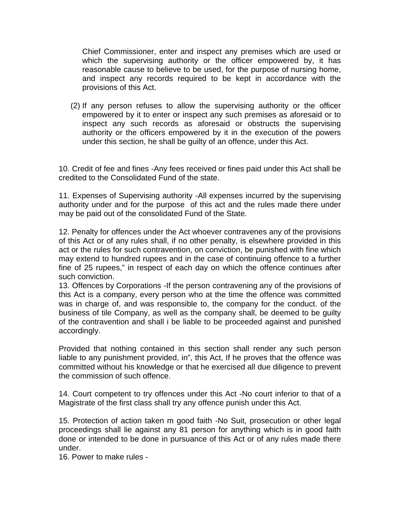Chief Commissioner, enter and inspect any premises which are used or which the supervising authority or the officer empowered by, it has reasonable cause to believe to be used, for the purpose of nursing home, and inspect any records required to be kept in accordance with the provisions of this Act.

(2) If any person refuses to allow the supervising authority or the officer empowered by it to enter or inspect any such premises as aforesaid or to inspect any such records as aforesaid or obstructs the supervising authority or the officers empowered by it in the execution of the powers under this section, he shall be guilty of an offence, under this Act.

10. Credit of fee and fines -Any fees received or fines paid under this Act shall be credited to the Consolidated Fund of the state.

11. Expenses of Supervising authority -All expenses incurred by the supervising authority under and for the purpose of this act and the rules made there under may be paid out of the consolidated Fund of the State.

12. Penalty for offences under the Act whoever contravenes any of the provisions of this Act or of any rules shall, if no other penalty, is elsewhere provided in this act or the rules for such contravention, on conviction, be punished with fine which may extend to hundred rupees and in the case of continuing offence to a further fine of 25 rupees," in respect of each day on which the offence continues after such conviction.

13. Offences by Corporations -If the person contravening any of the provisions of this Act is a company, every person who at the time the offence was committed was in charge of, and was responsible to, the company for the conduct. of the business of tile Company, as well as the company shall, be deemed to be guilty of the contravention and shall i be liable to be proceeded against and punished accordingly.

Provided that nothing contained in this section shall render any such person liable to any punishment provided, in", this Act, If he proves that the offence was committed without his knowledge or that he exercised all due diligence to prevent the commission of such offence.

14. Court competent to try offences under this Act -No court inferior to that of a Magistrate of the first class shall try any offence punish under this Act.

15. Protection of action taken m good faith -No Suit, prosecution or other legal proceedings shall lie against any 81 person for anything which is in good faith done or intended to be done in pursuance of this Act or of any rules made there under.

16. Power to make rules -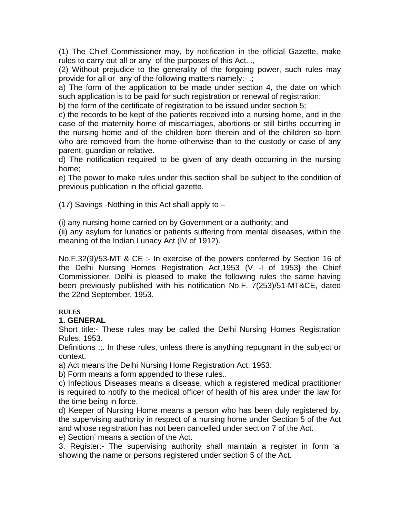(1) The Chief Commissioner may, by notification in the official Gazette, make rules to carry out all or any of the purposes of this Act. .,

(2) Without prejudice to the generality of the forgoing power, such rules may provide for all or any of the following matters namely:- .;

a) The form of the application to be made under section 4, the date on which such application is to be paid for such registration or renewal of registration;

b) the form of the certificate of registration to be issued under section 5;

c) the records to be kept of the patients received into a nursing home, and in the case of the maternity home of miscarriages, abortions or still births occurring in the nursing home and of the children born therein and of the children so born who are removed from the home otherwise than to the custody or case of any parent, guardian or relative.

d) The notification required to be given of any death occurring in the nursing home;

e) The power to make rules under this section shall be subject to the condition of previous publication in the official gazette.

 $(17)$  Savings -Nothing in this Act shall apply to  $-$ 

(i) any nursing home carried on by Government or a authority; and

(ii) any asylum for lunatics or patients suffering from mental diseases, within the meaning of the Indian Lunacy Act (IV of 1912).

No.F.32(9)/53-MT & CE :- In exercise of the powers conferred by Section 16 of the Delhi Nursing Homes Registration Act,1953 (V -I of 1953} the Chief Commissioner, Delhi is pleased to make the following rules the same having been previously published with his notification No.F. 7(253)/51-MT&CE, dated the 22nd September, 1953.

## **RULES**

## **1. GENERAL**

Short title:- These rules may be called the Delhi Nursing Homes Registration Rules, 1953.

Definitions :;. In these rules, unless there is anything repugnant in the subject or context.

a) Act means the Delhi Nursing Home Registration Act; 1953.

b) Form means a form appended to these rules..

c) Infectious Diseases means a disease, which a registered medical practitioner is required to notify to the medical officer of health of his area under the law for the time being in force.

d) Keeper of Nursing Home means a person who has been duly registered by. the supervising authority in respect of a nursing home under Section 5 of the Act and whose registration has not been cancelled under section 7 of the Act.

e) Section' means a section of the Act.

3. Register:- The supervising authority shall maintain a register in form 'a' showing the name or persons registered under section 5 of the Act.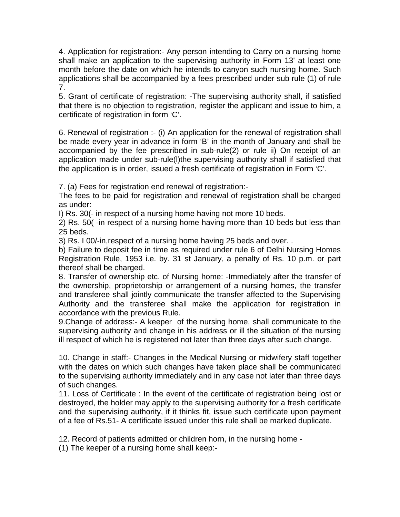4. Application for registration:- Any person intending to Carry on a nursing home shall make an application to the supervising authority in Form 13' at least one month before the date on which he intends to canyon such nursing home. Such applications shall be accompanied by a fees prescribed under sub rule (1) of rule 7.

5. Grant of certificate of registration: -The supervising authority shall, if satisfied that there is no objection to registration, register the applicant and issue to him, a certificate of registration in form 'C'.

6. Renewal of registration :- (i) An application for the renewal of registration shall be made every year in advance in form 'B' in the month of January and shall be accompanied by the fee prescribed in sub-rule(2) or rule ii) On receipt of an application made under sub-rule(l)the supervising authority shall if satisfied that the application is in order, issued a fresh certificate of registration in Form 'C'.

7. (a) Fees for registration end renewal of registration:-

The fees to be paid for registration and renewal of registration shall be charged as under:

I) Rs. 30(- in respect of a nursing home having not more 10 beds.

2) Rs. 50( -in respect of a nursing home having more than 10 beds but less than 25 beds.

3) Rs. I 00/-in,respect of a nursing home having 25 beds and over. .

b) Failure to deposit fee in time as required under rule 6 of Delhi Nursing Homes Registration Rule, 1953 i.e. by. 31 st January, a penalty of Rs. 10 p.m. or part thereof shall be charged.

8. Transfer of ownership etc. of Nursing home: -Immediately after the transfer of the ownership, proprietorship or arrangement of a nursing homes, the transfer and transferee shall jointly communicate the transfer affected to the Supervising Authority and the transferee shall make the application for registration in accordance with the previous Rule.

9.Change of address:- A keeper of the nursing home, shall communicate to the supervising authority and change in his address or ill the situation of the nursing ill respect of which he is registered not later than three days after such change.

10. Change in staff:- Changes in the Medical Nursing or midwifery staff together with the dates on which such changes have taken place shall be communicated to the supervising authority immediately and in any case not later than three days of such changes.

11. Loss of Certificate : In the event of the certificate of registration being lost or destroyed, the holder may apply to the supervising authority for a fresh certificate and the supervising authority, if it thinks fit, issue such certificate upon payment of a fee of Rs.51- A certificate issued under this rule shall be marked duplicate.

12. Record of patients admitted or children horn, in the nursing home -

(1) The keeper of a nursing home shall keep:-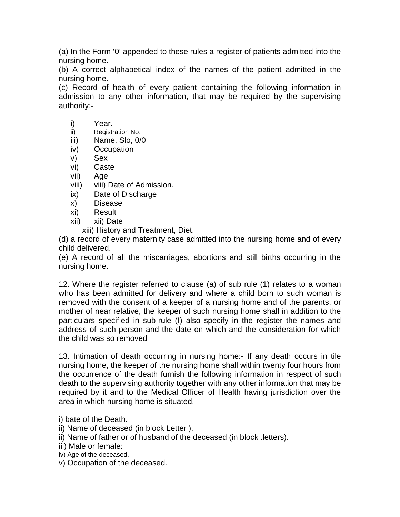(a) In the Form '0' appended to these rules a register of patients admitted into the nursing home.

(b) A correct alphabetical index of the names of the patient admitted in the nursing home.

(c) Record of health of every patient containing the following information in admission to any other information, that may be required by the supervising authority:-

- i) Year.
- ii) Registration No.
- iii) Name, Slo, 0/0
- iv) Occupation
- v) Sex
- vi) Caste
- vii) Age
- viii) viii) Date of Admission.
- ix) Date of Discharge
- x) Disease
- xi) Result
- xii) xii) Date

xiii) History and Treatment, Diet.

(d) a record of every maternity case admitted into the nursing home and of every child delivered.

(e) A record of all the miscarriages, abortions and still births occurring in the nursing home.

12. Where the register referred to clause (a) of sub rule (1) relates to a woman who has been admitted for delivery and where a child born to such woman is removed with the consent of a keeper of a nursing home and of the parents, or mother of near relative, the keeper of such nursing home shall in addition to the particulars specified in sub-rule (I) also specify in the register the names and address of such person and the date on which and the consideration for which the child was so removed

13. Intimation of death occurring in nursing home:- If any death occurs in tile nursing home, the keeper of the nursing home shall within twenty four hours from the occurrence of the death furnish the following information in respect of such death to the supervising authority together with any other information that may be required by it and to the Medical Officer of Health having jurisdiction over the area in which nursing home is situated.

i) bate of the Death.

- ii) Name of deceased (in block Letter ).
- ii) Name of father or of husband of the deceased (in block .letters).
- iii) Male or female:
- iv) Age of the deceased.
- v) Occupation of the deceased.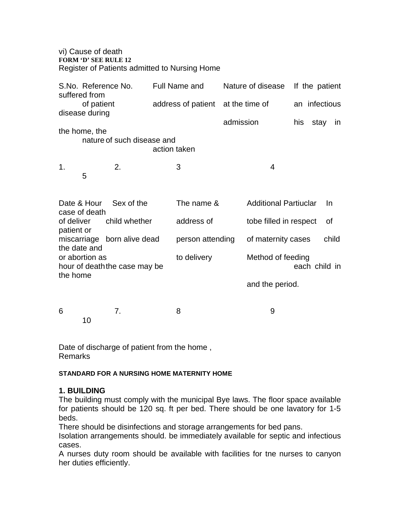vi) Cause of death **FORM 'D' SEE RULE 12** Register of Patients admitted to Nursing Home

|                                             | S.No. Reference No.<br>suffered from |                             | <b>Full Name and</b> |                                   | Nature of disease |                              | If the patient |    |               |
|---------------------------------------------|--------------------------------------|-----------------------------|----------------------|-----------------------------------|-------------------|------------------------------|----------------|----|---------------|
| of patient                                  |                                      |                             |                      | address of patient at the time of |                   |                              |                |    | an infectious |
| disease during                              |                                      |                             |                      |                                   | admission         |                              |                |    |               |
|                                             |                                      |                             |                      | his                               |                   |                              | stay           | in |               |
| the home, the<br>nature of such disease and |                                      |                             |                      |                                   |                   |                              |                |    |               |
|                                             |                                      |                             | action taken         |                                   |                   |                              |                |    |               |
| 1.                                          | 2.                                   |                             | 3                    |                                   | 4                 |                              |                |    |               |
|                                             | 5                                    |                             |                      |                                   |                   |                              |                |    |               |
|                                             | Sex of the<br>Date & Hour            |                             |                      | The name &                        |                   | <b>Additional Partiuclar</b> |                |    | In.           |
|                                             | case of death                        |                             |                      |                                   |                   |                              |                |    |               |
| of deliver<br>patient or                    |                                      | child whether               | address of           |                                   |                   | tobe filled in respect       |                | οf |               |
|                                             | the date and                         | miscarriage born alive dead |                      | person attending                  |                   | of maternity cases           |                |    | child         |
| or abortion as                              |                                      |                             |                      | to delivery                       |                   | Method of feeding            |                |    |               |
| hour of death the case may be<br>the home   |                                      |                             |                      |                                   |                   |                              |                |    | each child in |
|                                             |                                      |                             |                      |                                   |                   | and the period.              |                |    |               |
|                                             |                                      |                             |                      |                                   |                   |                              |                |    |               |
| 6                                           | 10                                   | 7.                          |                      | 8                                 |                   | 9                            |                |    |               |

Date of discharge of patient from the home , Remarks

#### **STANDARD FOR A NURSING HOME MATERNITY HOME**

## **1. BUILDING**

The building must comply with the municipal Bye laws. The floor space available for patients should be 120 sq. ft per bed. There should be one lavatory for 1-5 beds.

There should be disinfections and storage arrangements for bed pans.

Isolation arrangements should. be immediately available for septic and infectious cases.

A nurses duty room should be available with facilities for tne nurses to canyon her duties efficiently.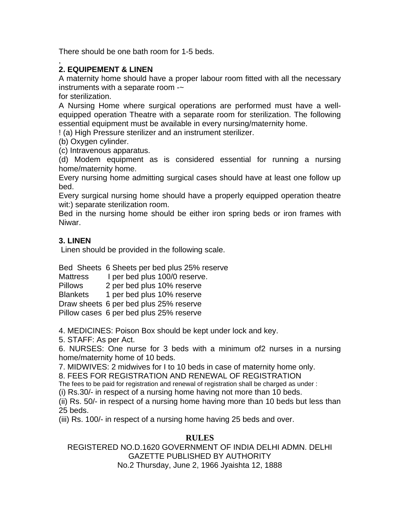There should be one bath room for 1-5 beds.

### , **2. EQUIPEMENT & LINEN**

A maternity home should have a proper labour room fitted with all the necessary instruments with a separate room -~

for sterilization.

A Nursing Home where surgical operations are performed must have a wellequipped operation Theatre with a separate room for sterilization. The following essential equipment must be available in every nursing/maternity home.

! (a) High Pressure sterilizer and an instrument sterilizer.

(b) Oxygen cylinder.

(c) Intravenous apparatus.

(d) Modem equipment as is considered essential for running a nursing home/maternity home.

Every nursing home admitting surgical cases should have at least one follow up bed.

Every surgical nursing home should have a properly equipped operation theatre wit:) separate sterilization room.

Bed in the nursing home should be either iron spring beds or iron frames with Niwar.

# **3. LINEN**

Linen should be provided in the following scale.

Bed Sheets 6 Sheets per bed plus 25% reserve

Mattress I per bed plus 100/0 reserve.

Pillows 2 per bed plus 10% reserve

Blankets 1 per bed plus 10% reserve

Draw sheets 6 per bed plus 25% reserve

Pillow cases 6 per bed plus 25% reserve

4. MEDICINES: Poison Box should be kept under lock and key.

5. STAFF: As per Act.

6. NURSES: One nurse for 3 beds with a minimum of2 nurses in a nursing home/maternity home of 10 beds.

7. MIDWIVES: 2 midwives for I to 10 beds in case of maternity home only.

8. FEES FOR REGISTRATION AND RENEWAL OF REGISTRATION

The fees to be paid for registration and renewal of registration shall be charged as under :

(i) Rs.30/- in respect of a nursing home having not more than 10 beds.

(ii) Rs. 50/- in respect of a nursing home having more than 10 beds but less than 25 beds.

(iii) Rs. 100/- in respect of a nursing home having 25 beds and over.

# **RULES**

# REGISTERED NO.D.1620 GOVERNMENT OF INDIA DELHI ADMN. DELHI GAZETTE PUBLISHED BY AUTHORITY No.2 Thursday, June 2, 1966 Jyaishta 12, 1888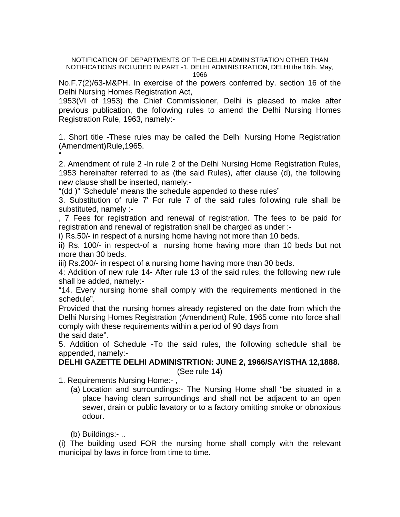NOTIFICATION OF DEPARTMENTS OF THE DELHI ADMINISTRATION OTHER THAN NOTIFICATIONS INCLUDED IN PART -1. DELHI ADMINISTRATION, DELHI the 16th. May, 1966

No.F.7(2)/63-M&PH. In exercise of the powers conferred by. section 16 of the Delhi Nursing Homes Registration Act,

1953(VI of 1953) the Chief Commissioner, Delhi is pleased to make after previous publication, the following rules to amend the Delhi Nursing Homes Registration Rule, 1963, namely:-

1. Short title -These rules may be called the Delhi Nursing Home Registration (Amendment)Rule,1965.

" 2. Amendment of rule 2 -In rule 2 of the Delhi Nursing Home Registration Rules, 1953 hereinafter referred to as (the said Rules), after clause (d), the following new clause shall be inserted, namely:-

"(dd )" 'Schedule' means the schedule appended to these rules"

3. Substitution of rule 7' For rule 7 of the said rules following rule shall be substituted, namely :-

, 7 Fees for registration and renewal of registration. The fees to be paid for registration and renewal of registration shall be charged as under :-

i) Rs.50/- in respect of a nursing home having not more than 10 beds.

ii) Rs. 100/- in respect-of a nursing home having more than 10 beds but not more than 30 beds.

iii) Rs.200/- in respect of a nursing home having more than 30 beds.

4: Addition of new rule 14- After rule 13 of the said rules, the following new rule shall be added, namely:-

"14. Every nursing home shall comply with the requirements mentioned in the schedule".

Provided that the nursing homes already registered on the date from which the Delhi Nursing Homes Registration (Amendment) Rule, 1965 come into force shall comply with these requirements within a period of 90 days from the said date".

5. Addition of Schedule -To the said rules, the following schedule shall be appended, namely:-

**DELHI GAZETTE DELHI ADMINISTRTION: JUNE 2, 1966/SAYISTHA 12,1888.**

(See rule 14)

1. Requirements Nursing Home:- ,

- (a) Location and surroundings:- The Nursing Home shall "be situated in a place having clean surroundings and shall not be adjacent to an open sewer, drain or public lavatory or to a factory omitting smoke or obnoxious odour.
- (b) Buildings:- ..

(i) The building used FOR the nursing home shall comply with the relevant municipal by laws in force from time to time.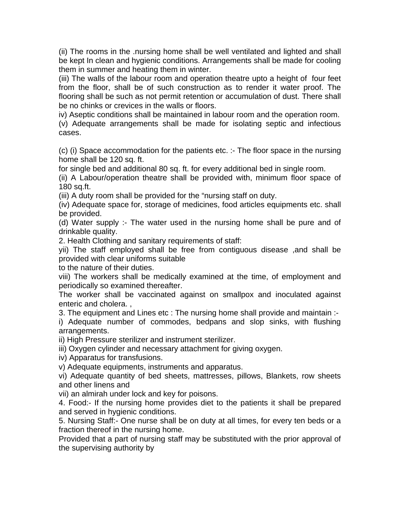(ii) The rooms in the .nursing home shall be well ventilated and lighted and shall be kept In clean and hygienic conditions. Arrangements shall be made for cooling them in summer and heating them in winter.

(iii) The walls of the labour room and operation theatre upto a height of four feet from the floor, shall be of such construction as to render it water proof. The flooring shall be such as not permit retention or accumulation of dust. There shall be no chinks or crevices in the walls or floors.

iv) Aseptic conditions shall be maintained in labour room and the operation room. (v) Adequate arrangements shall be made for isolating septic and infectious cases.

(c) (i) Space accommodation for the patients etc. :- The floor space in the nursing home shall be 120 sq. ft.

for single bed and additional 80 sq. ft. for every additional bed in single room.

(ii) A Labour/operation theatre shall be provided with, minimum floor space of 180 sq.ft.

(iii) A duty room shall be provided for the "nursing staff on duty.

(iv) Adequate space for, storage of medicines, food articles equipments etc. shall be provided.

(d) Water supply :- The water used in the nursing home shall be pure and of drinkable quality.

2. Health Clothing and sanitary requirements of staff:

yii) The staff employed shall be free from contiguous disease ,and shall be provided with clear uniforms suitable

to the nature of their duties.

viii) The workers shall be medically examined at the time, of employment and periodically so examined thereafter.

The worker shall be vaccinated against on smallpox and inoculated against enteric and cholera. ,

3. The equipment and Lines etc : The nursing home shall provide and maintain :-

i) Adequate number of commodes, bedpans and slop sinks, with flushing arrangements.

ii) High Pressure sterilizer and instrument sterilizer.

iii) Oxygen cylinder and necessary attachment for giving oxygen.

iv) Apparatus for transfusions.

v) Adequate equipments, instruments and apparatus.

vi) Adequate quantity of bed sheets, mattresses, pillows, Blankets, row sheets and other linens and

vii) an almirah under lock and key for poisons.

4. Food:- If the nursing home provides diet to the patients it shall be prepared and served in hygienic conditions.

5. Nursing Staff:- One nurse shall be on duty at all times, for every ten beds or a fraction thereof in the nursing home.

Provided that a part of nursing staff may be substituted with the prior approval of the supervising authority by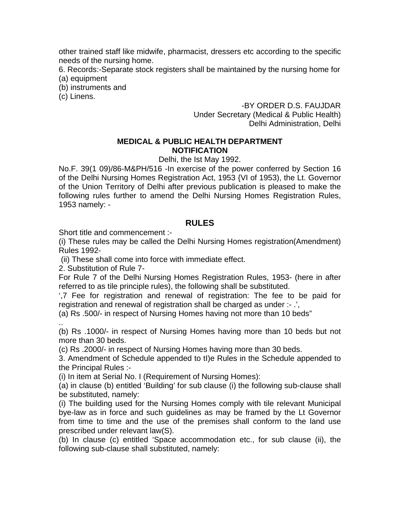other trained staff like midwife, pharmacist, dressers etc according to the specific needs of the nursing home.

6. Records:-Separate stock registers shall be maintained by the nursing home for

(a) equipment

(b) instruments and

(c) Linens.

-BY ORDER D.S. FAUJDAR Under Secretary (Medical & Public Health) Delhi Administration, Delhi

## **MEDICAL & PUBLIC HEALTH DEPARTMENT NOTIFICATION**

Delhi, the Ist May 1992.

No.F. 39(1 09)/86-M&PH/516 -In exercise of the power conferred by Section 16 of the Delhi Nursing Homes Registration Act, 1953 {VI of 1953), the Lt. Governor of the Union Territory of Delhi after previous publication is pleased to make the following rules further to amend the Delhi Nursing Homes Registration Rules, 1953 namely: -

# **RULES**

Short title and commencement :-

(i) These rules may be called the Delhi Nursing Homes registration(Amendment) Rules 1992-

(ii) These shall come into force with immediate effect.

2. Substitution of Rule 7-

..

For Rule 7 of the Delhi Nursing Homes Registration Rules, 1953- (here in after referred to as tile principle rules), the following shall be substituted.

',7 Fee for registration and renewal of registration: The fee to be paid for registration and renewal of registration shall be charged as under :- .',

(a) Rs .500/- in respect of Nursing Homes having not more than 10 beds"

(b) Rs .1000/- in respect of Nursing Homes having more than 10 beds but not more than 30 beds.

(c) Rs .2000/- in respect of Nursing Homes having more than 30 beds.

3. Amendment of Schedule appended to tI)e Rules in the Schedule appended to the Principal Rules :-

(i) In item at Serial No. I (Requirement of Nursing Homes):

(a) in clause (b) entitled 'Building' for sub clause (i) the following sub-clause shall be substituted, namely:

(i) The building used for the Nursing Homes comply with tile relevant Municipal bye-law as in force and such guidelines as may be framed by the Lt Governor from time to time and the use of the premises shall conform to the land use prescribed under relevant law(S).

(b) In clause (c) entitled 'Space accommodation etc., for sub clause (ii), the following sub-clause shall substituted, namely: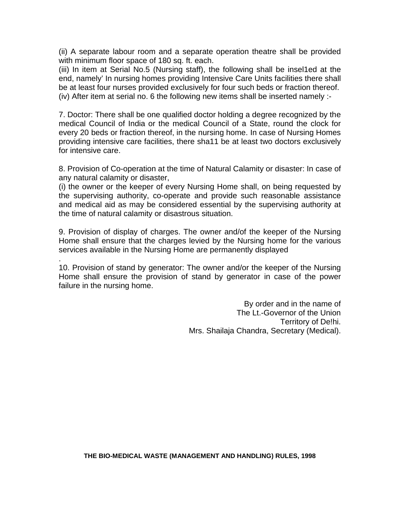(ii) A separate labour room and a separate operation theatre shall be provided with minimum floor space of 180 sq. ft. each.

(iii) In item at Serial No.5 (Nursing staff), the following shall be insel1ed at the end, namely' In nursing homes providing Intensive Care Units facilities there shall be at least four nurses provided exclusively for four such beds or fraction thereof. (iv) After item at serial no. 6 the following new items shall be inserted namely :-

7. Doctor: There shall be one qualified doctor holding a degree recognized by the medical Council of India or the medical Council of a State, round the clock for every 20 beds or fraction thereof, in the nursing home. In case of Nursing Homes providing intensive care facilities, there sha11 be at least two doctors exclusively for intensive care.

8. Provision of Co-operation at the time of Natural Calamity or disaster: In case of any natural calamity or disaster,

(i) the owner or the keeper of every Nursing Home shall, on being requested by the supervising authority, co-operate and provide such reasonable assistance and medical aid as may be considered essential by the supervising authority at the time of natural calamity or disastrous situation.

9. Provision of display of charges. The owner and/of the keeper of the Nursing Home shall ensure that the charges levied by the Nursing home for the various services available in the Nursing Home are permanently displayed

.

10. Provision of stand by generator: The owner and/or the keeper of the Nursing Home shall ensure the provision of stand by generator in case of the power failure in the nursing home.

> By order and in the name of The Lt.-Governor of the Union Territory of De!hi. Mrs. Shailaja Chandra, Secretary (Medical).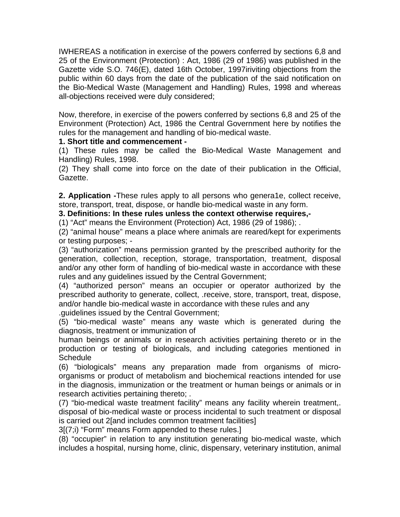IWHEREAS a notification in exercise of the powers conferred by sections 6,8 and 25 of the Environment (Protection) : Act, 1986 (29 of 1986) was published in the Gazette vide S.O. 746(E), dated 16th October, 1997iriviting objections from the public within 60 days from the date of the publication of the said notification on the Bio-Medical Waste (Management and Handling) Rules, 1998 and whereas all-objections received were duly considered;

Now, therefore, in exercise of the powers conferred by sections 6,8 and 25 of the Environment (Protection) Act, 1986 the Central Government here by notifies the rules for the management and handling of bio-medical waste.

## **1. Short title and commencement -**

(1) These rules may be called the Bio-Medical Waste Management and Handling) Rules, 1998.

(2) They shall come into force on the date of their publication in the Official, Gazette.

**2. Application -**These rules apply to all persons who genera1e, collect receive, store, transport, treat, dispose, or handle bio-medical waste in any form.

**3. Definitions: In these rules unless the context otherwise requires,-**

(1) "Act" means the Environment (Protection) Act, 1986 (29 of 1986); .

(2) "animal house" means a place where animals are reared/kept for experiments or testing purposes; -

(3) "authorization" means permission granted by the prescribed authority for the generation, collection, reception, storage, transportation, treatment, disposal and/or any other form of handling of bio-medical waste in accordance with these rules and any guidelines issued by the Central Government;

(4) "authorized person" means an occupier or operator authorized by the prescribed authority to generate, collect, .receive, store, transport, treat, dispose, and/or handle bio-medical waste in accordance with these rules and any

.guidelines issued by the Central Government;

(5) "bio-medical waste" means any waste which is generated during the diagnosis, treatment or immunization of

human beings or animals or in research activities pertaining thereto or in the production or testing of biologicals, and including categories mentioned in **Schedule** 

(6) "biologicals" means any preparation made from organisms of microorganisms or product of metabolism and biochemical reactions intended for use in the diagnosis, immunization or the treatment or human beings or animals or in research activities pertaining thereto; .

(7) "bio-medical waste treatment facility" means any facility wherein treatment,. disposal of bio-medical waste or process incidental to such treatment or disposal is carried out 2[and includes common treatment facilities]

3[(7;i) "Form" means Form appended to these rules.]

(8) "occupier" in relation to any institution generating bio-medical waste, which includes a hospital, nursing home, clinic, dispensary, veterinary institution, animal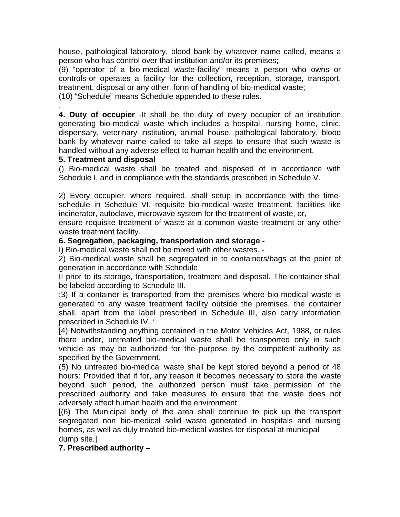house, pathological laboratory, blood bank by whatever name called, means a person who has control over that institution and/or its premises;

(9) "operator of a bio-medical waste-facility" means a person who owns or controls-or operates a facility for the collection, reception, storage, transport, treatment, disposal or any other. form of handling of bio-medical waste;

(10) "Schedule" means Schedule appended to these rules.

**4. Duty of occupier** -It shall be the duty of every occupier of an institution generating bio-medical waste which includes a hospital, nursing home, clinic, dispensary, veterinary institution, animal house, pathological laboratory, blood bank by whatever name called to take all steps to ensure that such waste is handled without any adverse effect to human health and the environment.

# **5. Treatment and disposal**

.

() Bio-medical waste shall be treated and disposed of in accordance with Schedule I, and in compliance with the standards prescribed in Schedule V.

2) Every occupier, where required, shall setup in accordance with the timeschedule in Schedule VI, requisite bio-medical waste treatment. facilities like incinerator, autoclave, microwave system for the treatment of waste, or,

ensure requisite treatment of waste at a common waste treatment or any other waste treatment facility.

# **6. Segregation, packaging, transportation and storage -**

I) Bio-medical waste shall not be mixed with other wastes. -

2) Bio-medical waste shall be segregated in to containers/bags at the point of generation in accordance with Schedule

II prior to its storage, transportation, treatment and disposal. The container shall be labeled according to Schedule III.

:3) If a container is transported from the premises where bio-medical waste is generated to any waste treatment facility outside the premises, the container shall, apart from the label prescribed in Schedule III, also carry information prescribed in Schedule IV. '

[4) Notwithstanding anything contained in the Motor Vehicles Act, 1988, or rules there under, untreated bio-medical waste shall be transported only in such vehicle as may be authorized for the purpose by the competent authority as specified by the Government.

(5) No untreated bio-medical waste shall be kept stored beyond a period of 48 hours: Provided that if for, any reason it becomes necessary to store the waste beyond such period, the authorized person must take permission of the prescribed authority and take measures to ensure that the waste does not adversely affect human health and the environment.

[(6) The Municipal body of the area shall continue to pick up the transport segregated non bio-medical solid waste generated in hospitals and nursing homes, as well as duly treated bio-medical wastes for disposal at municipal dump site.]

# **7. Prescribed authority –**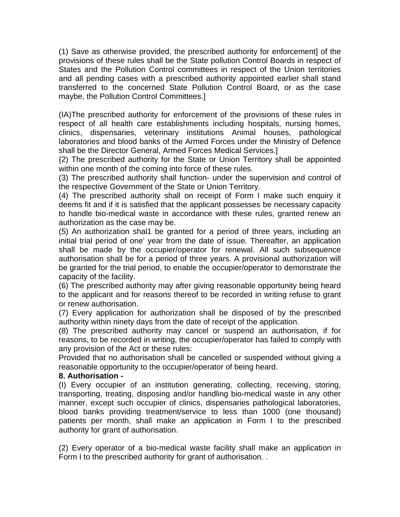(1) Save as otherwise provided, the prescribed authority for enforcement] of the provisions of these rules shall be the State pollution Control Boards in respect of States and the Pollution Control committees in respect of the Union territories and all pending cases with a prescribed authority appointed earlier shall stand transferred to the concerned State Pollution Control Board, or as the case maybe, the Pollution Control Committees.]

(IA)The prescribed authority for enforcement of the provisions of these rules in respect of all health care establishments including hospitals, nursing homes, clinics, dispensaries, veterinary institutions Animal houses, pathological laboratories and blood banks of the Armed Forces under the Ministry of Defence shall be the Director General, Armed Forces Medical Services.]

{2) The prescribed authority for the State or Union Territory shall be appointed within one month of the coming into force of these rules.

(3) The prescribed authority shall function- under the supervision and control of the respective Government of the State or Union Territory.

(4) The prescribed authority shall on receipt of Form I make such enquiry it deems fit and if it is satisfied that the applicant possesses be necessary capacity to handle bio-medical waste in accordance with these rules, granted renew an authorization as the case may be.

(5) An authorization shal1 be granted for a period of three years, including an initial trial period of one' year from the date of issue. Thereafter, an application shall be made by the occupier/operator for renewal. All such subsequence authorisation shall be for a period of three years. A provisional authorization will be granted for the trial period, to enable the occupier/operator to demonstrate the capacity of the facility.

(6) The prescribed authority may after giving reasonable opportunity being heard to the applicant and for reasons thereof to be recorded in writing refuse to grant or renew authorisation.

(7) Every application for authorization shall be disposed of by the prescribed authority within ninety days from the date of receipt of the application.

(8) The prescribed authority may cancel or suspend an authorisation, if for reasons, to be recorded in writing, the occupier/operator has failed to comply with any provision of the Act or these rules:

Provided that no authorisation shall be cancelled or suspended without giving a reasonable opportunity to the occupier/operator of being heard.

# **8. Authorisation -**

(I) Every occupier of an institution generating, collecting, receiving, storing, transporting, treating, disposing and/or handling bio-medical waste in any other manner, except such occupier of clinics, dispensaries pathological laboratories, blood banks providing treatment/service to less than 1000 (one thousand) patients per month, shall make an application in Form I to the prescribed authority for grant of authorisation.

(2) Every operator of a bio-medical waste facility shall make an application in Form I to the prescribed authority for grant of authorisation. .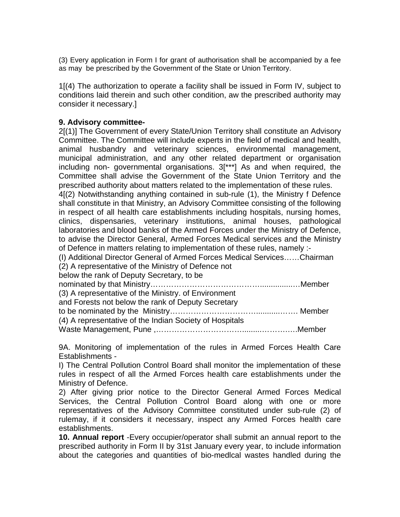(3) Every application in Form I for grant of authorisation shall be accompanied by a fee as may be prescribed by the Government of the State or Union Territory.

1[(4) The authorization to operate a facility shall be issued in Form IV, subject to conditions laid therein and such other condition, aw the prescribed authority may consider it necessary.]

# **9. Advisory committee-**

2[(1)] The Government of every State/Union Territory shall constitute an Advisory Committee. The Committee will include experts in the field of medical and health, animal husbandry and veterinary sciences, environmental management, municipal administration, and any other related department or organisation including non- governmental organisations. 3[\*\*\*] As and when required, the Committee shall advise the Government of the State Union Territory and the prescribed authority about matters related to the implementation of these rules.

4[(2) Notwithstanding anything contained in sub-rule (1), the Ministry f Defence shall constitute in that Ministry, an Advisory Committee consisting of the following in respect of all health care establishments including hospitals, nursing homes, clinics, dispensaries, veterinary institutions, animal houses, pathological laboratories and blood banks of the Armed Forces under the Ministry of Defence, to advise the Director General, Armed Forces Medical services and the Ministry of Defence in matters relating to implementation of these rules, namely :-

(I) Additional Director General of Armed Forces Medical Services……Chairman (2) A representative of the Ministry of Defence not

below the rank of Deputy Secretary, to be

nominated by that Ministry………………………………………………………Member

(3) A representative of the Ministry. of Environment

and Forests not below the rank of Deputy Secretary

to be nominated by the Ministry……………………………...........……. Member

(4) A representative of the Indian Society of Hospitals Waste Management, Pune ,…………………………….........……….….Member

9A. Monitoring of implementation of the rules in Armed Forces Health Care Establishments -

I) The Central Pollution Control Board shall monitor the implementation of these rules in respect of all the Armed Forces health care establishments under the Ministry of Defence.

2) After giving prior notice to the Director General Armed Forces Medical Services, the Central Pollution Control Board along with one or more representatives of the Advisory Committee constituted under sub-rule (2) of rulemay, if it considers it necessary, inspect any Armed Forces health care establishments.

**10. Annual report** -Every occupier/operator shall submit an annual report to the prescribed authority in Form II by 31st January every year, to include information about the categories and quantities of bio-medlcal wastes handled during the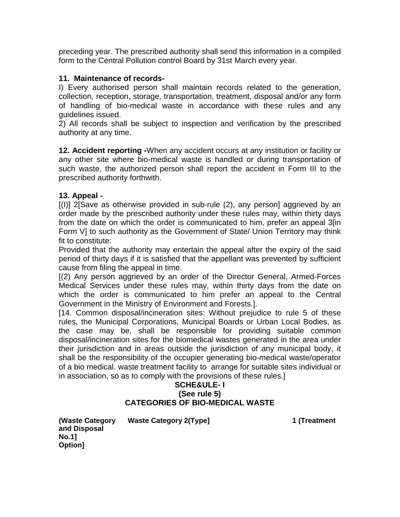preceding year. The prescribed authority shall send this information in a compiled form to the Central Pollution control Board by 31st March every year.

# **11. Maintenance of records-**

I) Every authorised person shall maintain records related to the generation, collection, reception, storage, transportation, treatment, disposal and/or any form of handling of bio-medical waste in accordance with these rules and any guidelines issued.

2) All records shall be subject to inspection and verification by the prescribed authority at any time.

**12. Accident reporting -**When any accident occurs at any institution or facility or any other site where bio-medical waste is handled or during transportation of such waste, the authorized person shall report the accident in Form III to the prescribed authority forthwith.

# **13. Appeal -**

[(I)] 2[Save as otherwise provided in sub-rule (2), any person] aggrieved by an order made by the prescribed authority under these rules may, within thirty days from the date on which the order is communicated to him, prefer an appeal 3[in Form V] to such authority as the Government of State/ Union Territory may think fit to constitute:

Provided that the authority may entertain the appeal after the expiry of the said period of thirty days if it is satisfied that the appellant was prevented by sufficient cause from filing the appeal in time.

[(2) Any person aggrieved by an order of the Director General, Armed-Forces Medical Services under these rules may, within thirty days from the date on which the order is communicated to him prefer an appeal to the Central Government in the Ministry of Environment and Forests.].

[14. Common disposal/incineration sites: Without prejudice to rule 5 of these rules, the Municipal Corporations, Municipal Boards or Urban Local Bodies, as the case may be, shall be responsible for providing suitable common disposal/incineration sites for the biomedical wastes generated in the area under their jurisdiction and in areas outside the jurisdiction of any municipal body, it shall be the responsibility of the occupier generating bio-medical waste/operator of a bio medical. waste treatment facility to arrange for suitable sites individual or in association, so as to comply with the provisions of these rules.]

# **SCHE&ULE- I (See rule 5) CATEGORIES OF BIO-MEDICAL WASTE**

**and Disposal No.1] Option]**

**(Waste Category Waste Category 2(Type] 1 (Treatment**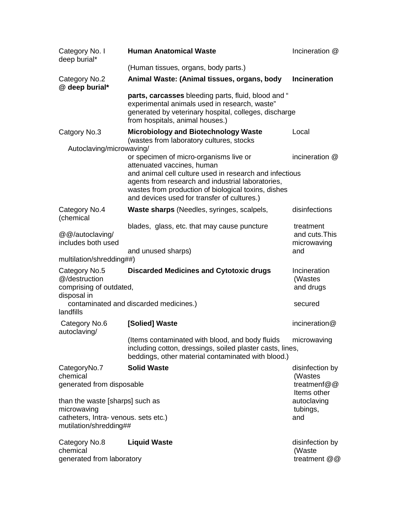| Category No. I<br>deep burial*                                                | <b>Human Anatomical Waste</b>                                                                                                                                                                                                                                                              | Incineration @                                    |  |
|-------------------------------------------------------------------------------|--------------------------------------------------------------------------------------------------------------------------------------------------------------------------------------------------------------------------------------------------------------------------------------------|---------------------------------------------------|--|
|                                                                               | (Human tissues, organs, body parts.)                                                                                                                                                                                                                                                       |                                                   |  |
| Category No.2<br>@ deep burial*                                               | <b>Incineration</b>                                                                                                                                                                                                                                                                        |                                                   |  |
|                                                                               | parts, carcasses bleeding parts, fluid, blood and "<br>experimental animals used in research, waste"<br>generated by veterinary hospital, colleges, discharge<br>from hospitals, animal houses.)                                                                                           |                                                   |  |
| Catgory No.3                                                                  | <b>Microbiology and Biotechnology Waste</b><br>(wastes from laboratory cultures, stocks                                                                                                                                                                                                    | Local                                             |  |
| Autoclaving/microwaving/                                                      |                                                                                                                                                                                                                                                                                            |                                                   |  |
|                                                                               | or specimen of micro-organisms live or<br>attenuated vaccines, human<br>and animal cell culture used in research and infectious<br>agents from research and industrial laboratories,<br>wastes from production of biological toxins, dishes<br>and devices used for transfer of cultures.) | incineration @                                    |  |
| Category No.4<br>(chemical                                                    | <b>Waste sharps</b> (Needles, syringes, scalpels,                                                                                                                                                                                                                                          | disinfections                                     |  |
| @@/autoclaving/<br>includes both used<br>multilation/shredding##)             | blades, glass, etc. that may cause puncture<br>and unused sharps)                                                                                                                                                                                                                          | treatment<br>and cuts. This<br>microwaving<br>and |  |
| Category No.5<br>@/destruction<br>comprising of outdated,<br>disposal in      | <b>Discarded Medicines and Cytotoxic drugs</b>                                                                                                                                                                                                                                             | Incineration<br>(Wastes<br>and drugs              |  |
| landfills                                                                     | contaminated and discarded medicines.)                                                                                                                                                                                                                                                     | secured                                           |  |
| Category No.6<br>autoclaving/                                                 | [Solied] Waste                                                                                                                                                                                                                                                                             | incineration@                                     |  |
|                                                                               | (Items contaminated with blood, and body fluids<br>including cotton, dressings, soiled plaster casts, lines,<br>beddings, other material contaminated with blood.)                                                                                                                         | microwaving                                       |  |
| CategoryNo.7<br>chemical<br>generated from disposable                         | <b>Solid Waste</b>                                                                                                                                                                                                                                                                         | disinfection by<br>(Wastes<br>treatmenf@@         |  |
| than the waste [sharps] such as                                               |                                                                                                                                                                                                                                                                                            | Items other<br>autoclaving                        |  |
| microwaving<br>catheters, Intra- venous. sets etc.)<br>mutilation/shredding## |                                                                                                                                                                                                                                                                                            | tubings,<br>and                                   |  |
| Category No.8<br>chemical                                                     | <b>Liquid Waste</b>                                                                                                                                                                                                                                                                        | disinfection by<br>(Waste                         |  |
| generated from laboratory                                                     |                                                                                                                                                                                                                                                                                            | treatment @ @                                     |  |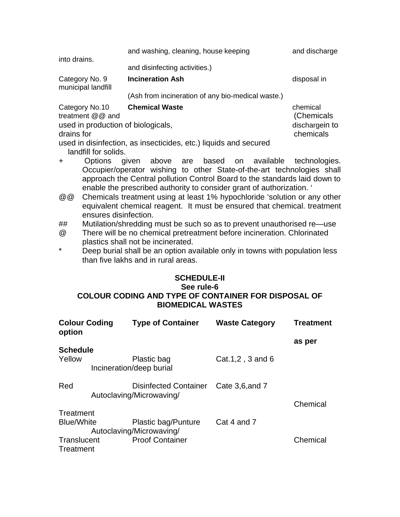|                                      | and washing, cleaning, house keeping                             | and discharge |
|--------------------------------------|------------------------------------------------------------------|---------------|
| into drains.                         | and disinfecting activities.)                                    |               |
| Category No. 9<br>municipal landfill | <b>Incineration Ash</b>                                          | disposal in   |
|                                      | (Ash from incineration of any bio-medical waste.)                |               |
| Category No.10                       | <b>Chemical Waste</b>                                            | chemical      |
| treatment @ @ and                    | (Chemicals                                                       |               |
| used in production of biologicals,   | dischargein to                                                   |               |
| drains for                           | chemicals                                                        |               |
|                                      | used in disinfection, as insecticides, etc.) liquids and secured |               |

landfill for solids.

- + Options given above are based on available technologies. Occupier/operator wishing to other State-of-the-art technologies shall approach the Central pollution Control Board to the standards laid down to enable the prescribed authority to consider grant of authorization. '
- @@ Chemicals treatment using at least 1% hypochloride 'solution or any other equivalent chemical reagent. It must be ensured that chemical. treatment ensures disinfection.
- ## Mutilation/shredding must be such so as to prevent unauthorised re-use
- @ There will be no chemical pretreatment before incineration. Chlorinated plastics shall not be incinerated.
- \* Deep burial shall be an option available only in towns with population less than five lakhs and in rural areas.

# **SCHEDULE-II**

### **See rule-6 COLOUR CODING AND TYPE OF CONTAINER FOR DISPOSAL OF BIOMEDICAL WASTES**

| <b>Colour Coding</b><br>option | <b>Type of Container</b>                                 | <b>Waste Category</b> | <b>Treatment</b> |
|--------------------------------|----------------------------------------------------------|-----------------------|------------------|
|                                |                                                          |                       | as per           |
| <b>Schedule</b>                |                                                          |                       |                  |
| Yellow                         | Plastic bag<br>Incineration/deep burial                  | Cat.1,2, 3 and 6      |                  |
|                                |                                                          |                       |                  |
| Red                            | <b>Disinfected Container</b><br>Autoclaving/Microwaving/ | Cate 3,6, and 7       |                  |
|                                |                                                          |                       | Chemical         |
| Treatment                      |                                                          |                       |                  |
| <b>Blue/White</b>              | Plastic bag/Punture                                      | Cat 4 and 7           |                  |
|                                | Autoclaving/Microwaving/                                 |                       |                  |
| Translucent                    | <b>Proof Container</b>                                   |                       | Chemical         |
| Treatment                      |                                                          |                       |                  |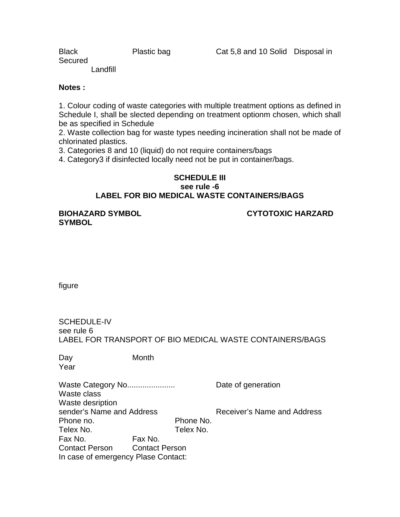**Secured** 

Landfill

# **Notes :**

1. Colour coding of waste categories with multiple treatment options as defined in Schedule I, shall be slected depending on treatment optionm chosen, which shall be as specified in Schedule

2. Waste collection bag for waste types needing incineration shall not be made of chlorinated plastics.

3. Categories 8 and 10 (liquid) do not require containers/bags

4. Category3 if disinfected locally need not be put in container/bags.

# **SCHEDULE III see rule -6 LABEL FOR BIO MEDICAL WASTE CONTAINERS/BAGS**

**SYMBOL**

**BIOHAZARD SYMBOL CYTOTOXIC HARZARD** 

figure

SCHEDULE-IV see rule 6 LABEL FOR TRANSPORT OF BIO MEDICAL WASTE CONTAINERS/BAGS

Day Month Year

Waste Category No...................... Date of generation Waste class Waste desription sender's Name and Address **Receiver's Name and Address** Phone no. **Phone No.** Telex No. Telex No. Fax No. Fax No. Contact Person Contact Person In case of emergency Plase Contact: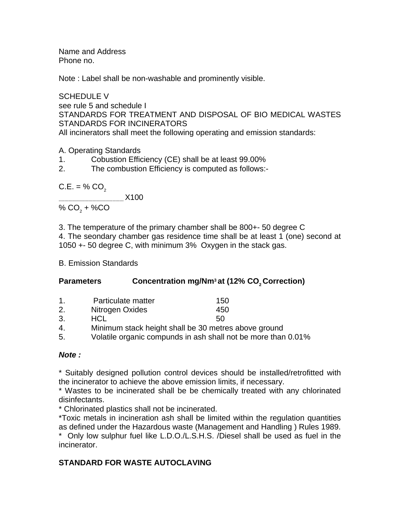Name and Address Phone no.

Note : Label shall be non-washable and prominently visible.

# SCHEDULE V see rule 5 and schedule I STANDARDS FOR TREATMENT AND DISPOSAL OF BIO MEDICAL WASTES STANDARDS FOR INCINERATORS All incinerators shall meet the following operating and emission standards:

# A. Operating Standards

- 1. Cobustion Efficiency (CE) shall be at least 99.00%
- 2. The combustion Efficiency is computed as follows:-

 $C.E. = % CO<sub>2</sub>$ 

 $X100$ 

 $% CO<sub>2</sub> + % CO$ 

3. The temperature of the primary chamber shall be 800+- 50 degree C 4. The seondary chamber gas residence time shall be at least 1 (one) second at 1050 +- 50 degree C, with minimum 3% Oxygen in the stack gas.

B. Emission Standards

| <b>Parameters</b> | Concentration mg/Nm <sup>3</sup> at (12% CO <sub>2</sub> Correction) |
|-------------------|----------------------------------------------------------------------|
|-------------------|----------------------------------------------------------------------|

|    | Particulate matter | 150 |
|----|--------------------|-----|
| 2. | Nitrogen Oxides    | 450 |
| 3  | HCL                | 50  |

4. Minimum stack height shall be 30 metres above ground

5. Volatile organic compunds in ash shall not be more than 0.01%

# *Note :*

\* Suitably designed pollution control devices should be installed/retrofitted with the incinerator to achieve the above emission limits, if necessary.

\* Wastes to be incinerated shall be be chemically treated with any chlorinated disinfectants.

\* Chlorinated plastics shall not be incinerated.

\*Toxic metals in incineration ash shall be limited within the regulation quantities as defined under the Hazardous waste (Management and Handling ) Rules 1989.

\* Only low sulphur fuel like L.D.O./L.S.H.S. /Diesel shall be used as fuel in the incinerator.

# **STANDARD FOR WASTE AUTOCLAVING**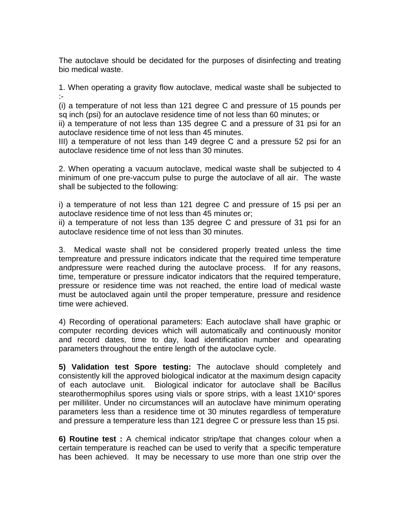The autoclave should be decidated for the purposes of disinfecting and treating bio medical waste.

1. When operating a gravity flow autoclave, medical waste shall be subjected to :-

(i) a temperature of not less than 121 degree C and pressure of 15 pounds per sq inch (psi) for an autoclave residence time of not less than 60 minutes; or

ii) a temperature of not less than 135 degree C and a pressure of 31 psi for an autoclave residence time of not less than 45 minutes.

III) a temperature of not less than 149 degree C and a pressure 52 psi for an autoclave residence time of not less than 30 minutes.

2. When operating a vacuum autoclave, medical waste shall be subjected to 4 minimum of one pre-vaccum pulse to purge the autoclave of all air. The waste shall be subjected to the following:

i) a temperature of not less than 121 degree C and pressure of 15 psi per an autoclave residence time of not less than 45 minutes or;

ii) a temperature of not less than 135 degree C and pressure of 31 psi for an autoclave residence time of not less than 30 minutes.

3. Medical waste shall not be considered properly treated unless the time tempreature and pressure indicators indicate that the required time temperature andpressure were reached during the autoclave process. If for any reasons, time, temperature or pressure indicator indicators that the required temperature, pressure or residence time was not reached, the entire load of medical waste must be autoclaved again until the proper temperature, pressure and residence time were achieved.

4) Recording of operational parameters: Each autoclave shall have graphic or computer recording devices which will automatically and continuously monitor and record dates, time to day, load identification number and opearating parameters throughout the entire length of the autoclave cycle.

**5) Validation test Spore testing:** The autoclave should completely and consistently kill the approved biological indicator at the maximum design capacity of each autoclave unit. Biological indicator for autoclave shall be Bacillus stearothermophilus spores using vials or spore strips, with a least 1X104 spores per milliliter. Under no circumstances will an autoclave have minimum operating parameters less than a residence time ot 30 minutes regardless of temperature and pressure a temperature less than 121 degree C or pressure less than 15 psi.

**6) Routine test :** A chemical indicator strip/tape that changes colour when a certain temperature is reached can be used to verify that a specific temperature has been achieved. It may be necessary to use more than one strip over the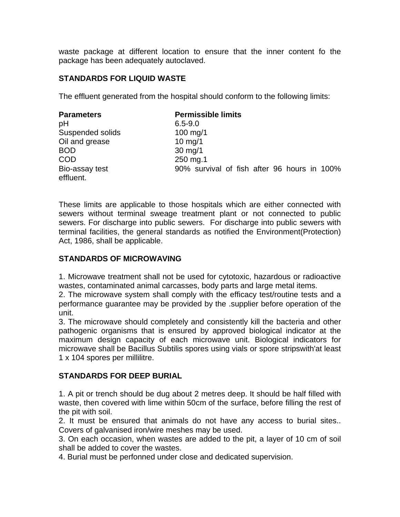waste package at different location to ensure that the inner content fo the package has been adequately autoclaved.

# **STANDARDS FOR LIQUID WASTE**

The effluent generated from the hospital should conform to the following limits:

| <b>Parameters</b>           | <b>Permissible limits</b>                   |
|-----------------------------|---------------------------------------------|
| pH                          | $6.5 - 9.0$                                 |
| Suspended solids            | 100 mg/1                                    |
| Oil and grease              | $10 \text{ mg}/1$                           |
| <b>BOD</b>                  | $30 \text{ mg}/1$                           |
| <b>COD</b>                  | 250 mg.1                                    |
| Bio-assay test<br>effluent. | 90% survival of fish after 96 hours in 100% |

These limits are applicable to those hospitals which are either connected with sewers without terminal sweage treatment plant or not connected to public sewers. For discharge into public sewers. For discharge into public sewers with terminal facilities, the general standards as notified the Environment(Protection) Act, 1986, shall be applicable.

# **STANDARDS OF MICROWAVING**

1. Microwave treatment shall not be used for cytotoxic, hazardous or radioactive wastes, contaminated animal carcasses, body parts and large metal items.

2. The microwave system shall comply with the efficacy test/routine tests and a performance guarantee may be provided by the .supplier before operation of the unit.

3. The microwave should completely and consistently kill the bacteria and other pathogenic organisms that is ensured by approved biological indicator at the maximum design capacity of each microwave unit. Biological indicators for microwave shall be Bacillus Subtilis spores using vials or spore stripswith'at least 1 x 104 spores per millilitre.

# **STANDARDS FOR DEEP BURIAL**

1. A pit or trench should be dug about 2 metres deep. It should be half filled with waste, then covered with lime within 50cm of the surface, before filling the rest of the pit with soil.

2. It must be ensured that animals do not have any access to burial sites.. Covers of galvanised iron/wire meshes may be used.

3. On each occasion, when wastes are added to the pit, a layer of 10 cm of soil shall be added to cover the wastes.

4. Burial must be perfonned under close and dedicated supervision.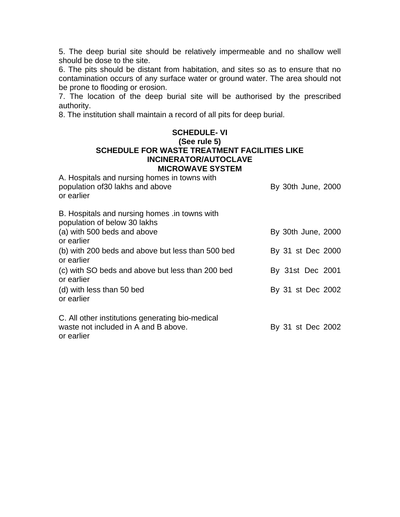5. The deep burial site should be relatively impermeable and no shallow well should be dose to the site.

6. The pits should be distant from habitation, and sites so as to ensure that no contamination occurs of any surface water or ground water. The area should not be prone to flooding or erosion.

7. The location of the deep burial site will be authorised by the prescribed authority.

8. The institution shall maintain a record of all pits for deep burial.

### **SCHEDULE- VI (See rule 5) SCHEDULE FOR WASTE TREATMENT FACILITIES LIKE INCINERATOR/AUTOCLAVE MICROWAVE SYSTEM**

| A. Hospitals and nursing homes in towns with<br>population of 30 lakhs and above<br>or earlier                            | By 30th June, 2000 |
|---------------------------------------------------------------------------------------------------------------------------|--------------------|
| B. Hospitals and nursing homes in towns with<br>population of below 30 lakhs<br>(a) with 500 beds and above<br>or earlier | By 30th June, 2000 |
| (b) with 200 beds and above but less than 500 bed<br>or earlier                                                           | By 31 st Dec 2000  |
| (c) with SO beds and above but less than 200 bed<br>or earlier                                                            | By 31st Dec 2001   |
| (d) with less than 50 bed<br>or earlier                                                                                   | By 31 st Dec 2002  |
| C. All other institutions generating bio-medical<br>waste not included in A and B above.<br>or earlier                    | By 31 st Dec 2002  |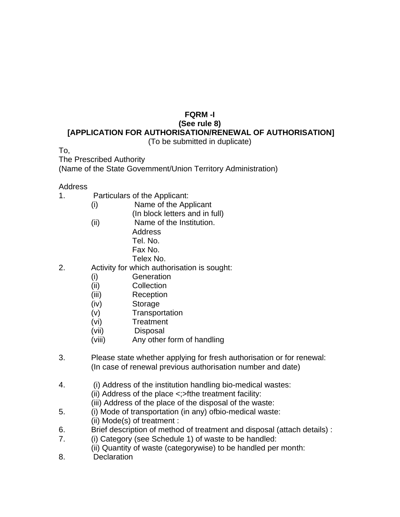# **FQRM -I (See rule 8) [APPLICATION FOR AUTHORISATION/RENEWAL OF AUTHORISATION]**

(To be submitted in duplicate)

To,

The Prescribed Authority

(Name of the State Govemment/Union Territory Administration)

# Address

- 1. Particulars of the Applicant:
	- (i) Name of the Applicant
		- (In block letters and in full)
	- (ii) Name of the Institution. Address Tel. No.
		- Fax No.
		- Telex No.
- 2. Activity for which authorisation is sought:
	- (i) Generation
	- (ii) Collection
	- (iii) Reception
	- (iv) Storage
	- (v) Transportation
	- (vi) Treatment
	- (vii) Disposal
	- (viii) Any other form of handling
- 3. Please state whether applying for fresh authorisation or for renewal: (In case of renewal previous authorisation number and date)
- 4. (i) Address of the institution handling bio-medical wastes:
	- (ii) Address of the place <;>fthe treatment facility:
	- (iii) Address of the place of the disposal of the waste:
- 5. (i) Mode of transportation (in any) ofbio-medical waste: (ii) Mode(s) of treatment :
- 6. Brief description of method of treatment and disposal (attach details) :
- 7. (i) Category (see Schedule 1) of waste to be handled:
	- (ii) Quantity of waste (categorywise) to be handled per month:
- 8. Declaration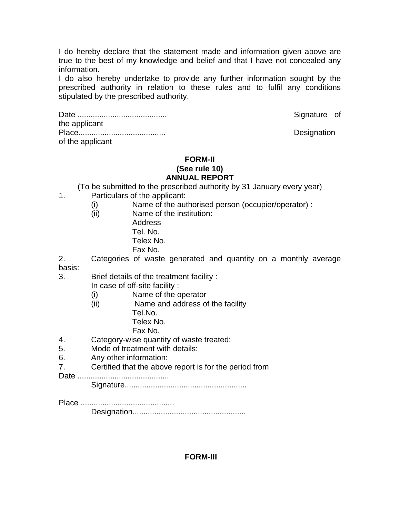I do hereby declare that the statement made and information given above are true to the best of my knowledge and belief and that I have not concealed any information.

I do also hereby undertake to provide any further information sought by the prescribed authority in relation to these rules and to fulfil any conditions stipulated by the prescribed authority.

Date ......................................... Signature of the applicant Place........................................ Designation of the applicant

# **FORM-II (See rule 10) ANNUAL REPORT**

(To be submitted to the prescribed authority by 31 January every year)

- 1. Particulars of the applicant:
	- (i) Name of the authorised person (occupier/operator) :
	- (ii) Name of the institution:
		- Address Tel. No.
			- Telex No.
		- Fax No.

2. Categories of waste generated and quantity on a monthly average basis:

- 3. Brief details of the treatment facility :
	- In case of off-site facility :
	- (i) Name of the operator
	- (ii) Name and address of the facility
		- Tel.No.
		- Telex No.
		- Fax No.
- 4. Category-wise quantity of waste treated:
- 5. Mode of treatment with details:
- 6. Any other information:
- 7. Certified that the above report is for the period from
- Date ..........................................

Signature........................................................

Place ...........................................

Designation....................................................

**FORM-III**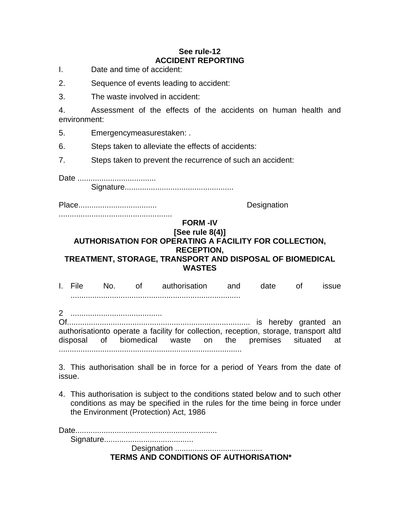# **See rule-12 ACCIDENT REPORTING**

- I. Date and time of accident:
- 2. Sequence of events leading to accident:
- 3. The waste involved in accident:

4. Assessment of the effects of the accidents on human health and environment:

- 5. Emergencymeasurestaken: .
- 6. Steps taken to alleviate the effects of accidents:

7. Steps taken to prevent the recurrence of such an accident:

Date ....................................

Signature..................................................

Place.................................... Designation

....................................................

#### **FORM -IV [See rule 8(4)]**

# **AUTHORISATION FOR OPERATING A FACILITY FOR COLLECTION, RECEPTION, TREATMENT, STORAGE, TRANSPORT AND DISPOSAL OF BIOMEDICAL WASTES**

I. File No. of authorisation and date of issue ..............................................................................

2 ..........................................

Of.................................................................................... is hereby granted an authorisationto operate a facility for collection, reception, storage, transport altd disposal of biomedical waste on the premises situated at ....................................................................................

3. This authorisation shall be in force for a period of Years from the date of issue.

4. This authorisation is subject to the conditions stated below and to such other conditions as may be specified in the rules for the time being in force under the Environment (Protection) Act, 1986

Date................................................................. Signature......................................... Designation ........................................

**TERMS AND CONDITIONS OF AUTHORISATION\***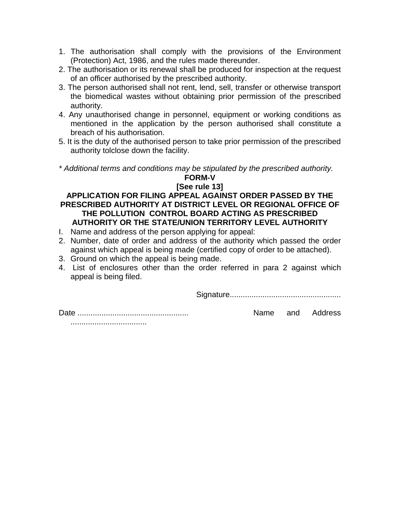- 1. The authorisation shall comply with the provisions of the Environment (Protection) Act, 1986, and the rules made thereunder.
- 2. The authorisation or its renewal shall be produced for inspection at the request of an officer authorised by the prescribed authority.
- 3. The person authorised shall not rent, lend, sell, transfer or otherwise transport the biomedical wastes without obtaining prior permission of the prescribed authority.
- 4. Any unauthorised change in personnel, equipment or working conditions as mentioned in the application by the person authorised shall constitute a breach of his authorisation.
- 5. It is the duty of the authorised person to take prior permission of the prescribed authority tolclose down the facility.

*\* Additional terms and conditions may be stipulated by the prescribed authority.* **FORM-V**

# **[See rule 13]**

# **APPLICATION FOR FILING APPEAL AGAINST ORDER PASSED BY THE PRESCRIBED AUTHORITY AT DISTRICT LEVEL OR REGIONAL OFFICE OF THE POLLUTION CONTROL BOARD ACTING AS PRESCRIBED AUTHORITY OR THE STATE/UNION TERRITORY LEVEL AUTHORITY**

- I. Name and address of the person applying for appeal:
- 2. Number, date of order and address of the authority which passed the order against which appeal is being made (certified copy of order to be attached).
- 3. Ground on which the appeal is being made.
- 4. List of enclosures other than the order referred in para 2 against which appeal is being filed.

Signature...................................................

Date ................................................... Name and Address

...................................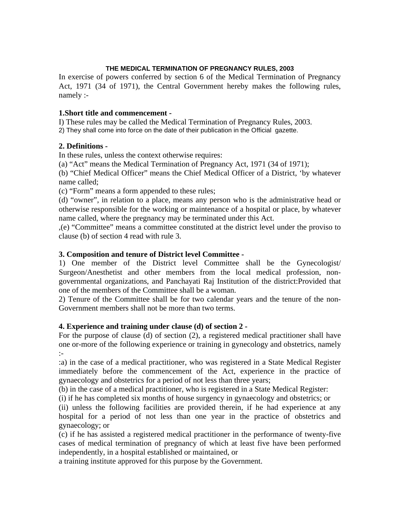#### **THE MEDICAL TERMINATION OF PREGNANCY RULES, 2003**

In exercise of powers conferred by section 6 of the Medical Termination of Pregnancy Act, 1971 (34 of 1971), the Central Government hereby makes the following rules, namely :-

#### **1.Short title and commencement -**

I) These rules may be called the Medical Termination of Pregnancy Rules, 2003.

2) They shall come into force on the date of their publication in the Official gazette.

#### **2. Definitions -**

In these rules, unless the context otherwise requires:

(a) "Act" means the Medical Termination of Pregnancy Act, 1971 (34 of 1971);

(b) "Chief Medical Officer" means the Chief Medical Officer of a District, 'by whatever name called;

(c) "Form" means a form appended to these rules;

(d) "owner", in relation to a place, means any person who is the administrative head or otherwise responsible for the working or maintenance of a hospital or place, by whatever name called, where the pregnancy may be terminated under this Act.

,(e) "Committee" means a committee constituted at the district level under the proviso to clause (b) of section 4 read with rule 3.

#### **3. Composition and tenure of District level Committee -**

1) One member of the District level Committee shall be the Gynecologist/ Surgeon/Anesthetist and other members from the local medical profession, nongovernmental organizations, and Panchayati Raj Institution of the district:Provided that one of the members of the Committee shall be a woman.

2) Tenure of the Committee shall be for two calendar years and the tenure of the non-Government members shall not be more than two terms.

#### **4. Experience and training under clause (d) of section 2 -**

For the purpose of clause (d) of section (2), a registered medical practitioner shall have one or-more of the following experience or training in gynecology and obstetrics, namely :-

:a) in the case of a medical practitioner, who was registered in a State Medical Register immediately before the commencement of the Act, experience in the practice of gynaecology and obstetrics for a period of not less than three years;

(b) in the case of a medical practitioner, who is registered in a State Medical Register:

(i) if he has completed six months of house surgency in gynaecology and obstetrics; or

(ii) unless the following facilities are provided therein, if he had experience at any hospital for a period of not less than one year in the practice of obstetrics and gynaecology; or

(c) if he has assisted a registered medical practitioner in the performance of twenty-five cases of medical termination of pregnancy of which at least five have been performed independently, in a hospital established or maintained, or

a training institute approved for this purpose by the Government.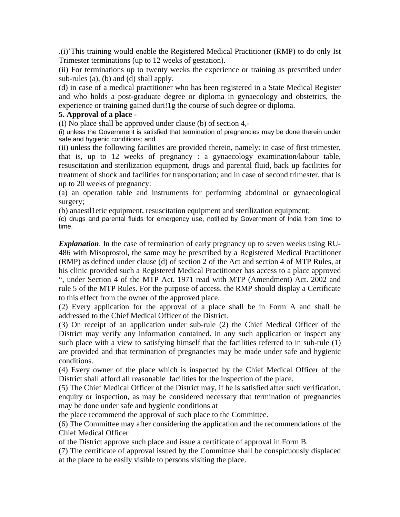.(i)'This training would enable the Registered Medical Practitioner (RMP) to do only Ist Trimester terminations (up to 12 weeks of gestation).

(ii) For terminations up to twenty weeks the experience or training as prescribed under sub-rules (a), (b) and (d) shall apply.

(d) in case of a medical practitioner who has been registered in a State Medical Register and who holds a post-graduate degree or diploma in gynaecology and obstetrics, the experience or training gained duri!1g the course of such degree or diploma.

# **5. Approval of a place** -

(I) No place shall be approved under clause (b) of section 4,-

(i) unless the Government is satisfied that termination of pregnancies may be done therein under safe and hygienic conditions; and ,

(ii) unless the following facilities are provided therein, namely: in case of first trimester, that is, up to 12 weeks of pregnancy : a gynaecology examination/labour table, resuscitation and sterilization equipment, drugs and parental fluid, back up facilities for treatment of shock and facilities for transportation; and in case of second trimester, that is up to 20 weeks of pregnancy:

(a) an operation table and instruments for performing abdominal or gynaecological surgery;

(b) anaestl1etic equipment, resuscitation equipment and sterilization equipment;

(c) drugs and parental fluids for emergency use, notified by Government of India from time to time.

*Explanation*. In the case of termination of early pregnancy up to seven weeks using RU-486 with Misoprostol, the same may be prescribed by a Registered Medical Practitioner (RMP) as defined under clause (d) of section 2 of the Act and section 4 of MTP Rules, at his clinic provided such a Registered Medical Practitioner has access to a place approved ", under Section 4 of the MTP Act. 1971 read with MTP (Amendment) Act. 2002 and rule 5 of the MTP Rules. For the purpose of access. the RMP should display a Certificate to this effect from the owner of the approved place.

(2) Every application for the approval of a place shall be in Form A and shall be addressed to the Chief Medical Officer of the District.

(3) On receipt of an application under sub-rule (2) the Chief Medical Officer of the District may verify any information contained. in any such application or inspect any such place with a view to satisfying himself that the facilities referred to in sub-rule (1) are provided and that termination of pregnancies may be made under safe and hygienic conditions.

(4) Every owner of the place which is inspected by the Chief Medical Officer of the District shall afford all reasonable facilities for the inspection of the place.

(5) The Chief Medical Officer of the District may, if he is satisfied after such verification, enquiry or inspection, as may be considered necessary that termination of pregnancies may be done under safe and hygienic conditions at

the place recommend the approval of such place to the Committee.

(6) The Committee may after considering the application and the recommendations of the Chief Medical Officer

of the District approve such place and issue a certificate of approval in Form B.

(7) The certificate of approval issued by the Committee shall be conspicuously displaced at the place to be easily visible to persons visiting the place.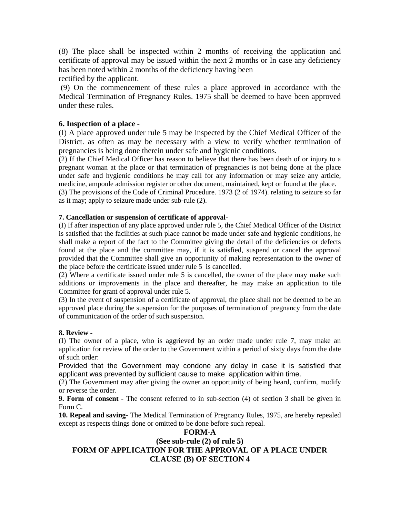(8) The place shall be inspected within 2 months of receiving the application and certificate of approval may be issued within the next 2 months or In case any deficiency has been noted within 2 months of the deficiency having been

rectified by the applicant.

 (9) On the commencement of these rules a place approved in accordance with the Medical Termination of Pregnancy Rules. 1975 shall be deemed to have been approved under these rules.

#### **6. Inspection of a place -**

(I) A place approved under rule 5 may be inspected by the Chief Medical Officer of the District. as often as may be necessary with a view to verify whether termination of pregnancies is being done therein under safe and hygienic conditions.

(2) If the Chief Medical Officer has reason to believe that there has been death of or injury to a pregnant woman at the place or that termination of pregnancies is not being done at the place under safe and hygienic conditions he may call for any information or may seize any article, medicine, ampoule admission register or other document, maintained, kept or found at the place.

(3) The provisions of the Code of Criminal Procedure. 1973 (2 of 1974). relating to seizure so far as it may; apply to seizure made under sub-rule (2).

#### **7. Cancellation or suspension of certificate of approval-**

(I) If after inspection of any place approved under rule 5, the Chief Medical Officer of the District is satisfied that the facilities at such place cannot be made under safe and hygienic conditions, he shall make a report of the fact to the Committee giving the detail of the deficiencies or defects found at the place and the committee may, if it is satisfied, suspend or cancel the approval provided that the Committee shall give an opportunity of making representation to the owner of the place before the certificate issued under rule 5 is cancelled.

(2) Where a certificate issued under rule 5 is cancelled, the owner of the place may make such additions or improvements in the place and thereafter, he may make an application to tile Committee for grant of approval under rule 5.

(3) In the event of suspension of a certificate of approval, the place shall not be deemed to be an approved place during the suspension for the purposes of termination of pregnancy from the date of communication of the order of such suspension.

#### **8. Review -**

(I) The owner of a place, who is aggrieved by an order made under rule 7, may make an application for review of the order to the Government within a period of sixty days from the date of such order:

Provided that the Government may condone any delay in case it is satisfied that applicant was prevented by sufficient cause to make application within time.

(2) The Government may after giving the owner an opportunity of being heard, confirm, modify or reverse the order.

**9. Form of consent -** The consent referred to in sub-section (4) of section 3 shall be given in Form C.

**10. Repeal and saving-** The Medical Termination of Pregnancy Rules, 1975, are hereby repealed except as respects things done or omitted to be done before such repeal.

# **FORM-A (See sub-rule (2) of rule 5) FORM OF APPLICATION FOR THE APPROVAL OF A PLACE UNDER CLAUSE (B) OF SECTION 4**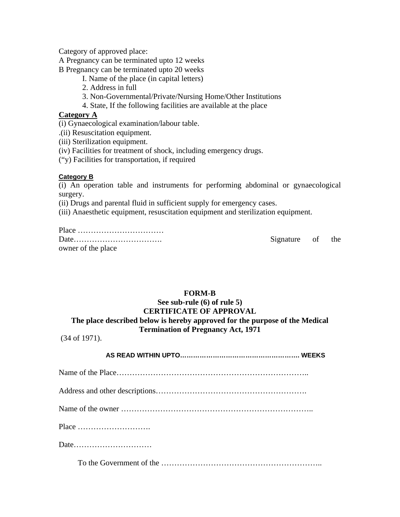Category of approved place:

A Pregnancy can be terminated upto 12 weeks

- B Pregnancy can be terminated upto 20 weeks
	- I. Name of the place (in capital letters)
	- 2. Address in full
	- 3. Non-Governmental/Private/Nursing Home/Other Institutions
	- 4. State, If the following facilities are available at the place

# **Category A**

(i) Gynaecological examination/labour table.

- .(ii) Resuscitation equipment.
- (iii) Sterilization equipment.
- (iv) Facilities for treatment of shock, including emergency drugs.
- ("y) Facilities for transportation, if required

#### **Category B**

(i) An operation table and instruments for performing abdominal or gynaecological surgery.

(ii) Drugs and parental fluid in sufficient supply for emergency cases.

(iii) Anaesthetic equipment, resuscitation equipment and sterilization equipment.

| $Place \dots \dots \dots \dots \dots \dots \dots \dots \dots \dots$ |                  |  |
|---------------------------------------------------------------------|------------------|--|
|                                                                     | Signature of the |  |
| owner of the place                                                  |                  |  |

# **FORM-B**

## **See sub-rule (6) of rule 5) CERTIFICATE OF APPROVAL The place described below is hereby approved for the purpose of the Medical Termination of Pregnancy Act, 1971**

(34 of 1971).

#### **AS READ WITHIN UPTO………………………………………………. WEEKS**

Name of the Place………………………………………………………………..

Address and other descriptions………………………………………………….

Name of the owner ………………………………………………………………..

Place ……………………….

Date…………………………

To the Government of the ……………………………………………………..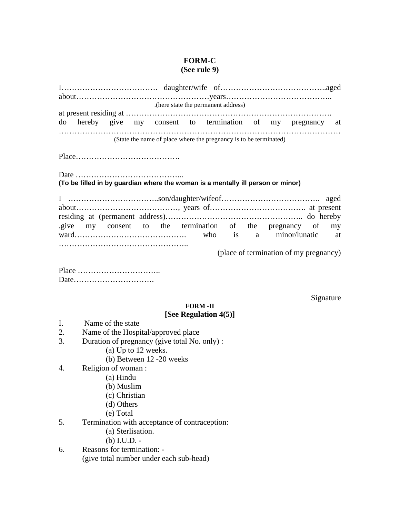# **FORM-C (See rule 9)**

|      |  | (here state the permanent address).                                             |  |  |                                                             |  |
|------|--|---------------------------------------------------------------------------------|--|--|-------------------------------------------------------------|--|
|      |  |                                                                                 |  |  |                                                             |  |
|      |  |                                                                                 |  |  | do hereby give my consent to termination of my pregnancy at |  |
|      |  | (State the name of place where the pregnancy is to be terminated)               |  |  |                                                             |  |
|      |  |                                                                                 |  |  |                                                             |  |
|      |  | (To be filled in by guardian where the woman is a mentally ill person or minor) |  |  |                                                             |  |
|      |  |                                                                                 |  |  |                                                             |  |
|      |  |                                                                                 |  |  |                                                             |  |
|      |  |                                                                                 |  |  |                                                             |  |
|      |  |                                                                                 |  |  | give my consent to the termination of the pregnancy of my   |  |
|      |  |                                                                                 |  |  |                                                             |  |
|      |  |                                                                                 |  |  | (place of termination of my pregnancy)                      |  |
|      |  |                                                                                 |  |  |                                                             |  |
| Date |  |                                                                                 |  |  |                                                             |  |

Signature

#### **FORM -II [See Regulation 4(5)]**

- I. Name of the state
- 2. Name of the Hospital/approved place
- 3. Duration of pregnancy (give total No. only) :
	- (a) Up to 12 weeks.
	- (b) Between 12 -20 weeks
- 4. Religion of woman :
	- (a) Hindu
	- (b) Muslim
	- (c) Christian
	- (d) Others
	- (e) Total
- 5. Termination with acceptance of contraception:
	- (a) Sterlisation.
	- (b) I.U.D. -
- 6. Reasons for termination: (give total number under each sub-head)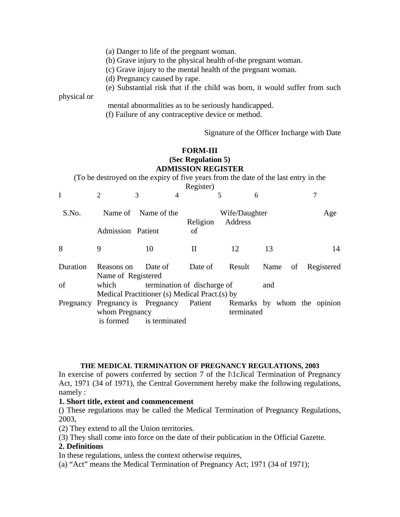(a) Danger to life of the pregnant woman.

(b) Grave injury to the physical health of-the pregnant woman.

(c) Grave injury to the mental health of the pregnant woman.

(d) Pregnancy caused by rape.

(e) Substantial risk that if the child was born, it would suffer from such

physical or

mental abnormalities as to be seriously handicapped.

(f) Failure of any contraceptive device or method.

Signature of the Officer Incharge with Date

# **FORM-III (Sec Regulation 5) ADMISSION REGISTER**

(To be destroyed on the expiry of five years from the date of the last entry in the Register)

| I        | $\overline{2}$<br>3         | 4                                                                            |          | 5<br>6                   |      |                                                                      |
|----------|-----------------------------|------------------------------------------------------------------------------|----------|--------------------------|------|----------------------------------------------------------------------|
| S.No.    |                             | Name of Name of the                                                          | Religion | Wife/Daughter<br>Address |      | Age                                                                  |
|          | <b>Admission</b> Patient    |                                                                              | of       |                          |      |                                                                      |
| 8        | 9                           | 10                                                                           | $\rm II$ | 12                       | 13   | 14                                                                   |
| Duration | Reasons on                  | Date of                                                                      | Date of  | Result                   | Name | Registered<br>of                                                     |
| of       | Name of Registered<br>which | termination of discharge of<br>Medical Practitioner (s) Medical Pract.(s) by |          |                          | and  |                                                                      |
|          | whom Pregnancy<br>is formed | is terminated                                                                |          | terminated               |      | Pregnancy Pregnancy is Pregnancy Patient Remarks by whom the opinion |

#### **THE MEDICAL TERMINATION OF PREGNANCY REGULATIONS, 2003**

In exercise of powers conferred by section 7 of the l\1cJical Termination of Pregnancy Act, 1971 (34 of 1971), the Central Government hereby make the following regulations, namely :

#### **1. Short title, extent and commencement**

() These regulations may be called the Medical Termination of Pregnancy Regulations, 2003,

(2) They extend to all the Union territories.

(3) They shall come into force on the date of their publication in the Official Gazette.

#### **2. Definitions**

In these regulations, unless the context otherwise requires,

(a) "Act" means the Medical Termination of Pregnancy Act; 1971 (34 of 1971);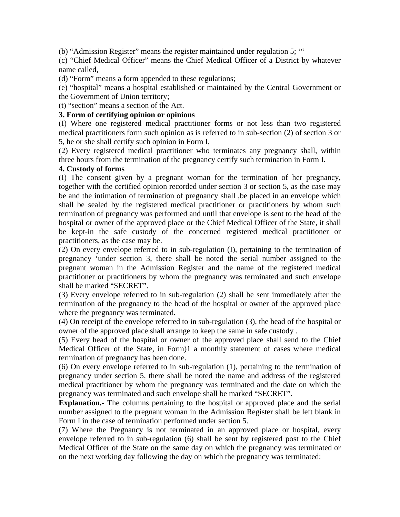(b) "Admission Register" means the register maintained under regulation 5; '"

(c) "Chief Medical Officer" means the Chief Medical Officer of a District by whatever name called,

(d) "Form" means a form appended to these regulations;

(e) "hospital" means a hospital established or maintained by the Central Government or the Government of Union territory;

(t) "section" means a section of the Act.

# **3. Form of certifying opinion or opinions**

(I) Where one registered medical practitioner forms or not less than two registered medical practitioners form such opinion as is referred to in sub-section (2) of section 3 or 5, he or she shall certify such opinion in Form I,

(2) Every registered medical practitioner who terminates any pregnancy shall, within three hours from the termination of the pregnancy certify such termination in Form I.

# **4. Custody of forms**

(I) The consent given by a pregnant woman for the termination of her pregnancy, together with the certified opinion recorded under section 3 or section 5, as the case may be and the intimation of termination of pregnancy shall ,be placed in an envelope which shall be sealed by the registered medical practitioner or practitioners by whom such termination of pregnancy was performed and until that envelope is sent to the head of the hospital or owner of the approved place or the Chief Medical Officer of the State, it shall be kept-in the safe custody of the concerned registered medical practitioner or practitioners, as the case may be.

(2) On every envelope referred to in sub-regulation (I), pertaining to the termination of pregnancy 'under section 3, there shall be noted the serial number assigned to the pregnant woman in the Admission Register and the name of the registered medical practitioner or practitioners by whom the pregnancy was terminated and such envelope shall be marked "SECRET".

(3) Every envelope referred to in sub-regulation (2) shall be sent immediately after the termination of the pregnancy to the head of the hospital or owner of the approved place where the pregnancy was terminated.

(4) On receipt of the envelope referred to in sub-regulation (3), the head of the hospital or owner of the approved place shall arrange to keep the same in safe custody .

(5) Every head of the hospital or owner of the approved place shall send to the Chief Medical Officer of the State, in Form)1 a monthly statement of cases where medical termination of pregnancy has been done.

(6) On every envelope referred to in sub-regulation (1), pertaining to the termination of pregnancy under section 5, there shall be noted the name and address of the registered medical practitioner by whom the pregnancy was terminated and the date on which the pregnancy was terminated and such envelope shall be marked "SECRET".

**Explanation.**- The columns pertaining to the hospital or approved place and the serial number assigned to the pregnant woman in the Admission Register shall be left blank in Form I in the case of termination performed under section 5.

(7) Where the Pregnancy is not terminated in an approved place or hospital, every envelope referred to in sub-regulation (6) shall be sent by registered post to the Chief Medical Officer of the State on the same day on which the pregnancy was terminated or on the next working day following the day on which the pregnancy was terminated: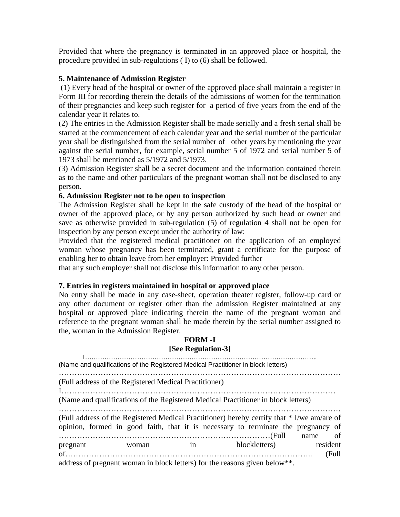Provided that where the pregnancy is terminated in an approved place or hospital, the procedure provided in sub-regulations ( I) to (6) shall be followed.

#### **5. Maintenance of Admission Register**

 (1) Every head of the hospital or owner of the approved place shall maintain a register in Form III for recording therein the details of the admissions of women for the termination of their pregnancies and keep such register for a period of five years from the end of the calendar year It relates to.

(2) The entries in the Admission Register shall be made serially and a fresh serial shall be started at the commencement of each calendar year and the serial number of the particular year shall be distinguished from the serial number of other years by mentioning the year against the serial number, for example, serial number 5 of 1972 and serial number 5 of 1973 shall be mentioned as 5/1972 and 5/1973.

(3) Admission Register shall be a secret document and the information contained therein as to the name and other particulars of the pregnant woman shall not be disclosed to any person.

# **6. Admission Register not to be open to inspection**

The Admission Register shall be kept in the safe custody of the head of the hospital or owner of the approved place, or by any person authorized by such head or owner and save as otherwise provided in sub-regulation (5) of regulation 4 shall not be open for inspection by any person except under the authority of law:

Provided that the registered medical practitioner on the application of an employed woman whose pregnancy has been terminated, grant a certificate for the purpose of enabling her to obtain leave from her employer: Provided further

that any such employer shall not disclose this information to any other person.

#### **7. Entries in registers maintained in hospital or approved place**

No entry shall be made in any case-sheet, operation theater register, follow-up card or any other document or register other than the admission Register maintained at any hospital or approved place indicating therein the name of the pregnant woman and reference to the pregnant woman shall be made therein by the serial number assigned to the, woman in the Admission Register.

# **FORM -I**

# **[See Regulation-3]**

| (Name and qualifications of the Registered Medical Practitioner in block letters)                                                                                               |       |                           |         |
|---------------------------------------------------------------------------------------------------------------------------------------------------------------------------------|-------|---------------------------|---------|
| (Full address of the Registered Medical Practitioner)                                                                                                                           |       |                           |         |
| (Name and qualifications of the Registered Medical Practitioner in block letters)                                                                                               |       |                           |         |
| (Full address of the Registered Medical Practitioner) hereby certify that * I/we am/are of<br>opinion, formed in good faith, that it is necessary to terminate the pregnancy of |       |                           | name of |
| pregnant                                                                                                                                                                        | woman | in blockletters) resident | (Full)  |
| address of pregnant woman in block letters) for the reasons given below <sup>**</sup> .                                                                                         |       |                           |         |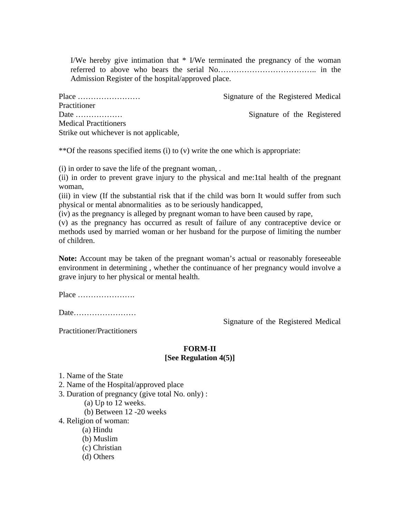I/We hereby give intimation that \* I/We terminated the pregnancy of the woman referred to above who bears the serial No……………………………….. in the Admission Register of the hospital/approved place.

Place …………………… Signature of the Registered Medical **Practitioner** Date ……………… Signature of the Registered Medical Practitioners Strike out whichever is not applicable,

\*\*Of the reasons specified items (i) to (v) write the one which is appropriate:

(i) in order to save the life of the pregnant woman, .

(ii) in order to prevent grave injury to the physical and me:1tal health of the pregnant woman,

(iii) in view (If the substantial risk that if the child was born It would suffer from such physical or mental abnormalities as to be seriously handicapped,

(iv) as the pregnancy is alleged by pregnant woman to have been caused by rape,

(v) as the pregnancy has occurred as result of failure of any contraceptive device or methods used by married woman or her husband for the purpose of limiting the number of children.

**Note:** Account may be taken of the pregnant woman's actual or reasonably foreseeable environment in determining , whether the continuance of her pregnancy would involve a grave injury to her physical or mental health.

Place ………………….

Date……………………

Signature of the Registered Medical

Practitioner/Practitioners

### **FORM-II [See Regulation 4(5)]**

- 1. Name of the State
- 2. Name of the Hospital/approved place
- 3. Duration of pregnancy (give total No. only) :
	- (a) Up to 12 weeks.
	- (b) Between 12 -20 weeks
- 4. Religion of woman:
	- (a) Hindu
	- (b) Muslim
	- (c) Christian
	- (d) Others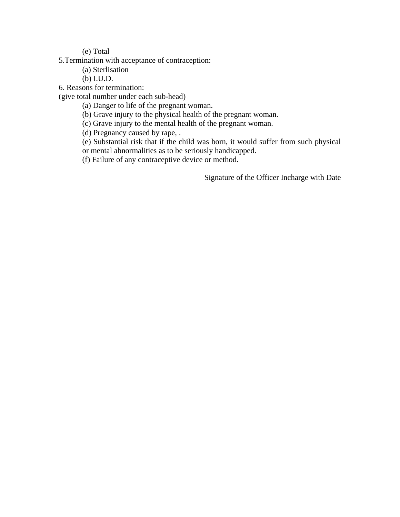(e) Total

5.Termination with acceptance of contraception:

(a) Sterlisation

(b) I.U.D.

6. Reasons for termination:

(give total number under each sub-head)

(a) Danger to life of the pregnant woman.

(b) Grave injury to the physical health of the pregnant woman.

(c) Grave injury to the mental health of the pregnant woman.

(d) Pregnancy caused by rape, .

(e) Substantial risk that if the child was born, it would suffer from such physical

or mental abnormalities as to be seriously handicapped.

(f) Failure of any contraceptive device or method.

Signature of the Officer Incharge with Date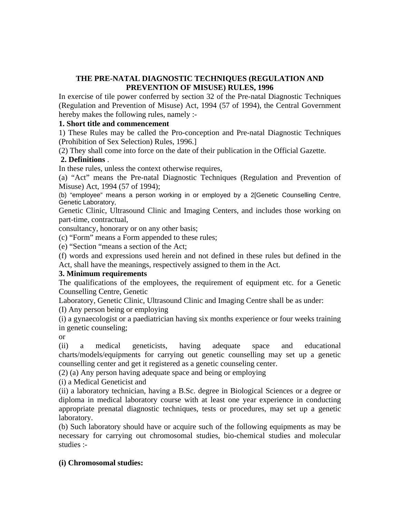# **THE PRE-NATAL DIAGNOSTIC TECHNIQUES (REGULATION AND PREVENTION OF MISUSE) RULES, 1996**

In exercise of tile power conferred by section 32 of the Pre-natal Diagnostic Techniques (Regulation and Prevention of Misuse) Act, 1994 (57 of 1994), the Central Government hereby makes the following rules, namely :-

# **1. Short title and commencement**

1) These Rules may be called the Pro-conception and Pre-natal Diagnostic Techniques (Prohibition of Sex Selection) Rules, 1996.]

(2) They shall come into force on the date of their publication in the Official Gazette.

# **2. Definitions** .

In these rules, unless the context otherwise requires,

(a) "Act" means the Pre-natal Diagnostic Techniques (Regulation and Prevention of Misuse) Act, 1994 (57 of 1994);

(b) "employee" means a person working in or employed by a 2[Genetic Counselling Centre, Genetic Laboratory,

Genetic Clinic, Ultrasound Clinic and Imaging Centers, and includes those working on part-time, contractual,

consultancy, honorary or on any other basis;

(c) "Form" means a Form appended to these rules;

(e) "Section "means a section of the Act;

(f) words and expressions used herein and not defined in these rules but defined in the Act, shall have the meanings, respectively assigned to them in the Act.

#### **3. Minimum requirements**

The qualifications of the employees, the requirement of equipment etc. for a Genetic Counselling Centre, Genetic

Laboratory, Genetic Clinic, Ultrasound Clinic and Imaging Centre shall be as under:

(I) Any person being or employing

(i) a gynaecologist or a paediatrician having six months experience or four weeks training in genetic counseling;

or

(ii) a medical geneticists, having adequate space and educational charts/models/equipments for carrying out genetic counselling may set up a genetic counselling center and get it registered as a genetic counseling center.

(2) (a) Any person having adequate space and being or employing

(i) a Medical Geneticist and

(ii) a laboratory technician, having a B.Sc. degree in Biological Sciences or a degree or diploma in medical laboratory course with at least one year experience in conducting appropriate prenatal diagnostic techniques, tests or procedures, may set up a genetic laboratory.

(b) Such laboratory should have or acquire such of the following equipments as may be necessary for carrying out chromosomal studies, bio-chemical studies and molecular studies :-

# **(i) Chromosomal studies:**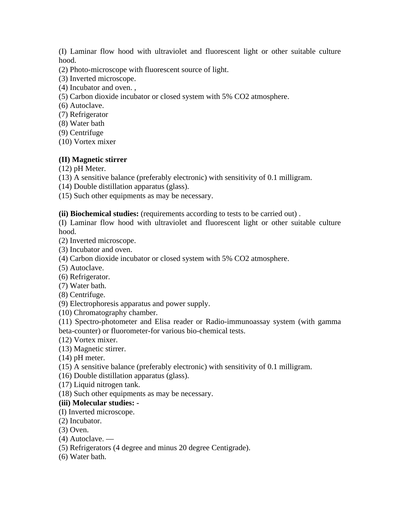(I) Laminar flow hood with ultraviolet and fluorescent light or other suitable culture hood.

(2) Photo-microscope with fluorescent source of light.

(3) Inverted microscope.

- (4) Incubator and oven. ,
- (5) Carbon dioxide incubator or closed system with 5% CO2 atmosphere.
- (6) Autoclave.

(7) Refrigerator

(8) Water bath

(9) Centrifuge

(10) Vortex mixer

# **(II) Magnetic stirrer**

(12) pH Meter.

(13) A sensitive balance (preferably electronic) with sensitivity of 0.1 milligram.

(14) Double distillation apparatus (glass).

(15) Such other equipments as may be necessary.

**(ii) Biochemical studies:** (requirements according to tests to be carried out) .

(I) Laminar flow hood with ultraviolet and fluorescent light or other suitable culture hood.

(2) Inverted microscope.

(3) Incubator and oven.

(4) Carbon dioxide incubator or closed system with 5% CO2 atmosphere.

(5) Autoclave.

(6) Refrigerator.

(7) Water bath.

(8) Centrifuge.

(9) Electrophoresis apparatus and power supply.

(10) Chromatography chamber.

(11) Spectro-photometer and Elisa reader or Radio-immunoassay system (with gamma beta-counter) or fluorometer-for various bio-chemical tests.

(12) Vortex mixer.

(13) Magnetic stirrer.

(14) pH meter.

(15) A sensitive balance (preferably electronic) with sensitivity of 0.1 milligram.

(16) Double distillation apparatus (glass).

(17) Liquid nitrogen tank.

(18) Such other equipments as may be necessary.

# **(iii) Molecular studies: -**

(I) Inverted microscope.

(2) Incubator.

(3) Oven.

(4) Autoclave. —

(5) Refrigerators (4 degree and minus 20 degree Centigrade).

(6) Water bath.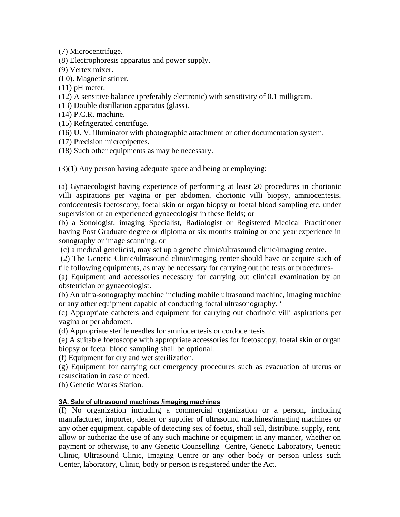(7) Microcentrifuge.

(8) Electrophoresis apparatus and power supply.

(9) Vertex mixer.

(I 0). Magnetic stirrer.

(11) pH meter.

(12) A sensitive balance (preferably electronic) with sensitivity of 0.1 milligram.

(13) Double distillation apparatus (glass).

(14) P.C.R. machine.

(15) Refrigerated centrifuge.

(16) U. V. illuminator with photographic attachment or other documentation system.

(17) Precision micropipettes.

(18) Such other equipments as may be necessary.

(3)(1) Any person having adequate space and being or employing:

(a) Gynaecologist having experience of performing at least 20 procedures in chorionic villi aspirations per vagina or per abdomen, chorionic villi biopsy, amniocentesis, cordocentesis foetoscopy, foetal skin or organ biopsy or foetal blood sampling etc. under supervision of an experienced gynaecologist in these fields; or

(b) a Sonologist, imaging Specialist, Radiologist or Registered Medical Practitioner having Post Graduate degree or diploma or six months training or one year experience in sonography or image scanning; or

(c) a medical geneticist, may set up a genetic clinic/ultrasound clinic/imaging centre.

 (2) The Genetic Clinic/ultrasound clinic/imaging center should have or acquire such of tile following equipments, as may be necessary for carrying out the tests or procedures-

(a) Equipment and accessories necessary for carrying out clinical examination by an obstetrician or gynaecologist.

(b) An u!tra-sonography machine including mobile ultrasound machine, imaging machine or any other equipment capable of conducting foetal ultrasonography. '

(c) Appropriate catheters and equipment for carrying out chorinoic villi aspirations per vagina or per abdomen.

(d) Appropriate sterile needles for amniocentesis or cordocentesis.

(e) A suitable foetoscope with appropriate accessories for foetoscopy, foetal skin or organ biopsy or foetal blood sampling shall be optional.

(f) Equipment for dry and wet sterilization.

(g) Equipment for carrying out emergency procedures such as evacuation of uterus or resuscitation in case of need.

(h) Genetic Works Station.

#### **3A. Sale of ultrasound machines /imaging machines**

(I) No organization including a commercial organization or a person, including manufacturer, importer, dealer or supplier of ultrasound machines/imaging machines or any other equipment, capable of detecting sex of foetus, shall sell, distribute, supply, rent, allow or authorize the use of any such machine or equipment in any manner, whether on payment or otherwise, to any Genetic Counselling Centre, Genetic Laboratory, Genetic Clinic, Ultrasound Clinic, Imaging Centre or any other body or person unless such Center, laboratory, Clinic, body or person is registered under the Act.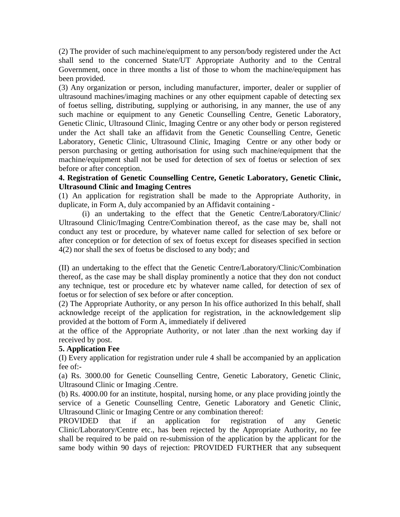(2) The provider of such machine/equipment to any person/body registered under the Act shall send to the concerned State/UT Appropriate Authority and to the Central Government, once in three months a list of those to whom the machine/equipment has been provided.

(3) Any organization or person, including manufacturer, importer, dealer or supplier of ultrasound machines/imaging machines or any other equipment capable of detecting sex of foetus selling, distributing, supplying or authorising, in any manner, the use of any such machine or equipment to any Genetic Counselling Centre, Genetic Laboratory, Genetic Clinic, Ultrasound Clinic, Imaging Centre or any other body or person registered under the Act shall take an affidavit from the Genetic Counselling Centre, Genetic Laboratory, Genetic Clinic, Ultrasound Clinic, Imaging Centre or any other body or person purchasing or getting authorisation for using such machine/equipment that the machine/equipment shall not be used for detection of sex of foetus or selection of sex before or after conception.

# **4. Registration of Genetic Counselling Centre, Genetic Laboratory, Genetic Clinic, Ultrasound Clinic and Imaging Centres**

(1) An application for registration shall be made to the Appropriate Authority, in duplicate, in Form A, duly accompanied by an Affidavit containing -

(i) an undertaking to the effect that the Genetic Centre/Laboratory/Clinic/ Ultrasound Clinic/Imaging Centre/Combination thereof, as the case may be, shall not conduct any test or procedure, by whatever name called for selection of sex before or after conception or for detection of sex of foetus except for diseases specified in section 4(2) nor shall the sex of foetus be disclosed to any body; and

(II) an undertaking to the effect that the Genetic Centre/Laboratory/Clinic/Combination thereof, as the case may be shall display prominently a notice that they don not conduct any technique, test or procedure etc by whatever name called, for detection of sex of foetus or for selection of sex before or after conception.

(2) The Appropriate Authority, or any person In his office authorized In this behalf, shall acknowledge receipt of the application for registration, in the acknowledgement slip provided at the bottom of Form A, immediately if delivered

at the office of the Appropriate Authority, or not later .than the next working day if received by post.

# **5. Application Fee**

(I) Every application for registration under rule 4 shall be accompanied by an application fee of:-

(a) Rs. 3000.00 for Genetic Counselling Centre, Genetic Laboratory, Genetic Clinic, Ultrasound Clinic or Imaging .Centre.

(b) Rs. 4000.00 for an institute, hospital, nursing home, or any place providing jointly the service of a Genetic Counselling Centre, Genetic Laboratory and Genetic Clinic, Ultrasound Clinic or Imaging Centre or any combination thereof:

PROVIDED that if an application for registration of any Genetic Clinic/Laboratory/Centre etc., has been rejected by the Appropriate Authority, no fee shall be required to be paid on re-submission of the application by the applicant for the same body within 90 days of rejection: PROVIDED FURTHER that any subsequent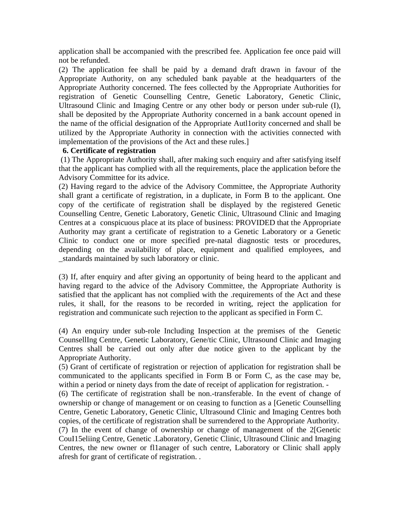application shall be accompanied with the prescribed fee. Application fee once paid will not be refunded.

(2) The application fee shall be paid by a demand draft drawn in favour of the Appropriate Authority, on any scheduled bank payable at the headquarters of the Appropriate Authority concerned. The fees collected by the Appropriate Authorities for registration of Genetic Counselling Centre, Genetic Laboratory, Genetic Clinic, Ultrasound Clinic and Imaging Centre or any other body or person under sub-rule (I), shall be deposited by the Appropriate Authority concerned in a bank account opened in the name of the official designation of the Appropriate Autl1ority concerned and shall be utilized by the Appropriate Authority in connection with the activities connected with implementation of the provisions of the Act and these rules.]

### **6. Certificate of registration**

 (1) The Appropriate Authority shall, after making such enquiry and after satisfying itself that the applicant has complied with all the requirements, place the application before the Advisory Committee for its advice.

(2) Having regard to the advice of the Advisory Committee, the Appropriate Authority shall grant a certificate of registration, in a duplicate, in Form B to the applicant. One copy of the certificate of registration shall be displayed by the registered Genetic Counselling Centre, Genetic Laboratory, Genetic Clinic, Ultrasound Clinic and Imaging Centres at a conspicuous place at its place of business: PROVIDED that the Appropriate Authority may grant a certificate of registration to a Genetic Laboratory or a Genetic Clinic to conduct one or more specified pre-natal diagnostic tests or procedures, depending on the availability of place, equipment and qualified employees, and \_standards maintained by such laboratory or clinic.

(3) If, after enquiry and after giving an opportunity of being heard to the applicant and having regard to the advice of the Advisory Committee, the Appropriate Authority is satisfied that the applicant has not complied with the .requirements of the Act and these rules, it shall, for the reasons to be recorded in writing, reject the application for registration and communicate such rejection to the applicant as specified in Form C.

(4) An enquiry under sub-role Including Inspection at the premises of the Genetic CounsellIng Centre, Genetic Laboratory, Gene/tic Clinic, Ultrasound Clinic and Imaging Centres shall be carried out only after due notice given to the applicant by the Appropriate Authority.

(5) Grant of certificate of registration or rejection of application for registration shall be communicated to the applicants specified in Form B or Form C, as the case may be, within a period or ninety days from the date of receipt of application for registration. -

(6) The certificate of registration shall be non.-transferable. In the event of change of ownership or change of management or on ceasing to function as a [Genetic Counselling Centre, Genetic Laboratory, Genetic Clinic, Ultrasound Clinic and Imaging Centres both copies, of the certificate of registration shall be surrendered to the Appropriate Authority.

(7) In the event of change of ownership or change of management of the 2[Genetic CouI15eliing Centre, Genetic .Laboratory, Genetic Clinic, Ultrasound Clinic and Imaging Centres, the new owner or fl1anager of such centre, Laboratory or Clinic shall apply afresh for grant of certificate of registration. .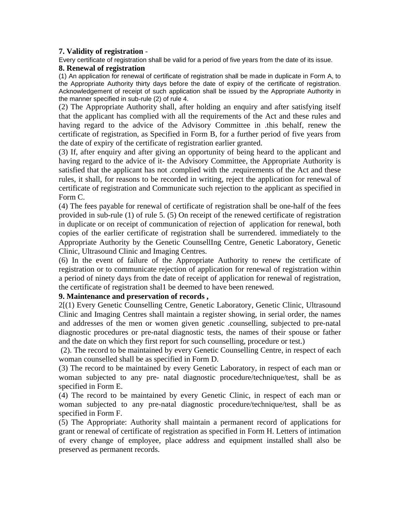## **7. Validity of registration** -

Every certificate of registration shall be valid for a period of five years from the date of its issue.

#### **8. Renewal of registration**

(1) An application for renewal of certificate of registration shall be made in duplicate in Form A, to the Appropriate Authority thirty days before the date of expiry of the certificate of registration. Acknowledgement of receipt of such application shall be issued by the Appropriate Authority in the manner specified in sub-rule (2) of rule 4.

(2) The Appropriate Authority shall, after holding an enquiry and after satisfying itself that the applicant has complied with all the requirements of the Act and these rules and having regard to the advice of the Advisory Committee in .this behalf, renew the certificate of registration, as Specified in Form B, for a further period of five years from the date of expiry of the certificate of registration earlier granted.

(3) If, after enquiry and after giving an opportunity of being heard to the applicant and having regard to the advice of it- the Advisory Committee, the Appropriate Authority is satisfied that the applicant has not .complied with the .requirements of the Act and these rules, it shall, for reasons to be recorded in writing, reject the application for renewal of certificate of registration and Communicate such rejection to the applicant as specified in Form C.

(4) The fees payable for renewal of certificate of registration shall be one-half of the fees provided in sub-rule (1) of rule 5. (5) On receipt of the renewed certificate of registration in duplicate or on receipt of communication of rejection of application for renewal, both copies of the earlier certificate of registration shall be surrendered. immediately to the Appropriate Authority by the Genetic CounsellIng Centre, Genetic Laboratory, Genetic Clinic, Ultrasound Clinic and Imaging Centres.

(6) In the event of failure of the Appropriate Authority to renew the certificate of registration or to communicate rejection of application for renewal of registration within a period of ninety days from the date of receipt of application for renewal of registration, the certificate of registration shal1 be deemed to have been renewed.

# **9. Maintenance and preservation of records ,**

2[(1) Every Genetic Counselling Centre, Genetic Laboratory, Genetic Clinic, Ultrasound Clinic and Imaging Centres shall maintain a register showing, in serial order, the names and addresses of the men or women given genetic .counselling, subjected to pre-natal diagnostic procedures or pre-natal diagnostic tests, the names of their spouse or father and the date on which they first report for such counselling, procedure or test.)

 (2). The record to be maintained by every Genetic Counselling Centre, in respect of each woman counselled shall be as specified in Form D.

(3) The record to be maintained by every Genetic Laboratory, in respect of each man or woman subjected to any pre- natal diagnostic procedure/technique/test, shall be as specified in Form E.

(4) The record to be maintained by every Genetic Clinic, in respect of each man or woman subjected to any pre-natal diagnostic procedure/technique/test, shall be as specified in Form F.

(5) The Appropriate: Authority shall maintain a permanent record of applications for grant or renewal of certificate of registration as specified in Form H. Letters of intimation of every change of employee, place address and equipment installed shall also be preserved as permanent records.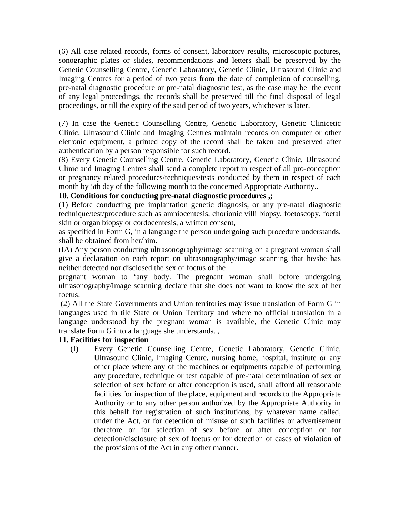(6) All case related records, forms of consent, laboratory results, microscopic pictures, sonographic plates or slides, recommendations and letters shall be preserved by the Genetic Counselling Centre, Genetic Laboratory, Genetic Clinic, Ultrasound Clinic and Imaging Centres for a period of two years from the date of completion of counselling, pre-natal diagnostic procedure or pre-natal diagnostic test, as the case may be the event of any legal proceedings, the records shall be preserved till the final disposal of legal proceedings, or till the expiry of the said period of two years, whichever is later.

(7) In case the Genetic Counselling Centre, Genetic Laboratory, Genetic Clinicetic Clinic, Ultrasound Clinic and Imaging Centres maintain records on computer or other eletronic equipment, a printed copy of the record shall be taken and preserved after authentication by a person responsible for such record.

(8) Every Genetic Counselling Centre, Genetic Laboratory, Genetic Clinic, Ultrasound Clinic and Imaging Centres shall send a complete report in respect of all pro-conception or pregnancy related procedures/techniques/tests conducted by them in respect of each month by 5th day of the following month to the concerned Appropriate Authority..

# **10. Conditions for conducting pre-natal diagnostic procedures ,;**

(1) Before conducting pre implantation genetic diagnosis, or any pre-natal diagnostic technique/test/procedure such as amniocentesis, chorionic villi biopsy, foetoscopy, foetal skin or organ biopsy or cordocentesis, a written consent,

as specified in Form G, in a language the person undergoing such procedure understands, shall be obtained from her/him.

(IA) Any person conducting ultrasonography/image scanning on a pregnant woman shall give a declaration on each report on ultrasonography/image scanning that he/she has neither detected nor disclosed the sex of foetus of the

pregnant woman to 'any body. The pregnant woman shall before undergoing ultrasonography/image scanning declare that she does not want to know the sex of her foetus.

 (2) All the State Governments and Union territories may issue translation of Form G in languages used in tile State or Union Territory and where no official translation in a language understood by the pregnant woman is available, the Genetic Clinic may translate Form G into a language she understands. ,

#### **11. Facilities for inspection**

(I) Every Genetic Counselling Centre, Genetic Laboratory, Genetic Clinic, Ultrasound Clinic, Imaging Centre, nursing home, hospital, institute or any other place where any of the machines or equipments capable of performing any procedure, technique or test capable of pre-natal determination of sex or selection of sex before or after conception is used, shall afford all reasonable facilities for inspection of the place, equipment and records to the Appropriate Authority or to any other person authorized by the Appropriate Authority in this behalf for registration of such institutions, by whatever name called, under the Act, or for detection of misuse of such facilities or advertisement therefore or for selection of sex before or after conception or for detection/disclosure of sex of foetus or for detection of cases of violation of the provisions of the Act in any other manner.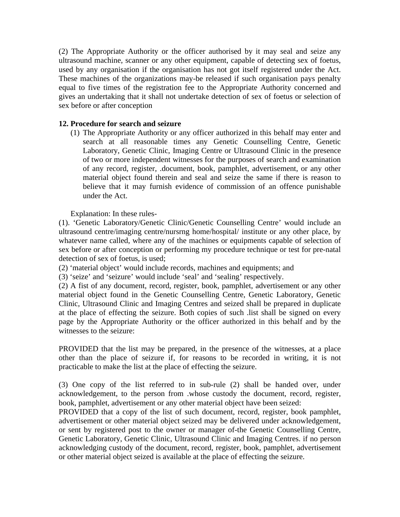(2) The Appropriate Authority or the officer authorised by it may seal and seize any ultrasound machine, scanner or any other equipment, capable of detecting sex of foetus, used by any organisation if the organisation has not got itself registered under the Act. These machines of the organizations may-be released if such organisation pays penalty equal to five times of the registration fee to the Appropriate Authority concerned and gives an undertaking that it shall not undertake detection of sex of foetus or selection of sex before or after conception

### **12. Procedure for search and seizure**

(1) The Appropriate Authority or any officer authorized in this behalf may enter and search at all reasonable times any Genetic Counselling Centre, Genetic Laboratory, Genetic Clinic, Imaging Centre or Ultrasound Clinic in the presence of two or more independent witnesses for the purposes of search and examination of any record, register, .document, book, pamphlet, advertisement, or any other material object found therein and seal and seize the same if there is reason to believe that it may furnish evidence of commission of an offence punishable under the Act.

Explanation: In these rules-

(1). 'Genetic Laboratory/Genetic Clinic/Genetic Counselling Centre' would include an ultrasound centre/imaging centre/nursrng home/hospital/ institute or any other place, by whatever name called, where any of the machines or equipments capable of selection of sex before or after conception or performing my procedure technique or test for pre-natal detection of sex of foetus, is used;

(2) 'material object' would include records, machines and equipments; and

(3) 'seize' and 'seizure' would include 'seal' and 'sealing' respectively.

(2) A fist of any document, record, register, book, pamphlet, advertisement or any other material object found in the Genetic Counselling Centre, Genetic Laboratory, Genetic Clinic, Ultrasound Clinic and Imaging Centres and seized shall be prepared in duplicate at the place of effecting the seizure. Both copies of such .list shall be signed on every page by the Appropriate Authority or the officer authorized in this behalf and by the witnesses to the seizure:

PROVIDED that the list may be prepared, in the presence of the witnesses, at a place other than the place of seizure if, for reasons to be recorded in writing, it is not practicable to make the list at the place of effecting the seizure.

(3) One copy of the list referred to in sub-rule (2) shall be handed over, under acknowledgement, to the person from .whose custody the document, record, register, book, pamphlet, advertisement or any other material object have been seized:

PROVIDED that a copy of the list of such document, record, register, book pamphlet, advertisement or other material object seized may be delivered under acknowledgement, or sent by registered post to the owner or manager of-the Genetic Counselling Centre, Genetic Laboratory, Genetic Clinic, Ultrasound Clinic and Imaging Centres. if no person acknowledging custody of the document, record, register, book, pamphlet, advertisement or other material object seized is available at the place of effecting the seizure.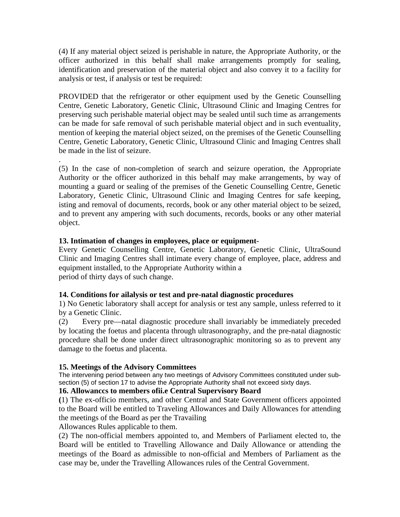(4) If any material object seized is perishable in nature, the Appropriate Authority, or the officer authorized in this behalf shall make arrangements promptly for sealing, identification and preservation of the material object and also convey it to a facility for analysis or test, if analysis or test be required:

PROVIDED that the refrigerator or other equipment used by the Genetic Counselling Centre, Genetic Laboratory, Genetic Clinic, Ultrasound Clinic and Imaging Centres for preserving such perishable material object may be sealed until such time as arrangements can be made for safe removal of such perishable material object and in such eventuality, mention of keeping the material object seized, on the premises of the Genetic Counselling Centre, Genetic Laboratory, Genetic Clinic, Ultrasound Clinic and Imaging Centres shall be made in the list of seizure.

(5) In the case of non-completion of search and seizure operation, the Appropriate Authority or the officer authorized in this behalf may make arrangements, by way of mounting a guard or sealing of the premises of the Genetic Counselling Centre, Genetic Laboratory, Genetic Clinic, Ultrasound Clinic and Imaging Centres for safe keeping, isting and removal of documents, records, book or any other material object to be seized, and to prevent any ampering with such documents, records, books or any other material object.

# **13. Intimation of changes in employees, place or equipment-**

Every Genetic Counselling Centre, Genetic Laboratory, Genetic Clinic, UltraSound Clinic and Imaging Centres shall intimate every change of employee, place, address and equipment installed, to the Appropriate Authority within a period of thirty days of such change.

#### **14. Conditions for ailalysis or test and pre-natal diagnostic procedures**

1) No Genetic laboratory shall accept for analysis or test any sample, unless referred to it by a Genetic Clinic.

(2) Every pre—natal diagnostic procedure shall invariably be immediately preceded by locating the foetus and placenta through ultrasonography, and the pre-natal diagnostic procedure shall be done under direct ultrasonographic monitoring so as to prevent any damage to the foetus and placenta.

#### **15. Meetings of the Advisory Committees**

.

The intervening period between any two meetings of Advisory Committees constituted under subsection (5) of section 17 to advise the Appropriate Authority shall not exceed sixty days.

#### **16. Allowanccs to members ofii.e Central Supervisory Board**

**(**1) The ex-officio members, and other Central and State Government officers appointed to the Board will be entitled to Traveling Allowances and Daily Allowances for attending the meetings of the Board as per the Travailing

Allowances Rules applicable to them.

(2) The non-official members appointed to, and Members of Parliament elected to, the Board will be entitled to Travelling Allowance and Daily Allowance or attending the meetings of the Board as admissible to non-official and Members of Parliament as the case may be, under the Travelling Allowances rules of the Central Government.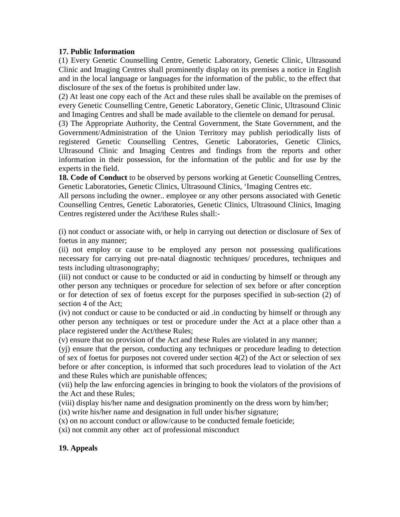### **17. Public Information**

(1) Every Genetic Counselling Centre, Genetic Laboratory, Genetic Clinic, Ultrasound Clinic and Imaging Centres shall prominently display on its premises a notice in English and in the local language or languages for the information of the public, to the effect that disclosure of the sex of the foetus is prohibited under law.

(2) At least one copy each of the Act and these rules shall be available on the premises of every Genetic Counselling Centre, Genetic Laboratory, Genetic Clinic, Ultrasound Clinic and Imaging Centres and shall be made available to the clientele on demand for perusal.

(3) The Appropriate Authority, the Central Government, the State Government, and the Government/Administration of the Union Territory may publish periodically lists of registered Genetic Counselling Centres, Genetic Laboratories, Genetic Clinics, Ultrasound Clinic and Imaging Centres and findings from the reports and other information in their possession, for the information of the public and for use by the experts in the field.

**18. Code of Conduct** to be observed by persons working at Genetic Counselling Centres, Genetic Laboratories, Genetic Clinics, Ultrasound Clinics, 'Imaging Centres etc.

All persons including the owner.. employee or any other persons associated with Genetic Counselling Centres, Genetic Laboratories, Genetic Clinics, Ultrasound Clinics, Imaging Centres registered under the Act/these Rules shall:-

(i) not conduct or associate with, or help in carrying out detection or disclosure of Sex of foetus in any manner;

(ii) not employ or cause to be employed any person not possessing qualifications necessary for carrying out pre-natal diagnostic techniques/ procedures, techniques and tests including ultrasonography;

(iii) not conduct or cause to be conducted or aid in conducting by himself or through any other person any techniques or procedure for selection of sex before or after conception or for detection of sex of foetus except for the purposes specified in sub-section (2) of section 4 of the Act;

(iv) not conduct or cause to be conducted or aid .in conducting by himself or through any other person any techniques or test or procedure under the Act at a place other than a place registered under the Act/these Rules;

(v) ensure that no provision of the Act and these Rules are violated in any manner;

(yj) ensure that the person, conducting any techniques or procedure leading to detection of sex of foetus for purposes not covered under section 4(2) of the Act or selection of sex before or after conception, is informed that such procedures lead to violation of the Act and these Rules which are punishable offences;

(vii) help the law enforcing agencies in bringing to book the violators of the provisions of the Act and these Rules;

(viii) display his/her name and designation prominently on the dress worn by him/her;

(ix) write his/her name and designation in full under his/her signature;

(x) on no account conduct or allow/cause to be conducted female foeticide;

(xi) not commit any other act of professional misconduct

# **19. Appeals**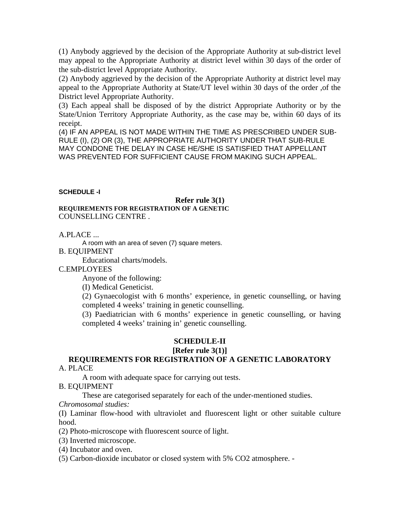(1) Anybody aggrieved by the decision of the Appropriate Authority at sub-district level may appeal to the Appropriate Authority at district level within 30 days of the order of the sub-district level Appropriate Authority.

(2) Anybody aggrieved by the decision of the Appropriate Authority at district level may appeal to the Appropriate Authority at State/UT level within 30 days of the order ,of the District level Appropriate Authority.

(3) Each appeal shall be disposed of by the district Appropriate Authority or by the State/Union Territory Appropriate Authority, as the case may be, within 60 days of its receipt.

(4) IF AN APPEAL IS NOT MADE WITHIN THE TIME AS PRESCRIBED UNDER SUB-RULE (I), (2) OR (3), THE APPROPRIATE AUTHORITY UNDER THAT SUB-RULE MAY CONDONE THE DELAY IN CASE HE/SHE IS SATISFIED THAT APPELLANT WAS PREVENTED FOR SUFFICIENT CAUSE FROM MAKING SUCH APPEAL.

#### **SCHEDULE -I**

#### **Refer rule 3(1)**

**REQUIREMENTS FOR REGISTRATION OF A GENETIC** COUNSELLING CENTRE .

A.PLACE ...

A room with an area of seven (7) square meters.

B. EQUIPMENT

Educational charts/models.

C.EMPLOYEES

Anyone of the following:

(I) Medical Geneticist.

(2) Gynaecologist with 6 months' experience, in genetic counselling, or having completed 4 weeks' training in genetic counselling.

(3) Paediatrician with 6 months' experience in genetic counselling, or having completed 4 weeks' training in' genetic counselling.

#### **SCHEDULE-II**

#### **[Refer rule 3(1)]**

# **REQUIREMENTS FOR REGISTRATION OF A GENETIC LABORATORY**

A. PLACE

A room with adequate space for carrying out tests.

B. EQUIPMENT

These are categorised separately for each of the under-mentioned studies.

*Chromosomal studies:*

(I) Laminar flow-hood with ultraviolet and fluorescent light or other suitable culture hood.

(2) Photo-microscope with fluorescent source of light.

- (3) Inverted microscope.
- (4) Incubator and oven.
- (5) Carbon-dioxide incubator or closed system with 5% CO2 atmosphere. -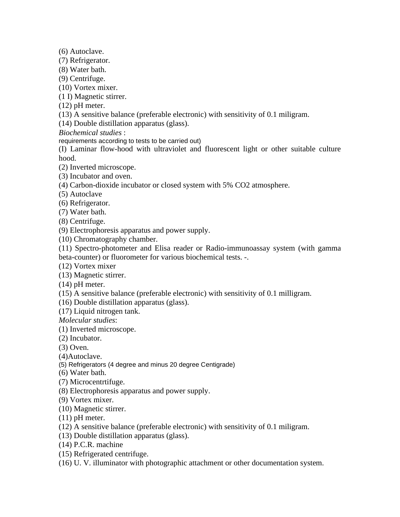(6) Autoclave.

(7) Refrigerator.

- (8) Water bath.
- (9) Centrifuge.

(10) Vortex mixer.

(1 I) Magnetic stirrer.

(12) pH meter.

(13) A sensitive balance (preferable electronic) with sensitivity of 0.1 miligram.

(14) Double distillation apparatus (glass).

*Biochemical studies* :

requirements according to tests to be carried out)

(I) Laminar flow-hood with ultraviolet and fluorescent light or other suitable culture hood.

(2) Inverted microscope.

(3) Incubator and oven.

(4) Carbon-dioxide incubator or closed system with 5% CO2 atmosphere.

(5) Autoclave

(6) Refrigerator.

(7) Water bath.

(8) Centrifuge.

(9) Electrophoresis apparatus and power supply.

(10) Chromatography chamber.

(11) Spectro-photometer and Elisa reader or Radio-immunoassay system (with gamma beta-counter) or fluorometer for various biochemical tests. -.

(12) Vortex mixer

(13) Magnetic stirrer.

 $(14)$  pH meter.

(15) A sensitive balance (preferable electronic) with sensitivity of 0.1 milligram.

(16) Double distillation apparatus (glass).

(17) Liquid nitrogen tank.

*Molecular studies*:

(1) Inverted microscope.

(2) Incubator.

(3) Oven.

(4)Autoclave.

(5) Refrigerators (4 degree and minus 20 degree Centigrade)

(6) Water bath.

(7) Microcentrtifuge.

(8) Electrophoresis apparatus and power supply.

(9) Vortex mixer.

(10) Magnetic stirrer.

 $(11)$  pH meter.

(12) A sensitive balance (preferable electronic) with sensitivity of 0.1 miligram.

(13) Double distillation apparatus (glass).

(14) P.C.R. machine

(15) Refrigerated centrifuge.

(16) U. V. illuminator with photographic attachment or other documentation system.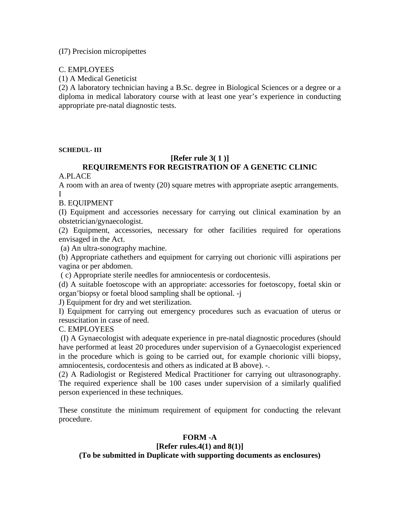### (I7) Precision micropipettes

### C. EMPLOYEES

(1) A Medical Geneticist

(2) A laboratory technician having a B.Sc. degree in Biological Sciences or a degree or a diploma in medical laboratory course with at least one year's experience in conducting appropriate pre-natal diagnostic tests.

### **SCHEDUL- III**

# **[Refer rule 3( 1 )]**

# **REQUIREMENTS FOR REGISTRATION OF A GENETIC CLINIC**

### A.PLACE

A room with an area of twenty (20) square metres with appropriate aseptic arrangements. I

B. EQUIPMENT

(I) Equipment and accessories necessary for carrying out clinical examination by an obstetrician/gynaecologist.

(2) Equipment, accessories, necessary for other facilities required for operations envisaged in the Act.

(a) An ultra-sonography machine.

(b) Appropriate cathethers and equipment for carrying out chorionic villi aspirations per vagina or per abdomen.

( c) Appropriate sterile needles for amniocentesis or cordocentesis.

(d) A suitable foetoscope with an appropriate: accessories for foetoscopy, foetal skin or organ'biopsy or foetal blood sampling shall be optional. -j

J) Equipment for dry and wet sterilization.

I) Equipment for carrying out emergency procedures such as evacuation of uterus or resuscitation in case of need.

### C. EMPLOYEES

 (I) A Gynaecologist with adequate experience in pre-natal diagnostic procedures (should have performed at least 20 procedures under supervision of a Gynaecologist experienced in the procedure which is going to be carried out, for example chorionic villi biopsy, amniocentesis, cordocentesis and others as indicated at B above). -.

(2) A Radiologist or Registered Medical Practitioner for carrying out ultrasonography. The required experience shall be 100 cases under supervision of a similarly qualified person experienced in these techniques.

These constitute the minimum requirement of equipment for conducting the relevant procedure.

# **FORM -A**

# **[Refer rules.4(1) and 8(1)]**

# **(To be submitted in Duplicate with supporting documents as enclosures)**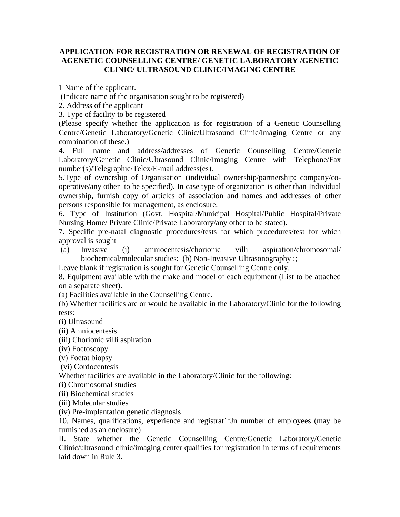# **APPLICATION FOR REGISTRATION OR RENEWAL OF REGISTRATION OF AGENETIC COUNSELLING CENTRE/ GENETIC LA.BORATORY /GENETIC CLINIC/ ULTRASOUND CLINIC/IMAGING CENTRE**

1 Name of the applicant.

(Indicate name of the organisation sought to be registered)

2. Address of the applicant

3. Type of facility to be registered

(Please specify whether the application is for registration of a Genetic Counselling Centre/Genetic Laboratory/Genetic Clinic/Ultrasound Ciinic/lmaging Centre or any combination of these.)

4. Full name and address/addresses of Genetic Counselling Centre/Genetic Laboratory/Genetic Clinic/Ultrasound Clinic/Imaging Centre with Telephone/Fax number(s)/Telegraphic/Telex/E-mail address(es).

5.Type of ownership of Organisation (individual ownership/partnership: company/cooperative/any other to be specified). In case type of organization is other than Individual ownership, furnish copy of articles of association and names and addresses of other persons responsible for management, as enclosure.

6. Type of Institution (Govt. Hospital/Municipal Hospital/Public Hospital/Private Nursing Home/ Private Clinic/Private Laboratory/any other to be stated).

7. Specific pre-natal diagnostic procedures/tests for which procedures/test for which approval is sought

(a) Invasive (i) amniocentesis/chorionic villi aspiration/chromosomal/ biochemical/molecular studies: (b) Non-Invasive Ultrasonography :;

Leave blank if registration is sought for Genetic Counselling Centre only.

8. Equipment available with the make and model of each equipment (List to be attached on a separate sheet).

(a) Facilities available in the Counselling Centre.

(b) Whether facilities are or would be available in the Laboratory/Clinic for the following tests:

(i) Ultrasound

(ii) Amniocentesis

(iii) Chorionic villi aspiration

(iv) Foetoscopy

(v) Foetat biopsy

(vi) Cordocentesis

Whether facilities are available in the Laboratory/Clinic for the following:

(i) Chromosomal studies

(ii) Biochemical studies

(iii) Molecular studies

(iv) Pre-implantation genetic diagnosis

10. Names, qualifications, experience and registrat1fJn number of employees (may be furnished as an enclosure)

II. State whether the Genetic Counselling Centre/Genetic Laboratory/Genetic Clinic/ultrasound clinic/imaging center qualifies for registration in terms of requirements laid down in Rule 3.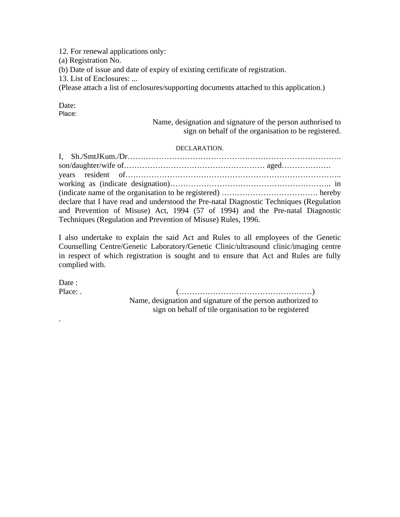12. For renewal applications only:

(a) Registration No.

(b) Date of issue and date of expiry of existing certificate of registration.

13. List of Enclosures: ...

(Please attach a list of enclosures/supporting documents attached to this application.)

Date:

Place:

.

Name, designation and signature of the person authorised to sign on behalf of the organisation to be registered.

#### DECLARATION.

| declare that I have read and understood the Pre-natal Diagnostic Techniques (Regulation |  |
|-----------------------------------------------------------------------------------------|--|
| and Prevention of Misuse) Act, 1994 (57 of 1994) and the Pre-natal Diagnostic           |  |
| Techniques (Regulation and Prevention of Misuse) Rules, 1996.                           |  |

I also undertake to explain the said Act and Rules to all employees of the Genetic Counselling Centre/Genetic Laboratory/Genetic Clinic/ultrasound clinic/imaging centre in respect of which registration is sought and to ensure that Act and Rules are fully complied with.

Date : Place: . (……………………………………………) Name, designation and signature of the person authorized to sign on behalf of tile organisation to be registered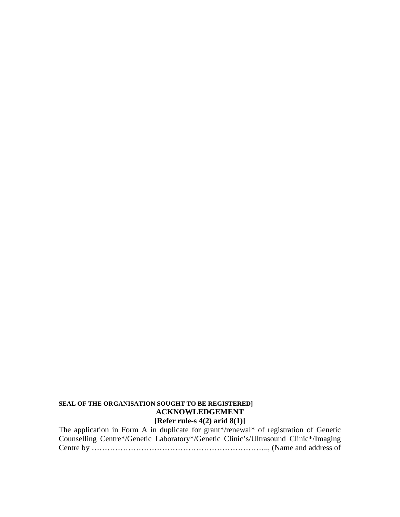### **SEAL OF THE ORGANISATION SOUGHT TO BE REGISTERED] ACKNOWLEDGEMENT [Refer rule-s 4(2) arid 8(1)]**

The application in Form A in duplicate for grant\*/renewal\* of registration of Genetic Counselling Centre\*/Genetic Laboratory\*/Genetic Clinic's/Ultrasound Clinic\*/Imaging Centre by ………………………………………………………….., (Name and address of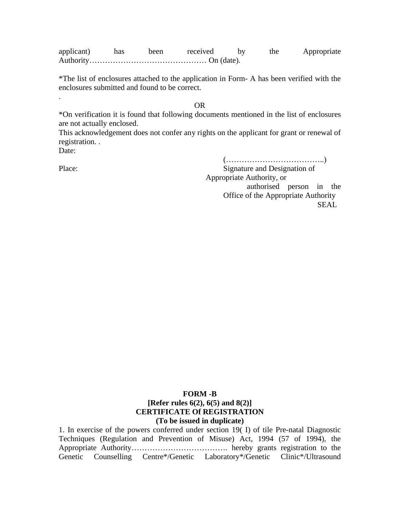| applicant) | has | been | received | hv | the | Appropriate |
|------------|-----|------|----------|----|-----|-------------|
|            |     |      |          |    |     |             |

\*The list of enclosures attached to the application in Form- A has been verified with the enclosures submitted and found to be correct.

OR

\*On verification it is found that following documents mentioned in the list of enclosures are not actually enclosed.

This acknowledgement does not confer any rights on the applicant for grant or renewal of registration. . Date:

.

(………………………………..) Place: Signature and Designation of Appropriate Authority, or authorised person in the Office of the Appropriate Authority SEAL

### **FORM -B [Refer rules 6(2), 6(5) and 8(2)]**

#### **CERTIFICATE Of REGISTRATION (To be issued in duplicate)**

1. In exercise of the powers conferred under section 19( I) of tile Pre-natal Diagnostic

Techniques (Regulation and Prevention of Misuse) Act, 1994 (57 of 1994), the Appropriate Authority………………………………. hereby grants registration to the Genetic Counselling Centre\*/Genetic Laboratory\*/Genetic Clinic\*/Ultrasound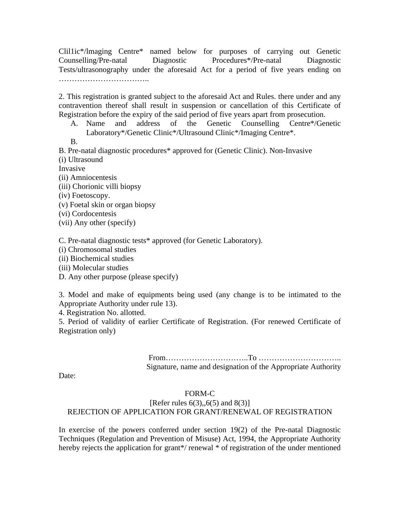Clil1ic\*/lmaging Centre\* named below for purposes of carrying out Genetic Counselling/Pre-natal Diagnostic Procedures\*/Pre-natal Diagnostic Tests/ultrasonography under the aforesaid Act for a period of five years ending on ……………………………..

2. This registration is granted subject to the aforesaid Act and Rules. there under and any contravention thereof shall result in suspension or cancellation of this Certificate of Registration before the expiry of the said period of five years apart from prosecution.

- A. Name and address of the Genetic Counselling Centre\*/Genetic Laboratory\*/Genetic Clinic\*/Ultrasound Clinic\*/Imaging Centre\*.
- B.

B. Pre-natal diagnostic procedures\* approved for (Genetic Clinic). Non-Invasive (i) Ultrasound

Invasive

(ii) Amniocentesis

(iii) Chorionic villi biopsy

(iv) Foetoscopy.

(v) Foetal skin or organ biopsy

(vi) Cordocentesis

(vii) Any other (specify)

C. Pre-natal diagnostic tests\* approved (for Genetic Laboratory).

(i) Chromosomal studies

(ii) Biochemical studies

(iii) Molecular studies

D. Any other purpose (please specify)

3. Model and make of equipments being used (any change is to be intimated to the Appropriate Authority under rule 13).

4. Registration No. allotted.

5. Period of validity of earlier Certificate of Registration. (For renewed Certificate of Registration only)

> From…………………………..To ………………………….. Signature, name and designation of the Appropriate Authority

Date:

# FORM-C

# [Refer rules  $6(3)$ ,, $6(5)$  and  $8(3)$ ] REJECTION OF APPLICATION FOR GRANT/RENEWAL OF REGISTRATION

In exercise of the powers conferred under section 19(2) of the Pre-natal Diagnostic Techniques (Regulation and Prevention of Misuse) Act, 1994, the Appropriate Authority hereby rejects the application for grant\*/ renewal \* of registration of the under mentioned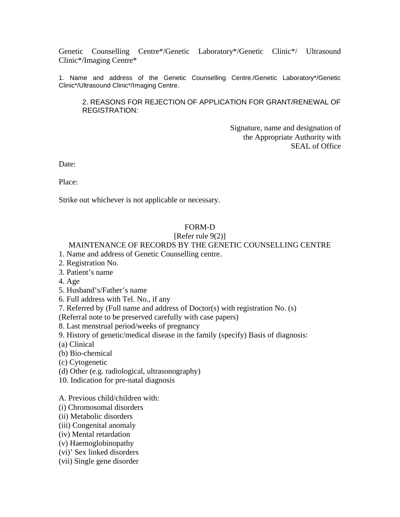Genetic Counselling Centre\*/Genetic Laboratory\*/Genetic Clinic\*/ Ultrasound Clinic\*/Imaging Centre\*

1. Name and address of the Genetic Counselling Centre./Genetic Laboratory\*/Genetic Clinic\*/Ultrasound Clinic\*/Imaging Centre.

### 2. REASONS FOR REJECTION OF APPLICATION FOR GRANT/RENEWAL OF REGISTRATION:

Signature, name and designation of the Appropriate Authority with SEAL of Office

Date:

Place:

Strike out whichever is not applicable or necessary.

# FORM-D

# [Refer rule 9(2)]

# MAINTENANCE OF RECORDS BY THE GENETIC COUNSELLING CENTRE

- 1. Name and address of Genetic Counselling centre.
- 2. Registration No.
- 3. Patient's name
- 4. Age
- 5. Husband's/Father's name
- 6. Full address with Tel. No., if any
- 7. Referred by (Full name and address of Doctor(s) with registration No. (s)

(Referral note to be preserved carefully with case papers)

- 8. Last menstrual period/weeks of pregnancy
- 9. History of genetic/medical disease in the family (specify) Basis of diagnosis:
- (a) Clinical
- (b) Bio-chemical
- (c) Cytogenetic
- (d) Other (e.g. radiological, ultrasonography)
- 10. Indication for pre-natal diagnosis
- A. Previous child/children with:
- (i) Chromosomal disorders
- (ii) Metabolic disorders
- (iii) Congenital anomaly
- (iv) Mental retardation
- (v) Haemoglobinopathy
- (vi)' Sex linked disorders
- (vii) Single gene disorder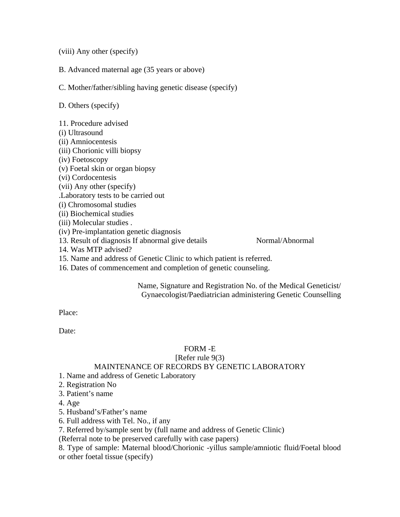(viii) Any other (specify)

B. Advanced maternal age (35 years or above)

C. Mother/father/sibling having genetic disease (specify)

D. Others (specify)

11. Procedure advised

(i) Ultrasound

(ii) Amniocentesis

(iii) Chorionic villi biopsy

(iv) Foetoscopy

(v) Foetal skin or organ biopsy

(vi) Cordocentesis

(vii) Any other (specify)

.Laboratory tests to be carried out

(i) Chromosomal studies

(ii) Biochemical studies

(iii) Molecular studies .

(iv) Pre-implantation genetic diagnosis

13. Result of diagnosis If abnormal give details Normal/Abnormal

14. Was MTP advised?

15. Name and address of Genetic Clinic to which patient is referred.

16. Dates of commencement and completion of genetic counseling.

Name, Signature and Registration No. of the Medical Geneticist/ Gynaecologist/Paediatrician administering Genetic Counselling

Place:

Date:

### FORM -E

#### [Refer rule 9(3)

### MAINTENANCE OF RECORDS BY GENETIC LABORATORY

1. Name and address of Genetic Laboratory

2. Registration No

3. Patient's name

4. Age

5. Husband's/Father's name

6. Full address with Tel. No., if any

7. Referred by/sample sent by (full name and address of Genetic Clinic)

(Referral note to be preserved carefully with case papers)

8. Type of sample: Maternal blood/Chorionic -yillus sample/amniotic fluid/Foetal blood or other foetal tissue (specify)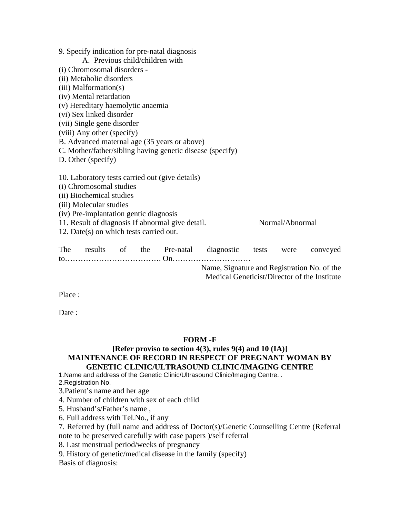| 9. Specify indication for pre-natal diagnosis                       |          |  |  |  |  |
|---------------------------------------------------------------------|----------|--|--|--|--|
| A. Previous child/children with                                     |          |  |  |  |  |
| (i) Chromosomal disorders -                                         |          |  |  |  |  |
| (ii) Metabolic disorders                                            |          |  |  |  |  |
| (iii) Malformation(s)                                               |          |  |  |  |  |
| (iv) Mental retardation                                             |          |  |  |  |  |
| (v) Hereditary haemolytic anaemia                                   |          |  |  |  |  |
| (vi) Sex linked disorder                                            |          |  |  |  |  |
| (vii) Single gene disorder                                          |          |  |  |  |  |
| (viii) Any other (specify)                                          |          |  |  |  |  |
| B. Advanced maternal age (35 years or above)                        |          |  |  |  |  |
| C. Mother/father/sibling having genetic disease (specify)           |          |  |  |  |  |
| D. Other (specify)                                                  |          |  |  |  |  |
| 10. Laboratory tests carried out (give details)                     |          |  |  |  |  |
| (i) Chromosomal studies                                             |          |  |  |  |  |
| (ii) Biochemical studies                                            |          |  |  |  |  |
| (iii) Molecular studies                                             |          |  |  |  |  |
| (iv) Pre-implantation gentic diagnosis                              |          |  |  |  |  |
| 11. Result of diagnosis If abnormal give detail.<br>Normal/Abnormal |          |  |  |  |  |
| 12. Date(s) on which tests carried out.                             |          |  |  |  |  |
| The results of the Pre-natal diagnostic tests were                  | conveyed |  |  |  |  |
|                                                                     |          |  |  |  |  |

Name, Signature and Registration No. of the Medical Geneticist/Director of the Institute

Place :

Date:

#### **FORM -F**

# **[Refer proviso to section 4(3), rules 9(4) and 10 (IA)] MAINTENANCE OF RECORD IN RESPECT OF PREGNANT WOMAN BY GENETIC CLINIC/ULTRASOUND CLINIC/IMAGING CENTRE**

1.Name and address of the Genetic Clinic/Ultrasound Clinic/Imaging Centre. .

2.Registration No.

3.Patient's name and her age

4. Number of children with sex of each child

5. Husband's/Father's name ,

6. Full address with Tel.No., if any

7. Referred by (full name and address of Doctor(s)/Genetic Counselling Centre (Referral note to be preserved carefully with case papers )/self referral

8. Last menstrual period/weeks of pregnancy

9. History of genetic/medical disease in the family (specify)

Basis of diagnosis: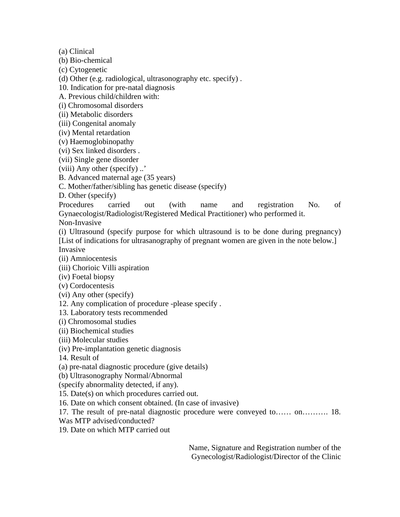(a) Clinical

(b) Bio-chemical

(c) Cytogenetic

(d) Other (e.g. radiological, ultrasonography etc. specify) .

10. Indication for pre-natal diagnosis

A. Previous child/children with:

(i) Chromosomal disorders

(ii) Metabolic disorders

(iii) Congenital anomaly

(iv) Mental retardation

(v) Haemoglobinopathy

(vi) Sex linked disorders .

(vii) Single gene disorder

(viii) Any other (specify) ..'

B. Advanced maternal age (35 years)

C. Mother/father/sibling has genetic disease (specify)

D. Other (specify)

Procedures carried out (with name and registration No. of Gynaecologist/Radiologist/Registered Medical Practitioner) who performed it.

Non-Invasive

(i) Ultrasound (specify purpose for which ultrasound is to be done during pregnancy) [List of indications for ultrasanography of pregnant women are given in the note below.] Invasive

(ii) Amniocentesis

(iii) Chorioic Villi aspiration

(iv) Foetal biopsy

(v) Cordocentesis

(vi) Any other (specify)

12. Any complication of procedure -please specify .

13. Laboratory tests recommended

(i) Chromosomal studies

(ii) Biochemical studies

(iii) Molecular studies

(iv) Pre-implantation genetic diagnosis

14. Result of

(a) pre-natal diagnostic procedure (give details)

(b) Ultrasonography Normal/Abnormal

(specify abnormality detected, if any).

15. Date(s) on which procedures carried out.

16. Date on which consent obtained. (In case of invasive)

17. The result of pre-natal diagnostic procedure were conveyed to…… on………. 18. Was MTP advised/conducted?

19. Date on which MTP carried out

Name, Signature and Registration number of the Gynecologist/Radiologist/Director of the Clinic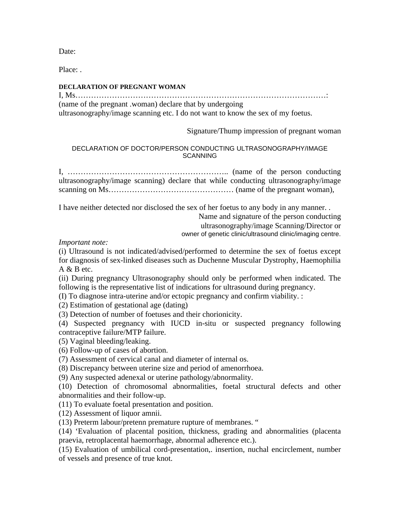Date:

Place:

#### **DECLARATION OF PREGNANT WOMAN**

I, Ms……………………………………………………………………………………: (name of the pregnant .woman) declare that by undergoing ultrasonography/image scanning etc. I do not want to know the sex of my foetus.

Signature/Thump impression of pregnant woman

#### DECLARATION OF DOCTOR/PERSON CONDUCTING ULTRASONOGRAPHY/IMAGE **SCANNING**

I, …………………………………………………….. (name of the person conducting ultrasonography/image scanning) declare that while conducting ultrasonography/image scanning on Ms………………………………………… (name of the pregnant woman),

I have neither detected nor disclosed the sex of her foetus to any body in any manner. .

Name and signature of the person conducting ultrasonography/image Scanning/Director or owner of genetic clinic/ultrasound clinic/imaging centre.

*Important note:*

(i) Ultrasound is not indicated/advised/performed to determine the sex of foetus except for diagnosis of sex-linked diseases such as Duchenne Muscular Dystrophy, Haemophilia A & B etc.

(ii) During pregnancy Ultrasonography should only be performed when indicated. The following is the representative list of indications for ultrasound during pregnancy.

(I) To diagnose intra-uterine and/or ectopic pregnancy and confirm viability. :

(2) Estimation of gestational age (dating)

(3) Detection of number of foetuses and their chorionicity.

(4) Suspected pregnancy with IUCD in-situ or suspected pregnancy following contraceptive failure/MTP failure.

(5) Vaginal bleeding/leaking.

(6) Follow-up of cases of abortion.

(7) Assessment of cervical canal and diameter of internal os.

(8) Discrepancy between uterine size and period of amenorrhoea.

(9) Any suspected adenexal or uterine pathology/abnormality.

(10) Detection of chromosomal abnormalities, foetal structural defects and other abnormalities and their follow-up.

(11) To evaluate foetal presentation and position.

(12) Assessment of liquor amnii.

(13) Preterm labour/pretenn premature rupture of membranes. "

(14) 'Evaluation of placental position, thickness, grading and abnormalities (placenta praevia, retroplacental haemorrhage, abnormal adherence etc.).

(15) Evaluation of umbilical cord-presentation,. insertion, nuchal encirclement, number of vessels and presence of true knot.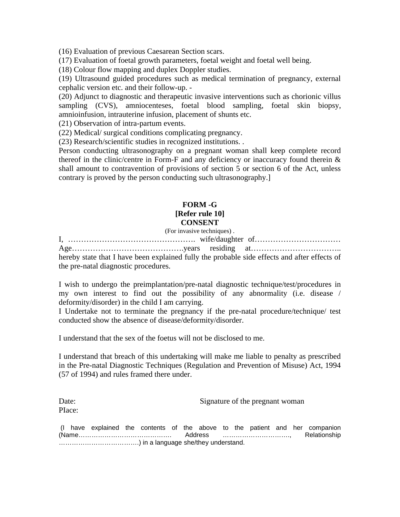(16) Evaluation of previous Caesarean Section scars.

(17) Evaluation of foetal growth parameters, foetal weight and foetal well being.

(18) Colour flow mapping and duplex Doppler studies.

(19) Ultrasound guided procedures such as medical termination of pregnancy, external cephalic version etc. and their follow-up. -

(20) Adjunct to diagnostic and therapeutic invasive interventions such as chorionic villus sampling (CVS), amniocenteses, foetal blood sampling, foetal skin biopsy, amnioinfusion, intrauterine infusion, placement of shunts etc.

(21) Observation of intra-partum events.

(22) Medical/ surgical conditions complicating pregnancy.

(23) Research/scientific studies in recognized institutions. .

Person conducting ultrasonography on a pregnant woman shall keep complete record thereof in the clinic/centre in Form-F and any deficiency or inaccuracy found therein & shall amount to contravention of provisions of section 5 or section 6 of the Act, unless contrary is proved by the person conducting such ultrasonography.]

# **FORM -G [Refer rule 10] CONSENT**

(For invasive techniques) .

| hereby state that I have been explained fully the probable side effects and after effects of |  |  |
|----------------------------------------------------------------------------------------------|--|--|
| the pre-natal diagnostic procedures.                                                         |  |  |

I wish to undergo the preimplantation/pre-natal diagnostic technique/test/procedures in my own interest to find out the possibility of any abnormality (i.e. disease / deformity/disorder) in the child I am carrying.

I Undertake not to terminate the pregnancy if the pre-natal procedure/technique/ test conducted show the absence of disease/deformity/disorder.

I understand that the sex of the foetus will not be disclosed to me.

I understand that breach of this undertaking will make me liable to penalty as prescribed in the Pre-natal Diagnostic Techniques (Regulation and Prevention of Misuse) Act, 1994 (57 of 1994) and rules framed there under.

| Date: | PIace: |  |  |  |  | Signature of the pregnant woman |  |                                                                              |
|-------|--------|--|--|--|--|---------------------------------|--|------------------------------------------------------------------------------|
|       |        |  |  |  |  |                                 |  | (I have explained the contents of the above to the patient and her companion |
|       |        |  |  |  |  |                                 |  |                                                                              |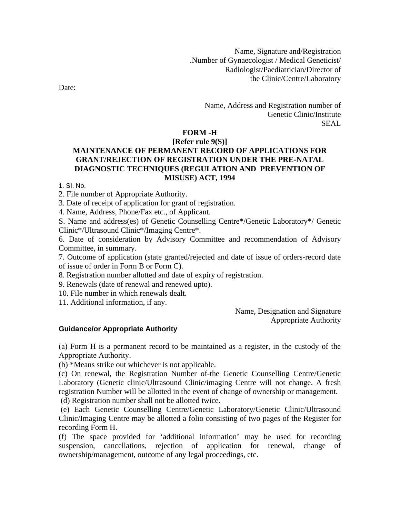Name, Signature and/Registration .Number of Gynaecologist / Medical Geneticist/ Radiologist/Paediatrician/Director of the Clinic/Centre/Laboratory

Date:

Name, Address and Registration number of Genetic Clinic/Institute SEAL

# **FORM -H**

# **[Refer rule 9(S)] MAINTENANCE OF PERMANENT RECORD OF APPLICATIONS FOR GRANT/REJECTION OF REGISTRATION UNDER THE PRE-NATAL DIAGNOSTIC TECHNIQUES (REGULATION AND PREVENTION OF MISUSE) ACT, 1994**

1. SI. No.

2. File number of Appropriate Authority.

3. Date of receipt of application for grant of registration.

4. Name, Address, Phone/Fax etc., of Applicant.

S. Name and address(es) of Genetic Counselling Centre\*/Genetic Laboratory\*/ Genetic Clinic\*/Ultrasound Clinic\*/Imaging Centre\*.

6. Date of consideration by Advisory Committee and recommendation of Advisory Committee, in summary.

7. Outcome of application (state granted/rejected and date of issue of orders-record date of issue of order in Form B or Form C).

8. Registration number allotted and date of expiry of registration.

9. Renewals (date of renewal and renewed upto).

10. File number in which renewals dealt.

11. Additional information, if any.

Name, Designation and Signature Appropriate Authority

#### **Guidance/or Appropriate Authority**

(a) Form H is a permanent record to be maintained as a register, in the custody of the Appropriate Authority.

(b) \*Means strike out whichever is not applicable.

(c) On renewal, the Registration Number of-the Genetic Counselling Centre/Genetic Laboratory (Genetic clinic/Ultrasound Clinic/imaging Centre will not change. A fresh registration Number will be allotted in the event of change of ownership or management. (d) Registration number shall not be allotted twice.

 (e) Each Genetic Counselling Centre/Genetic Laboratory/Genetic Clinic/Ultrasound Clinic/Imaging Centre may be allotted a folio consisting of two pages of the Register for recording Form H.

(f) The space provided for 'additional information' may be used for recording suspension, cancellations, rejection of application for renewal, change of ownership/management, outcome of any legal proceedings, etc.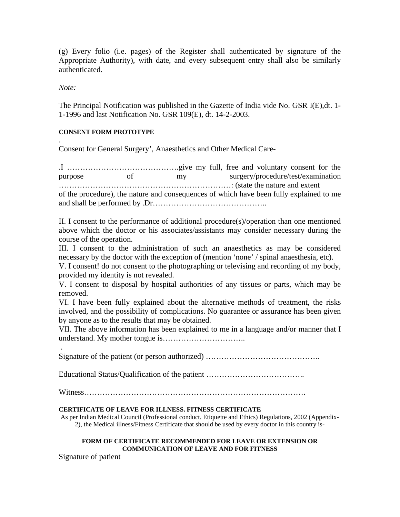(g) Every folio (i.e. pages) of the Register shall authenticated by signature of the Appropriate Authority), with date, and every subsequent entry shall also be similarly authenticated.

*Note:*

.

.

The Principal Notification was published in the Gazette of India vide No. GSR I(E),dt. 1- 1-1996 and last Notification No. GSR 109(E), dt. 14-2-2003.

#### **CONSENT FORM PROTOTYPE**

Consent for General Surgery', Anaesthetics and Other Medical Care-

.I …………………………………….give my full, free and voluntary consent for the purpose of my surgery/procedure/test/examination …………………………………………………………: (state the nature and extent of the procedure), the nature and consequences of which have been fully explained to me and shall be performed by .Dr……………………………………..

II. I consent to the performance of additional procedure(s)/operation than one mentioned above which the doctor or his associates/assistants may consider necessary during the course of the operation.

III. I consent to the administration of such an anaesthetics as may be considered necessary by the doctor with the exception of (mention 'none' / spinal anaesthesia, etc).

V. I consent! do not consent to the photographing or televising and recording of my body, provided my identity is not revealed.

V. I consent to disposal by hospital authorities of any tissues or parts, which may be removed.

VI. I have been fully explained about the alternative methods of treatment, the risks involved, and the possibility of complications. No guarantee or assurance has been given by anyone as to the results that may be obtained.

VII. The above information has been explained to me in a language and/or manner that I understand. My mother tongue is…………………………..

Signature of the patient (or person authorized) ……………………………………..

Educational Status/Qualification of the patient ………………………………..

Witness………………………………………………………………………….

#### **CERTIFICATE OF LEAVE FOR ILLNESS. FITNESS CERTIFICATE**

As per Indian Medical Council (Professional conduct. Etiquette and Ethics) Regulations, 2002 (Appendix-2), the Medical illness/Fitness Certificate that should be used by every doctor in this country is-

#### **FORM OF CERTIFICATE RECOMMENDED FOR LEAVE OR EXTENSION OR COMMUNICATION OF LEAVE AND FOR FITNESS**

Signature of patient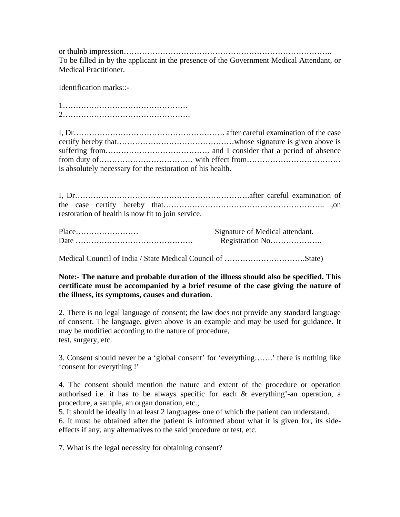or thulnb impression…………………………………………………………………….. To be filled in by the applicant in the presence of the Government Medical Attendant, or Medical Practitioner.

Identification marks::-

1………………………………………… 2………………………………………….

I, Dr…………………………………………………. after careful examination of the case certify hereby that………………………………………whose signature is given above is suffering from…………………………………. and I consider that a period of absence from duty of……………………………… with effect from……………………………… is absolutely necessary for the restoration of his health.

I, Dr………………………………………………………….after careful examination of the case certify hereby that…………………………………………………….. ,on restoration of health is now fit to join service.

| Signature of Medical attendant. |
|---------------------------------|
|                                 |

Medical Council of India / State Medical Council of ………………………….State)

**Note:- The nature and probable duration of the illness should also be specified. This certificate must be accompanied by a brief resume of the case giving the nature of the illness, its symptoms, causes and duration**.

2. There is no legal language of consent; the law does not provide any standard language of consent. The language, given above is an example and may be used for guidance. It may be modified according to the nature of procedure, test, surgery, etc.

3. Consent should never be a 'global consent' for 'everything…….' there is nothing like 'consent for everything !'

4. The consent should mention the nature and extent of the procedure or operation authorised i.e. it has to be always specific for each & everything'-an operation, a procedure, a sample, an organ donation, etc.,

5. It should be ideally in at least 2 languages- one of which the patient can understand.

6. It must be obtained after the patient is informed about what it is given for, its sideeffects if any, any alternatives to the said procedure or test, etc.

7. What is the legal necessity for obtaining consent?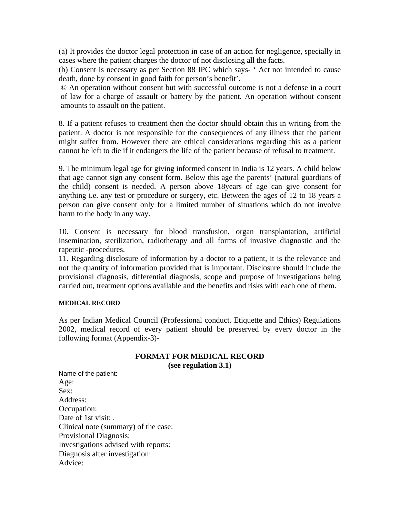(a) It provides the doctor legal protection in case of an action for negligence, specially in cases where the patient charges the doctor of not disclosing all the facts.

(b) Consent is necessary as per Section 88 IPC which says- ' Act not intended to cause death, done by consent in good faith for person's benefit'.

© An operation without consent but with successful outcome is not a defense in a court of law for a charge of assault or battery by the patient. An operation without consent amounts to assault on the patient.

8. If a patient refuses to treatment then the doctor should obtain this in writing from the patient. A doctor is not responsible for the consequences of any illness that the patient might suffer from. However there are ethical considerations regarding this as a patient cannot be left to die if it endangers the life of the patient because of refusal to treatment.

9. The minimum legal age for giving informed consent in India is 12 years. A child below that age cannot sign any consent form. Below this age the parents' (natural guardians of the child) consent is needed. A person above 18years of age can give consent for anything i.e. any test or procedure or surgery, etc. Between the ages of 12 to 18 years a person can give consent only for a limited number of situations which do not involve harm to the body in any way.

10. Consent is necessary for blood transfusion, organ transplantation, artificial insemination, sterilization, radiotherapy and all forms of invasive diagnostic and the rapeutic -procedures.

11. Regarding disclosure of information by a doctor to a patient, it is the relevance and not the quantity of information provided that is important. Disclosure should include the provisional diagnosis, differential diagnosis, scope and purpose of investigations being carried out, treatment options available and the benefits and risks with each one of them.

#### **MEDICAL RECORD**

As per Indian Medical Council (Professional conduct. Etiquette and Ethics) Regulations 2002, medical record of every patient should be preserved by every doctor in the following format (Appendix-3)-

### **FORMAT FOR MEDICAL RECORD**

**(see regulation 3.1)**

Name of the patient: Age: Sex: Address: Occupation: Date of 1st visit: . Clinical note (summary) of the case: Provisional Diagnosis: Investigations advised with reports: Diagnosis after investigation: Advice: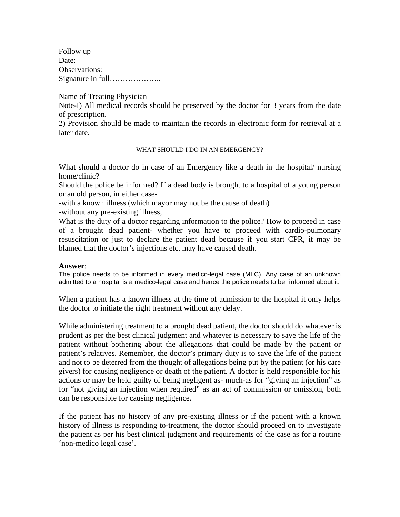Follow up Date: Observations: Signature in full………………..

Name of Treating Physician

Note-I) All medical records should be preserved by the doctor for 3 years from the date of prescription.

2) Provision should be made to maintain the records in electronic form for retrieval at a later date.

#### WHAT SHOULD I DO IN AN EMERGENCY?

What should a doctor do in case of an Emergency like a death in the hospital/ nursing home/clinic?

Should the police be informed? If a dead body is brought to a hospital of a young person or an old person, in either case-

-with a known illness (which mayor may not be the cause of death)

-without any pre-existing illness,

What is the duty of a doctor regarding information to the police? How to proceed in case of a brought dead patient- whether you have to proceed with cardio-pulmonary resuscitation or just to declare the patient dead because if you start CPR, it may be blamed that the doctor's injections etc. may have caused death.

#### **Answer**:

The police needs to be informed in every medico-legal case (MLC). Any case of an unknown admitted to a hospital is a medico-legal case and hence the police needs to be" informed about it.

When a patient has a known illness at the time of admission to the hospital it only helps the doctor to initiate the right treatment without any delay.

While administering treatment to a brought dead patient, the doctor should do whatever is prudent as per the best clinical judgment and whatever is necessary to save the life of the patient without bothering about the allegations that could be made by the patient or patient's relatives. Remember, the doctor's primary duty is to save the life of the patient and not to be deterred from the thought of allegations being put by the patient (or his care givers) for causing negligence or death of the patient. A doctor is held responsible for his actions or may be held guilty of being negligent as- much-as for "giving an injection" as for "not giving an injection when required" as an act of commission or omission, both can be responsible for causing negligence.

If the patient has no history of any pre-existing illness or if the patient with a known history of illness is responding to-treatment, the doctor should proceed on to investigate the patient as per his best clinical judgment and requirements of the case as for a routine 'non-medico legal case'.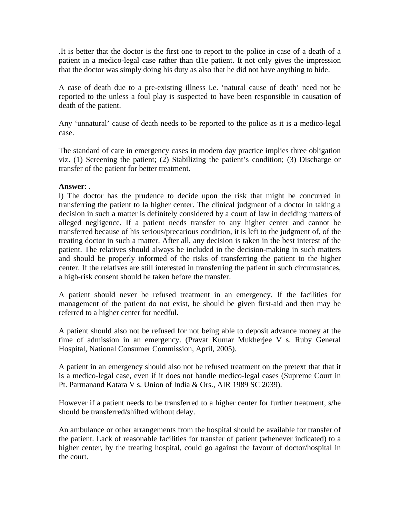.It is better that the doctor is the first one to report to the police in case of a death of a patient in a medico-legal case rather than tI1e patient. It not only gives the impression that the doctor was simply doing his duty as also that he did not have anything to hide.

A case of death due to a pre-existing illness i.e. 'natural cause of death' need not be reported to the unless a foul play is suspected to have been responsible in causation of death of the patient.

Any 'unnatural' cause of death needs to be reported to the police as it is a medico-legal case.

The standard of care in emergency cases in modem day practice implies three obligation viz. (1) Screening the patient; (2) Stabilizing the patient's condition; (3) Discharge or transfer of the patient for better treatment.

### **Answer**: .

l) The doctor has the prudence to decide upon the risk that might be concurred in transferring the patient to Ia higher center. The clinical judgment of a doctor in taking a decision in such a matter is definitely considered by a court of law in deciding matters of alleged negligence. If a patient needs transfer to any higher center and cannot be transferred because of his serious/precarious condition, it is left to the judgment of, of the treating doctor in such a matter. After all, any decision is taken in the best interest of the patient. The relatives should always be included in the decision-making in such matters and should be properly informed of the risks of transferring the patient to the higher center. If the relatives are still interested in transferring the patient in such circumstances, a high-risk consent should be taken before the transfer.

A patient should never be refused treatment in an emergency. If the facilities for management of the patient do not exist, he should be given first-aid and then may be referred to a higher center for needful.

A patient should also not be refused for not being able to deposit advance money at the time of admission in an emergency. (Pravat Kumar Mukherjee V s. Ruby General Hospital, National Consumer Commission, April, 2005).

A patient in an emergency should also not be refused treatment on the pretext that that it is a medico-legal case, even if it does not handle medico-legal cases (Supreme Court in Pt. Parmanand Katara V s. Union of India & Ors., AIR 1989 SC 2039).

However if a patient needs to be transferred to a higher center for further treatment, s/he should be transferred/shifted without delay.

An ambulance or other arrangements from the hospital should be available for transfer of the patient. Lack of reasonable facilities for transfer of patient (whenever indicated) to a higher center, by the treating hospital, could go against the favour of doctor/hospital in the court.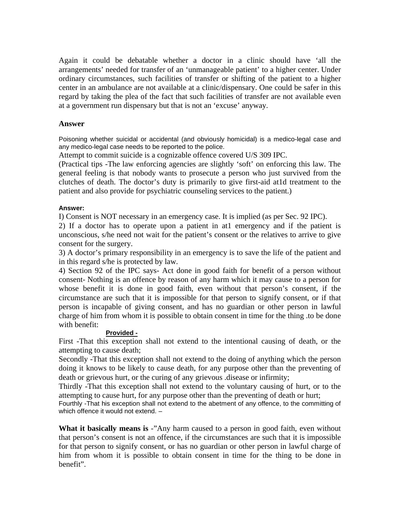Again it could be debatable whether a doctor in a clinic should have 'all the arrangements' needed for transfer of an 'unmanageable patient' to a higher center. Under ordinary circumstances, such facilities of transfer or shifting of the patient to a higher center in an ambulance are not available at a clinic/dispensary. One could be safer in this regard by taking the plea of the fact that such facilities of transfer are not available even at a government run dispensary but that is not an 'excuse' anyway.

#### **Answer**

Poisoning whether suicidal or accidental (and obviously homicidal) is a medico-legal case and any medico-legal case needs to be reported to the police.

Attempt to commit suicide is a cognizable offence covered U/S 309 IPC.

(Practical tips -The law enforcing agencies are slightly 'soft' on enforcing this law. The general feeling is that nobody wants to prosecute a person who just survived from the clutches of death. The doctor's duty is primarily to give first-aid at1d treatment to the patient and also provide for psychiatric counseling services to the patient.)

#### **Answer:**

I) Consent is NOT necessary in an emergency case. It is implied (as per Sec. 92 IPC).

2) If a doctor has to operate upon a patient in at1 emergency and if the patient is unconscious, s/he need not wait for the patient's consent or the relatives to arrive to give consent for the surgery.

3) A doctor's primary responsibility in an emergency is to save the life of the patient and in this regard s/he is protected by law.

4) Section 92 of the IPC says- Act done in good faith for benefit of a person without consent- Nothing is an offence by reason of any harm which it may cause to a person for whose benefit it is done in good faith, even without that person's consent, if the circumstance are such that it is impossible for that person to signify consent, or if that person is incapable of giving consent, and has no guardian or other person in lawful charge of him from whom it is possible to obtain consent in time for the thing .to be done with benefit:

#### **Provided -**

First -That this exception shall not extend to the intentional causing of death, or the attempting to cause death;

Secondly -That this exception shall not extend to the doing of anything which the person doing it knows to be likely to cause death, for any purpose other than the preventing of death or grievous hurt, or the curing of any grievous .disease or infirmity;

Thirdly -That this exception shall not extend to the voluntary causing of hurt, or to the attempting to cause hurt, for any purpose other than the preventing of death or hurt;

Fourthly -That his exception shall not extend to the abetment of any offence, to the committing of which offence it would not extend. -

**What it basically means is** -"Any harm caused to a person in good faith, even without that person's consent is not an offence, if the circumstances are such that it is impossible for that person to signify consent, or has no guardian or other person in lawful charge of him from whom it is possible to obtain consent in time for the thing to be done in benefit".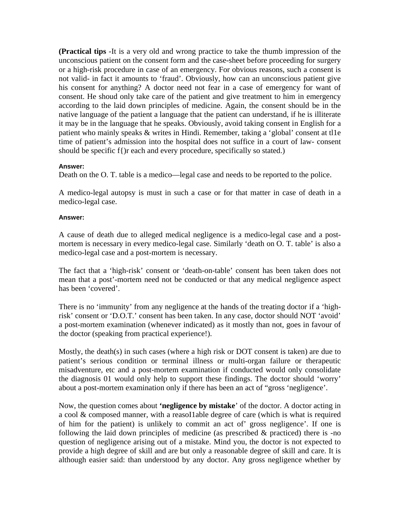**(Practical tips** -It is a very old and wrong practice to take the thumb impression of the unconscious patient on the consent form and the case-sheet before proceeding for surgery or a high-risk procedure in case of an emergency. For obvious reasons, such a consent is not valid- in fact it amounts to 'fraud'. Obviously, how can an unconscious patient give his consent for anything? A doctor need not fear in a case of emergency for want of consent. He shoud only take care of the patient and give treatment to him in emergency according to the laid down principles of medicine. Again, the consent should be in the native language of the patient a language that the patient can understand, if he is illiterate it may be in the language that he speaks. Obviously, avoid taking consent in English for a patient who mainly speaks & writes in Hindi. Remember, taking a 'global' consent at tl1e time of patient's admission into the hospital does not suffice in a court of law- consent should be specific f{)r each and every procedure, specifically so stated.)

### **Answer:**

Death on the O. T. table is a medico—legal case and needs to be reported to the police.

A medico-legal autopsy is must in such a case or for that matter in case of death in a medico-legal case.

### **Answer:**

A cause of death due to alleged medical negligence is a medico-legal case and a postmortem is necessary in every medico-legal case. Similarly 'death on O. T. table' is also a medico-legal case and a post-mortem is necessary.

The fact that a 'high-risk' consent or 'death-on-table' consent has been taken does not mean that a post'-mortem need not be conducted or that any medical negligence aspect has been 'covered'.

There is no 'immunity' from any negligence at the hands of the treating doctor if a 'highrisk' consent or 'D.O.T.' consent has been taken. In any case, doctor should NOT 'avoid' a post-mortem examination (whenever indicated) as it mostly than not, goes in favour of the doctor (speaking from practical experience!).

Mostly, the death(s) in such cases (where a high risk or DOT consent is taken) are due to patient's serious condition or terminal illness or multi-organ failure or therapeutic misadventure, etc and a post-mortem examination if conducted would only consolidate the diagnosis 01 would only help to support these findings. The doctor should 'worry' about a post-mortem examination only if there has been an act of "gross 'negligence'.

Now, the question comes about **'negligence by mistake**' of the doctor. A doctor acting in a cool & composed manner, with a reasoI1able degree of care (which is what is required of him for the patient) is unlikely to commit an act of' gross negligence'. If one is following the laid down principles of medicine (as prescribed  $\&$  practiced) there is -no question of negligence arising out of a mistake. Mind you, the doctor is not expected to provide a high degree of skill and are but only a reasonable degree of skill and care. It is although easier said: than understood by any doctor. Any gross negligence whether by